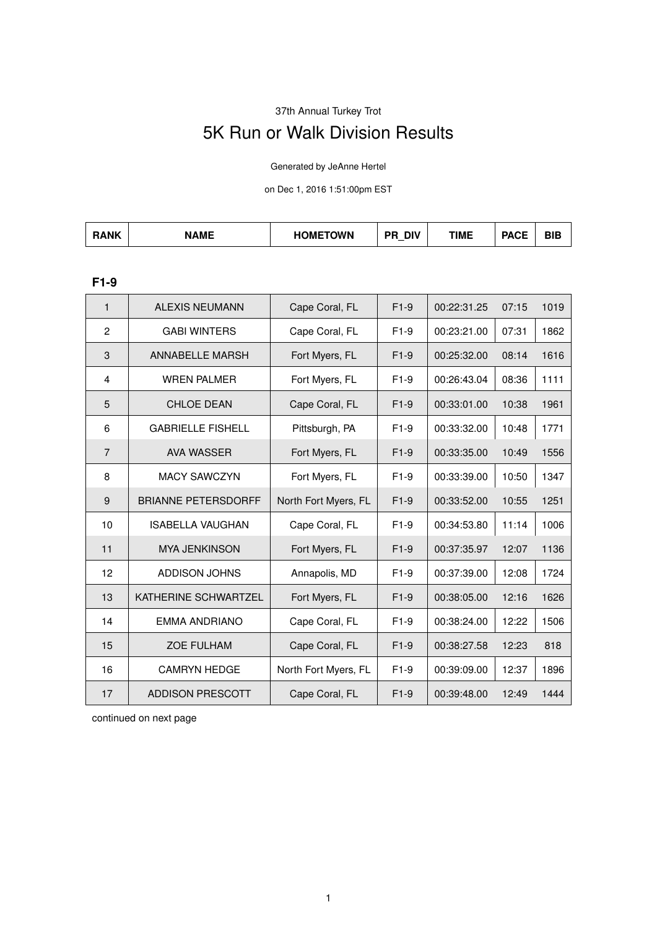# 37th Annual Turkey Trot

# 5K Run or Walk Division Results

Generated by JeAnne Hertel

on Dec 1, 2016 1:51:00pm EST

| <b>AME</b><br>ጓANK | 10117701111<br>JMF<br><b>JWN</b> | <b>DIV</b><br>DГ | TIME | ----<br>'AUE | - |
|--------------------|----------------------------------|------------------|------|--------------|---|
|--------------------|----------------------------------|------------------|------|--------------|---|

#### **F1-9**

| $\mathbf{1}$   | <b>ALEXIS NEUMANN</b>      | Cape Coral, FL       | $F1-9$ | 00:22:31.25 | 07:15 | 1019 |
|----------------|----------------------------|----------------------|--------|-------------|-------|------|
| $\overline{2}$ | <b>GABI WINTERS</b>        | Cape Coral, FL       | $F1-9$ | 00:23:21.00 | 07:31 | 1862 |
| 3              | <b>ANNABELLE MARSH</b>     | Fort Myers, FL       | $F1-9$ | 00:25:32.00 | 08:14 | 1616 |
| 4              | <b>WREN PALMER</b>         | Fort Myers, FL       | $F1-9$ | 00:26:43.04 | 08:36 | 1111 |
| 5              | <b>CHLOE DEAN</b>          | Cape Coral, FL       | $F1-9$ | 00:33:01.00 | 10:38 | 1961 |
| 6              | <b>GABRIELLE FISHELL</b>   | Pittsburgh, PA       | $F1-9$ | 00:33:32.00 | 10:48 | 1771 |
| $\overline{7}$ | <b>AVA WASSER</b>          | Fort Myers, FL       | $F1-9$ | 00:33:35.00 | 10:49 | 1556 |
| 8              | <b>MACY SAWCZYN</b>        | Fort Myers, FL       | $F1-9$ | 00:33:39.00 | 10:50 | 1347 |
| 9              | <b>BRIANNE PETERSDORFF</b> | North Fort Myers, FL | $F1-9$ | 00:33:52.00 | 10:55 | 1251 |
| 10             | <b>ISABELLA VAUGHAN</b>    | Cape Coral, FL       | $F1-9$ | 00:34:53.80 | 11:14 | 1006 |
| 11             | <b>MYA JENKINSON</b>       | Fort Myers, FL       | $F1-9$ | 00:37:35.97 | 12:07 | 1136 |
| 12             | ADDISON JOHNS              | Annapolis, MD        | $F1-9$ | 00:37:39.00 | 12:08 | 1724 |
| 13             | KATHERINE SCHWARTZEL       | Fort Myers, FL       | $F1-9$ | 00:38:05.00 | 12:16 | 1626 |
| 14             | <b>EMMA ANDRIANO</b>       | Cape Coral, FL       | $F1-9$ | 00:38:24.00 | 12:22 | 1506 |
| 15             | <b>ZOE FULHAM</b>          | Cape Coral, FL       | $F1-9$ | 00:38:27.58 | 12:23 | 818  |
| 16             | <b>CAMRYN HEDGE</b>        | North Fort Myers, FL | $F1-9$ | 00:39:09.00 | 12:37 | 1896 |
| 17             | <b>ADDISON PRESCOTT</b>    | Cape Coral, FL       | $F1-9$ | 00:39:48.00 | 12:49 | 1444 |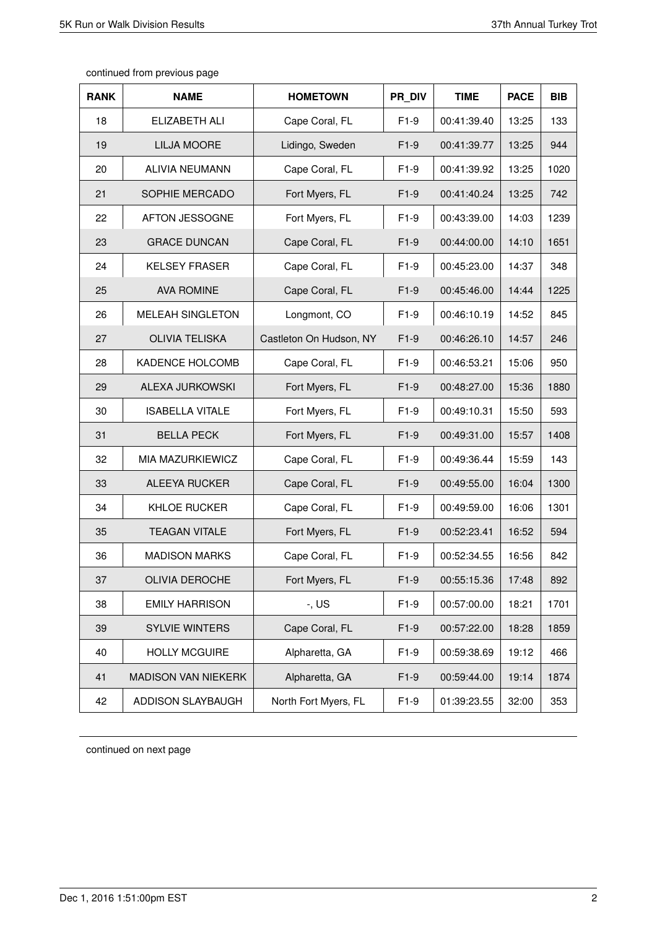| <b>RANK</b> | <b>NAME</b>                | <b>HOMETOWN</b>         | PR DIV | <b>TIME</b> | <b>PACE</b> | <b>BIB</b> |
|-------------|----------------------------|-------------------------|--------|-------------|-------------|------------|
| 18          | ELIZABETH ALI              | Cape Coral, FL          | $F1-9$ | 00:41:39.40 | 13:25       | 133        |
| 19          | <b>LILJA MOORE</b>         | Lidingo, Sweden         | $F1-9$ | 00:41:39.77 | 13:25       | 944        |
| 20          | <b>ALIVIA NEUMANN</b>      | Cape Coral, FL          | $F1-9$ | 00:41:39.92 | 13:25       | 1020       |
| 21          | SOPHIE MERCADO             | Fort Myers, FL          | $F1-9$ | 00:41:40.24 | 13:25       | 742        |
| 22          | AFTON JESSOGNE             | Fort Myers, FL          | $F1-9$ | 00:43:39.00 | 14:03       | 1239       |
| 23          | <b>GRACE DUNCAN</b>        | Cape Coral, FL          | $F1-9$ | 00:44:00.00 | 14:10       | 1651       |
| 24          | <b>KELSEY FRASER</b>       | Cape Coral, FL          | $F1-9$ | 00:45:23.00 | 14:37       | 348        |
| 25          | <b>AVA ROMINE</b>          | Cape Coral, FL          | $F1-9$ | 00:45:46.00 | 14:44       | 1225       |
| 26          | <b>MELEAH SINGLETON</b>    | Longmont, CO            | $F1-9$ | 00:46:10.19 | 14:52       | 845        |
| 27          | <b>OLIVIA TELISKA</b>      | Castleton On Hudson, NY | $F1-9$ | 00:46:26.10 | 14:57       | 246        |
| 28          | KADENCE HOLCOMB            | Cape Coral, FL          | $F1-9$ | 00:46:53.21 | 15:06       | 950        |
| 29          | <b>ALEXA JURKOWSKI</b>     | Fort Myers, FL          | $F1-9$ | 00:48:27.00 | 15:36       | 1880       |
| 30          | <b>ISABELLA VITALE</b>     | Fort Myers, FL          | $F1-9$ | 00:49:10.31 | 15:50       | 593        |
| 31          | <b>BELLA PECK</b>          | Fort Myers, FL          | $F1-9$ | 00:49:31.00 | 15:57       | 1408       |
| 32          | MIA MAZURKIEWICZ           | Cape Coral, FL          | $F1-9$ | 00:49:36.44 | 15:59       | 143        |
| 33          | ALEEYA RUCKER              | Cape Coral, FL          | $F1-9$ | 00:49:55.00 | 16:04       | 1300       |
| 34          | <b>KHLOE RUCKER</b>        | Cape Coral, FL          | $F1-9$ | 00:49:59.00 | 16:06       | 1301       |
| 35          | <b>TEAGAN VITALE</b>       | Fort Myers, FL          | $F1-9$ | 00:52:23.41 | 16:52       | 594        |
| 36          | <b>MADISON MARKS</b>       | Cape Coral, FL          | $F1-9$ | 00:52:34.55 | 16:56       | 842        |
| 37          | <b>OLIVIA DEROCHE</b>      | Fort Myers, FL          | $F1-9$ | 00:55:15.36 | 17:48       | 892        |
| 38          | <b>EMILY HARRISON</b>      | $-$ , US                | $F1-9$ | 00:57:00.00 | 18:21       | 1701       |
| 39          | SYLVIE WINTERS             | Cape Coral, FL          | $F1-9$ | 00:57:22.00 | 18:28       | 1859       |
| 40          | <b>HOLLY MCGUIRE</b>       | Alpharetta, GA          | $F1-9$ | 00:59:38.69 | 19:12       | 466        |
| 41          | <b>MADISON VAN NIEKERK</b> | Alpharetta, GA          | $F1-9$ | 00:59:44.00 | 19:14       | 1874       |
| 42          | ADDISON SLAYBAUGH          | North Fort Myers, FL    | $F1-9$ | 01:39:23.55 | 32:00       | 353        |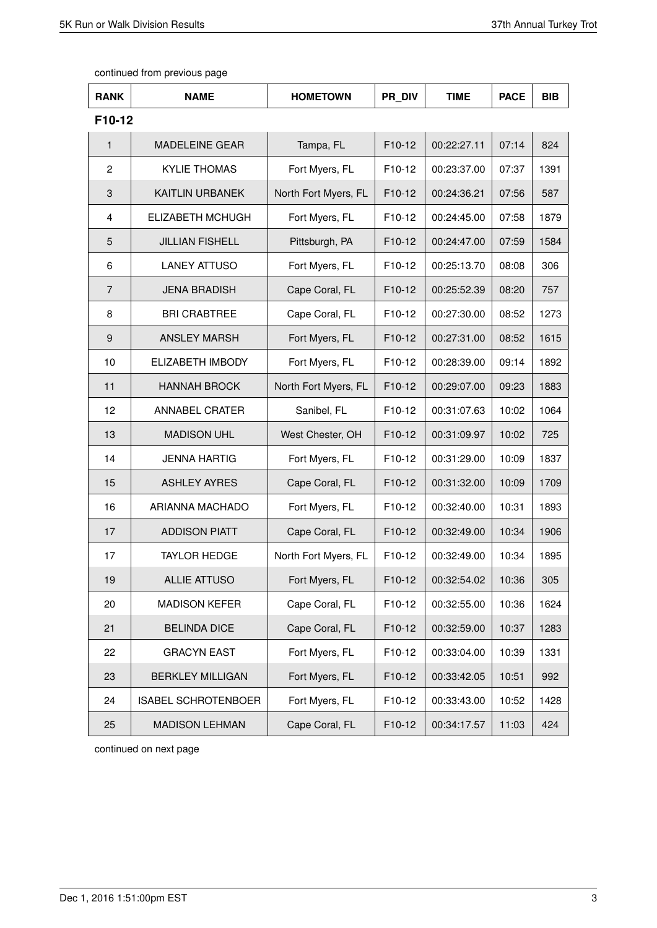| <b>RANK</b>    | <b>NAME</b>                | <b>HOMETOWN</b>      | PR DIV | <b>TIME</b> | <b>PACE</b> | <b>BIB</b> |
|----------------|----------------------------|----------------------|--------|-------------|-------------|------------|
| F10-12         |                            |                      |        |             |             |            |
| 1              | <b>MADELEINE GEAR</b>      | Tampa, FL            | F10-12 | 00:22:27.11 | 07:14       | 824        |
| $\overline{c}$ | <b>KYLIE THOMAS</b>        | Fort Myers, FL       | F10-12 | 00:23:37.00 | 07:37       | 1391       |
| $\sqrt{3}$     | <b>KAITLIN URBANEK</b>     | North Fort Myers, FL | F10-12 | 00:24:36.21 | 07:56       | 587        |
| $\overline{4}$ | <b>ELIZABETH MCHUGH</b>    | Fort Myers, FL       | F10-12 | 00:24:45.00 | 07:58       | 1879       |
| 5              | <b>JILLIAN FISHELL</b>     | Pittsburgh, PA       | F10-12 | 00:24:47.00 | 07:59       | 1584       |
| 6              | <b>LANEY ATTUSO</b>        | Fort Myers, FL       | F10-12 | 00:25:13.70 | 08:08       | 306        |
| $\overline{7}$ | <b>JENA BRADISH</b>        | Cape Coral, FL       | F10-12 | 00:25:52.39 | 08:20       | 757        |
| 8              | <b>BRI CRABTREE</b>        | Cape Coral, FL       | F10-12 | 00:27:30.00 | 08:52       | 1273       |
| 9              | <b>ANSLEY MARSH</b>        | Fort Myers, FL       | F10-12 | 00:27:31.00 | 08:52       | 1615       |
| 10             | ELIZABETH IMBODY           | Fort Myers, FL       | F10-12 | 00:28:39.00 | 09:14       | 1892       |
| 11             | <b>HANNAH BROCK</b>        | North Fort Myers, FL | F10-12 | 00:29:07.00 | 09:23       | 1883       |
| 12             | ANNABEL CRATER             | Sanibel, FL          | F10-12 | 00:31:07.63 | 10:02       | 1064       |
| 13             | <b>MADISON UHL</b>         | West Chester, OH     | F10-12 | 00:31:09.97 | 10:02       | 725        |
| 14             | <b>JENNA HARTIG</b>        | Fort Myers, FL       | F10-12 | 00:31:29.00 | 10:09       | 1837       |
| 15             | <b>ASHLEY AYRES</b>        | Cape Coral, FL       | F10-12 | 00:31:32.00 | 10:09       | 1709       |
| 16             | ARIANNA MACHADO            | Fort Myers, FL       | F10-12 | 00:32:40.00 | 10:31       | 1893       |
| 17             | <b>ADDISON PIATT</b>       | Cape Coral, FL       | F10-12 | 00:32:49.00 | 10:34       | 1906       |
| 17             | <b>TAYLOR HEDGE</b>        | North Fort Myers, FL | F10-12 | 00:32:49.00 | 10:34       | 1895       |
| 19             | ALLIE ATTUSO               | Fort Myers, FL       | F10-12 | 00:32:54.02 | 10:36       | 305        |
| 20             | <b>MADISON KEFER</b>       | Cape Coral, FL       | F10-12 | 00:32:55.00 | 10:36       | 1624       |
| 21             | <b>BELINDA DICE</b>        | Cape Coral, FL       | F10-12 | 00:32:59.00 | 10:37       | 1283       |
| 22             | <b>GRACYN EAST</b>         | Fort Myers, FL       | F10-12 | 00:33:04.00 | 10:39       | 1331       |
| 23             | <b>BERKLEY MILLIGAN</b>    | Fort Myers, FL       | F10-12 | 00:33:42.05 | 10:51       | 992        |
| 24             | <b>ISABEL SCHROTENBOER</b> | Fort Myers, FL       | F10-12 | 00:33:43.00 | 10:52       | 1428       |
| 25             | <b>MADISON LEHMAN</b>      | Cape Coral, FL       | F10-12 | 00:34:17.57 | 11:03       | 424        |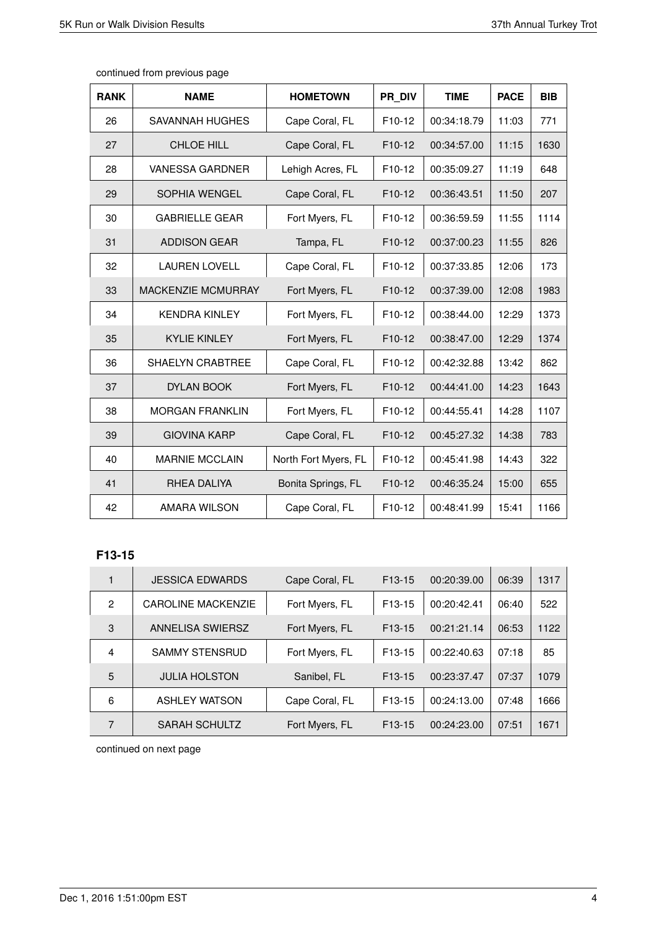| <b>RANK</b> | <b>NAME</b>             | <b>HOMETOWN</b>      | PR DIV              | <b>TIME</b> | <b>PACE</b> | <b>BIB</b> |
|-------------|-------------------------|----------------------|---------------------|-------------|-------------|------------|
| 26          | SAVANNAH HUGHES         | Cape Coral, FL       | F10-12              | 00:34:18.79 | 11:03       | 771        |
| 27          | <b>CHLOE HILL</b>       | Cape Coral, FL       | F10-12              | 00:34:57.00 | 11:15       | 1630       |
| 28          | VANESSA GARDNER         | Lehigh Acres, FL     | F <sub>10</sub> -12 | 00:35:09.27 | 11:19       | 648        |
| 29          | <b>SOPHIA WENGEL</b>    | Cape Coral, FL       | F <sub>10</sub> -12 | 00:36:43.51 | 11:50       | 207        |
| 30          | <b>GABRIELLE GEAR</b>   | Fort Myers, FL       | F10-12              | 00:36:59.59 | 11:55       | 1114       |
| 31          | <b>ADDISON GEAR</b>     | Tampa, FL            | F10-12              | 00:37:00.23 | 11:55       | 826        |
| 32          | <b>LAUREN LOVELL</b>    | Cape Coral, FL       | F10-12              | 00:37:33.85 | 12:06       | 173        |
| 33          | MACKENZIE MCMURRAY      | Fort Myers, FL       | F10-12              | 00:37:39.00 | 12:08       | 1983       |
| 34          | <b>KENDRA KINLEY</b>    | Fort Myers, FL       | F <sub>10</sub> -12 | 00:38:44.00 | 12:29       | 1373       |
| 35          | <b>KYLIE KINLEY</b>     | Fort Myers, FL       | F10-12              | 00:38:47.00 | 12:29       | 1374       |
| 36          | <b>SHAELYN CRABTREE</b> | Cape Coral, FL       | F10-12              | 00:42:32.88 | 13:42       | 862        |
| 37          | <b>DYLAN BOOK</b>       | Fort Myers, FL       | F <sub>10</sub> -12 | 00:44:41.00 | 14:23       | 1643       |
| 38          | <b>MORGAN FRANKLIN</b>  | Fort Myers, FL       | F10-12              | 00:44:55.41 | 14:28       | 1107       |
| 39          | <b>GIOVINA KARP</b>     | Cape Coral, FL       | F10-12              | 00:45:27.32 | 14:38       | 783        |
| 40          | <b>MARNIE MCCLAIN</b>   | North Fort Myers, FL | F <sub>10</sub> -12 | 00:45:41.98 | 14:43       | 322        |
| 41          | RHEA DALIYA             | Bonita Springs, FL   | F10-12              | 00:46:35.24 | 15:00       | 655        |
| 42          | AMARA WILSON            | Cape Coral, FL       | F10-12              | 00:48:41.99 | 15:41       | 1166       |

# **F13-15**

|   | <b>JESSICA EDWARDS</b>    | Cape Coral, FL | F <sub>13</sub> -15 | 00:20:39.00 | 06:39 | 1317 |
|---|---------------------------|----------------|---------------------|-------------|-------|------|
| 2 | <b>CAROLINE MACKENZIE</b> | Fort Myers, FL | F <sub>13</sub> -15 | 00:20:42.41 | 06:40 | 522  |
| 3 | ANNELISA SWIERSZ          | Fort Myers, FL | F <sub>13</sub> -15 | 00:21:21.14 | 06:53 | 1122 |
| 4 | <b>SAMMY STENSRUD</b>     | Fort Myers, FL | F <sub>13</sub> -15 | 00:22:40.63 | 07:18 | 85   |
| 5 | <b>JULIA HOLSTON</b>      | Sanibel, FL    | F <sub>13</sub> -15 | 00:23:37.47 | 07:37 | 1079 |
| 6 | <b>ASHLEY WATSON</b>      | Cape Coral, FL | F <sub>13</sub> -15 | 00:24:13.00 | 07:48 | 1666 |
| 7 | <b>SARAH SCHULTZ</b>      | Fort Myers, FL | F <sub>13</sub> -15 | 00:24:23.00 | 07:51 | 1671 |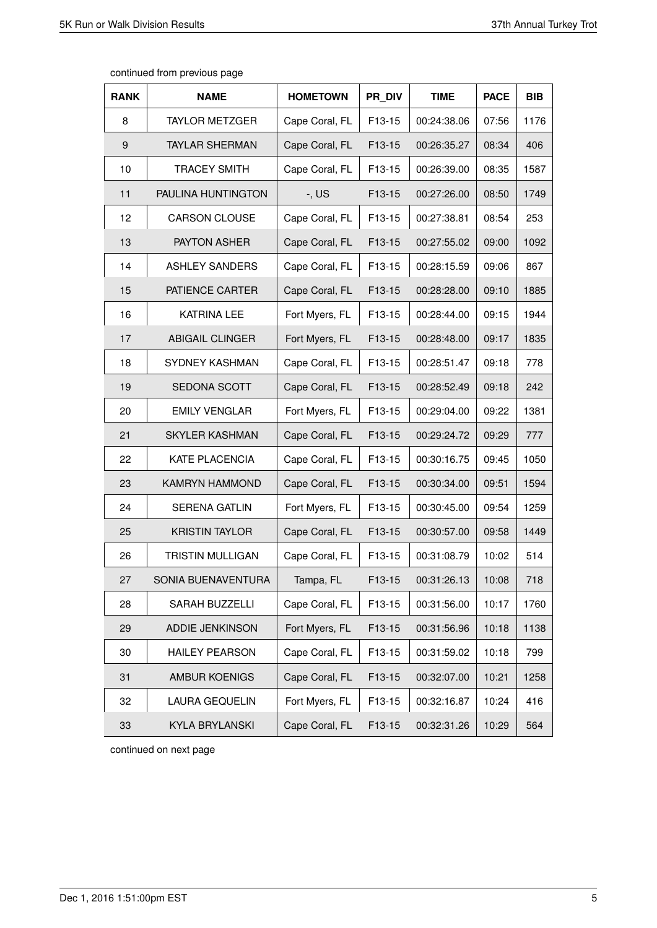| <b>RANK</b>      | <b>NAME</b>             | <b>HOMETOWN</b> | PR DIV | <b>TIME</b> | <b>PACE</b> | <b>BIB</b> |
|------------------|-------------------------|-----------------|--------|-------------|-------------|------------|
| 8                | <b>TAYLOR METZGER</b>   | Cape Coral, FL  | F13-15 | 00:24:38.06 | 07:56       | 1176       |
| $\boldsymbol{9}$ | <b>TAYLAR SHERMAN</b>   | Cape Coral, FL  | F13-15 | 00:26:35.27 | 08:34       | 406        |
| 10               | <b>TRACEY SMITH</b>     | Cape Coral, FL  | F13-15 | 00:26:39.00 | 08:35       | 1587       |
| 11               | PAULINA HUNTINGTON      | $-$ , US        | F13-15 | 00:27:26.00 | 08:50       | 1749       |
| 12               | <b>CARSON CLOUSE</b>    | Cape Coral, FL  | F13-15 | 00:27:38.81 | 08:54       | 253        |
| 13               | PAYTON ASHER            | Cape Coral, FL  | F13-15 | 00:27:55.02 | 09:00       | 1092       |
| 14               | <b>ASHLEY SANDERS</b>   | Cape Coral, FL  | F13-15 | 00:28:15.59 | 09:06       | 867        |
| 15               | PATIENCE CARTER         | Cape Coral, FL  | F13-15 | 00:28:28.00 | 09:10       | 1885       |
| 16               | <b>KATRINA LEE</b>      | Fort Myers, FL  | F13-15 | 00:28:44.00 | 09:15       | 1944       |
| 17               | <b>ABIGAIL CLINGER</b>  | Fort Myers, FL  | F13-15 | 00:28:48.00 | 09:17       | 1835       |
| 18               | <b>SYDNEY KASHMAN</b>   | Cape Coral, FL  | F13-15 | 00:28:51.47 | 09:18       | 778        |
| 19               | SEDONA SCOTT            | Cape Coral, FL  | F13-15 | 00:28:52.49 | 09:18       | 242        |
| 20               | <b>EMILY VENGLAR</b>    | Fort Myers, FL  | F13-15 | 00:29:04.00 | 09:22       | 1381       |
| 21               | <b>SKYLER KASHMAN</b>   | Cape Coral, FL  | F13-15 | 00:29:24.72 | 09:29       | 777        |
| 22               | KATE PLACENCIA          | Cape Coral, FL  | F13-15 | 00:30:16.75 | 09:45       | 1050       |
| 23               | <b>KAMRYN HAMMOND</b>   | Cape Coral, FL  | F13-15 | 00:30:34.00 | 09:51       | 1594       |
| 24               | <b>SERENA GATLIN</b>    | Fort Myers, FL  | F13-15 | 00:30:45.00 | 09:54       | 1259       |
| 25               | <b>KRISTIN TAYLOR</b>   | Cape Coral, FL  | F13-15 | 00:30:57.00 | 09:58       | 1449       |
| 26               | <b>TRISTIN MULLIGAN</b> | Cape Coral, FL  | F13-15 | 00:31:08.79 | 10:02       | 514        |
| 27               | SONIA BUENAVENTURA      | Tampa, FL       | F13-15 | 00:31:26.13 | 10:08       | 718        |
| 28               | SARAH BUZZELLI          | Cape Coral, FL  | F13-15 | 00:31:56.00 | 10:17       | 1760       |
| 29               | ADDIE JENKINSON         | Fort Myers, FL  | F13-15 | 00:31:56.96 | 10:18       | 1138       |
| 30               | <b>HAILEY PEARSON</b>   | Cape Coral, FL  | F13-15 | 00:31:59.02 | 10:18       | 799        |
| 31               | AMBUR KOENIGS           | Cape Coral, FL  | F13-15 | 00:32:07.00 | 10:21       | 1258       |
| 32               | <b>LAURA GEQUELIN</b>   | Fort Myers, FL  | F13-15 | 00:32:16.87 | 10:24       | 416        |
| 33               | <b>KYLA BRYLANSKI</b>   | Cape Coral, FL  | F13-15 | 00:32:31.26 | 10:29       | 564        |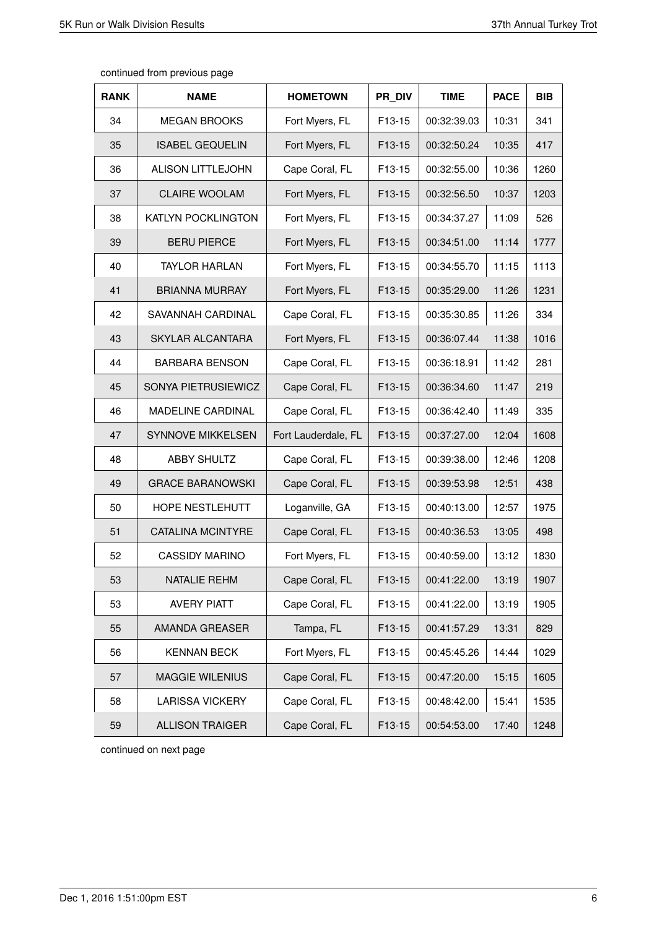| <b>RANK</b> | <b>NAME</b>               | <b>HOMETOWN</b>     | PR DIV | <b>TIME</b> | <b>PACE</b> | <b>BIB</b> |
|-------------|---------------------------|---------------------|--------|-------------|-------------|------------|
| 34          | <b>MEGAN BROOKS</b>       | Fort Myers, FL      | F13-15 | 00:32:39.03 | 10:31       | 341        |
| 35          | <b>ISABEL GEQUELIN</b>    | Fort Myers, FL      | F13-15 | 00:32:50.24 | 10:35       | 417        |
| 36          | <b>ALISON LITTLEJOHN</b>  | Cape Coral, FL      | F13-15 | 00:32:55.00 | 10:36       | 1260       |
| 37          | <b>CLAIRE WOOLAM</b>      | Fort Myers, FL      | F13-15 | 00:32:56.50 | 10:37       | 1203       |
| 38          | <b>KATLYN POCKLINGTON</b> | Fort Myers, FL      | F13-15 | 00:34:37.27 | 11:09       | 526        |
| 39          | <b>BERU PIERCE</b>        | Fort Myers, FL      | F13-15 | 00:34:51.00 | 11:14       | 1777       |
| 40          | <b>TAYLOR HARLAN</b>      | Fort Myers, FL      | F13-15 | 00:34:55.70 | 11:15       | 1113       |
| 41          | <b>BRIANNA MURRAY</b>     | Fort Myers, FL      | F13-15 | 00:35:29.00 | 11:26       | 1231       |
| 42          | SAVANNAH CARDINAL         | Cape Coral, FL      | F13-15 | 00:35:30.85 | 11:26       | 334        |
| 43          | SKYLAR ALCANTARA          | Fort Myers, FL      | F13-15 | 00:36:07.44 | 11:38       | 1016       |
| 44          | <b>BARBARA BENSON</b>     | Cape Coral, FL      | F13-15 | 00:36:18.91 | 11:42       | 281        |
| 45          | SONYA PIETRUSIEWICZ       | Cape Coral, FL      | F13-15 | 00:36:34.60 | 11:47       | 219        |
| 46          | MADELINE CARDINAL         | Cape Coral, FL      | F13-15 | 00:36:42.40 | 11:49       | 335        |
| 47          | <b>SYNNOVE MIKKELSEN</b>  | Fort Lauderdale, FL | F13-15 | 00:37:27.00 | 12:04       | 1608       |
| 48          | <b>ABBY SHULTZ</b>        | Cape Coral, FL      | F13-15 | 00:39:38.00 | 12:46       | 1208       |
| 49          | <b>GRACE BARANOWSKI</b>   | Cape Coral, FL      | F13-15 | 00:39:53.98 | 12:51       | 438        |
| 50          | HOPE NESTLEHUTT           | Loganville, GA      | F13-15 | 00:40:13.00 | 12:57       | 1975       |
| 51          | <b>CATALINA MCINTYRE</b>  | Cape Coral, FL      | F13-15 | 00:40:36.53 | 13:05       | 498        |
| 52          | <b>CASSIDY MARINO</b>     | Fort Myers, FL      | F13-15 | 00:40:59.00 | 13:12       | 1830       |
| 53          | NATALIE REHM              | Cape Coral, FL      | F13-15 | 00:41:22.00 | 13:19       | 1907       |
| 53          | <b>AVERY PIATT</b>        | Cape Coral, FL      | F13-15 | 00:41:22.00 | 13:19       | 1905       |
| 55          | AMANDA GREASER            | Tampa, FL           | F13-15 | 00:41:57.29 | 13:31       | 829        |
| 56          | <b>KENNAN BECK</b>        | Fort Myers, FL      | F13-15 | 00:45:45.26 | 14:44       | 1029       |
| 57          | MAGGIE WILENIUS           | Cape Coral, FL      | F13-15 | 00:47:20.00 | 15:15       | 1605       |
| 58          | <b>LARISSA VICKERY</b>    | Cape Coral, FL      | F13-15 | 00:48:42.00 | 15:41       | 1535       |
| 59          | <b>ALLISON TRAIGER</b>    | Cape Coral, FL      | F13-15 | 00:54:53.00 | 17:40       | 1248       |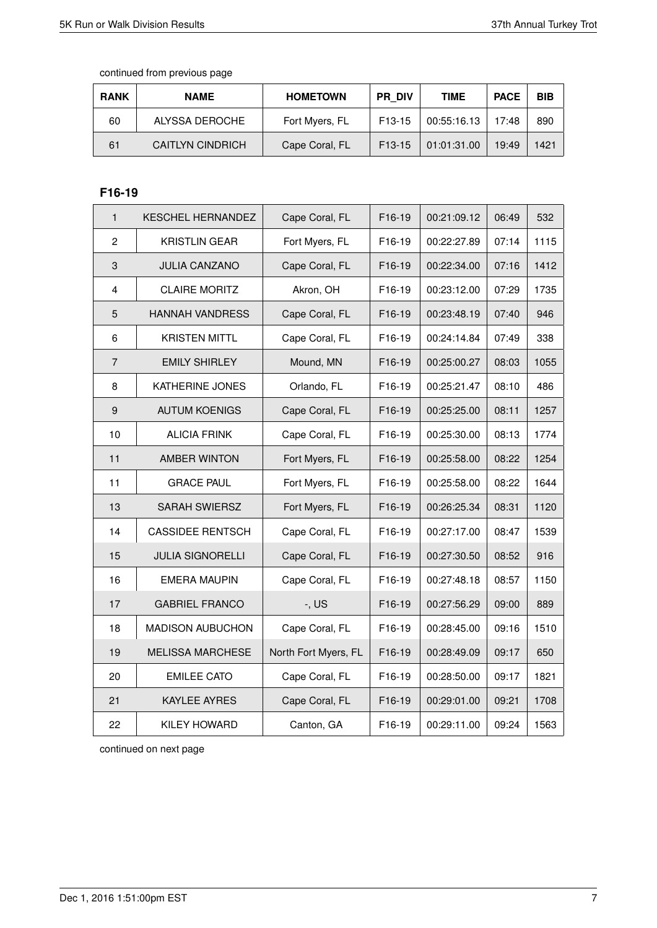| <b>RANK</b> | <b>NAME</b>             | <b>HOMETOWN</b> | <b>PR DIV</b>       | <b>TIME</b> | <b>PACE</b> | <b>BIB</b> |
|-------------|-------------------------|-----------------|---------------------|-------------|-------------|------------|
| 60          | ALYSSA DEROCHE          | Fort Myers, FL  | F <sub>13</sub> -15 | 00:55:16.13 | 17:48       | 890        |
| 61          | <b>CAITLYN CINDRICH</b> | Cape Coral, FL  | F <sub>13</sub> -15 | 01:01:31.00 | 19:49       | 1421       |

# **F16-19**

| $\mathbf{1}$              | <b>KESCHEL HERNANDEZ</b> | Cape Coral, FL       | F16-19 | 00:21:09.12 | 06:49 | 532  |
|---------------------------|--------------------------|----------------------|--------|-------------|-------|------|
| $\overline{c}$            | <b>KRISTLIN GEAR</b>     | Fort Myers, FL       | F16-19 | 00:22:27.89 | 07:14 | 1115 |
| $\ensuremath{\mathsf{3}}$ | <b>JULIA CANZANO</b>     | Cape Coral, FL       | F16-19 | 00:22:34.00 | 07:16 | 1412 |
| 4                         | <b>CLAIRE MORITZ</b>     | Akron, OH            | F16-19 | 00:23:12.00 | 07:29 | 1735 |
| 5                         | <b>HANNAH VANDRESS</b>   | Cape Coral, FL       | F16-19 | 00:23:48.19 | 07:40 | 946  |
| 6                         | <b>KRISTEN MITTL</b>     | Cape Coral, FL       | F16-19 | 00:24:14.84 | 07:49 | 338  |
| $\overline{7}$            | <b>EMILY SHIRLEY</b>     | Mound, MN            | F16-19 | 00:25:00.27 | 08:03 | 1055 |
| 8                         | KATHERINE JONES          | Orlando, FL          | F16-19 | 00:25:21.47 | 08:10 | 486  |
| $\boldsymbol{9}$          | <b>AUTUM KOENIGS</b>     | Cape Coral, FL       | F16-19 | 00:25:25.00 | 08:11 | 1257 |
| 10                        | <b>ALICIA FRINK</b>      | Cape Coral, FL       | F16-19 | 00:25:30.00 | 08:13 | 1774 |
| 11                        | <b>AMBER WINTON</b>      | Fort Myers, FL       | F16-19 | 00:25:58.00 | 08:22 | 1254 |
| 11                        | <b>GRACE PAUL</b>        | Fort Myers, FL       | F16-19 | 00:25:58.00 | 08:22 | 1644 |
| 13                        | <b>SARAH SWIERSZ</b>     | Fort Myers, FL       | F16-19 | 00:26:25.34 | 08:31 | 1120 |
| 14                        | <b>CASSIDEE RENTSCH</b>  | Cape Coral, FL       | F16-19 | 00:27:17.00 | 08:47 | 1539 |
| 15                        | <b>JULIA SIGNORELLI</b>  | Cape Coral, FL       | F16-19 | 00:27:30.50 | 08:52 | 916  |
| 16                        | <b>EMERA MAUPIN</b>      | Cape Coral, FL       | F16-19 | 00:27:48.18 | 08:57 | 1150 |
| 17                        | <b>GABRIEL FRANCO</b>    | $-$ , US             | F16-19 | 00:27:56.29 | 09:00 | 889  |
| 18                        | <b>MADISON AUBUCHON</b>  | Cape Coral, FL       | F16-19 | 00:28:45.00 | 09:16 | 1510 |
| 19                        | <b>MELISSA MARCHESE</b>  | North Fort Myers, FL | F16-19 | 00:28:49.09 | 09:17 | 650  |
| 20                        | <b>EMILEE CATO</b>       | Cape Coral, FL       | F16-19 | 00:28:50.00 | 09:17 | 1821 |
| 21                        | <b>KAYLEE AYRES</b>      | Cape Coral, FL       | F16-19 | 00:29:01.00 | 09:21 | 1708 |
| 22                        | <b>KILEY HOWARD</b>      | Canton, GA           | F16-19 | 00:29:11.00 | 09:24 | 1563 |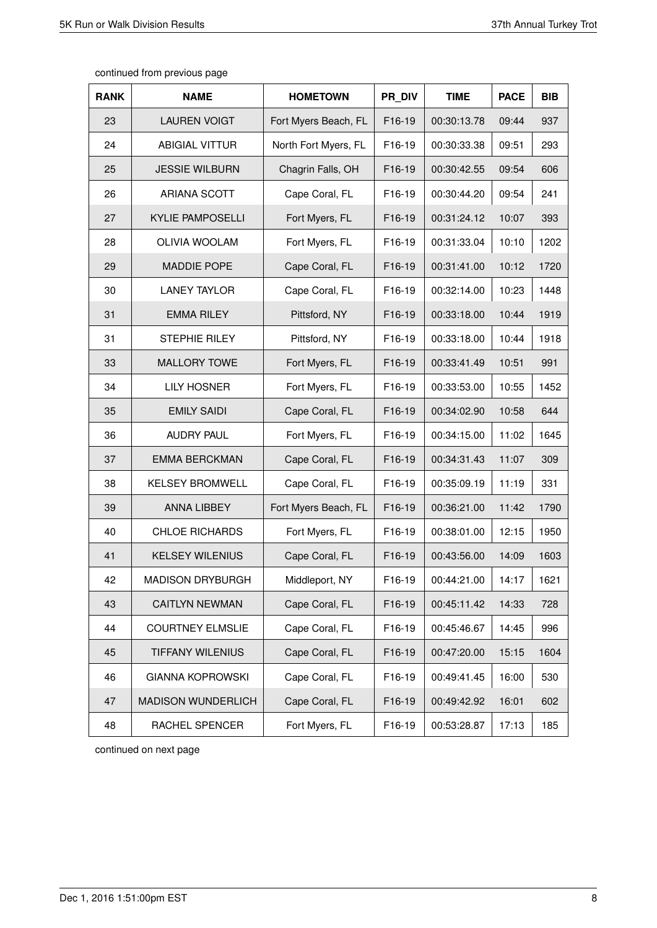| <b>RANK</b> | <b>NAME</b>               | <b>HOMETOWN</b>      | PR DIV | <b>TIME</b> | <b>PACE</b> | <b>BIB</b> |
|-------------|---------------------------|----------------------|--------|-------------|-------------|------------|
| 23          | <b>LAUREN VOIGT</b>       | Fort Myers Beach, FL | F16-19 | 00:30:13.78 | 09:44       | 937        |
| 24          | <b>ABIGIAL VITTUR</b>     | North Fort Myers, FL | F16-19 | 00:30:33.38 | 09:51       | 293        |
| 25          | <b>JESSIE WILBURN</b>     | Chagrin Falls, OH    | F16-19 | 00:30:42.55 | 09:54       | 606        |
| 26          | <b>ARIANA SCOTT</b>       | Cape Coral, FL       | F16-19 | 00:30:44.20 | 09:54       | 241        |
| 27          | <b>KYLIE PAMPOSELLI</b>   | Fort Myers, FL       | F16-19 | 00:31:24.12 | 10:07       | 393        |
| 28          | <b>OLIVIA WOOLAM</b>      | Fort Myers, FL       | F16-19 | 00:31:33.04 | 10:10       | 1202       |
| 29          | <b>MADDIE POPE</b>        | Cape Coral, FL       | F16-19 | 00:31:41.00 | 10:12       | 1720       |
| 30          | <b>LANEY TAYLOR</b>       | Cape Coral, FL       | F16-19 | 00:32:14.00 | 10:23       | 1448       |
| 31          | <b>EMMA RILEY</b>         | Pittsford, NY        | F16-19 | 00:33:18.00 | 10:44       | 1919       |
| 31          | <b>STEPHIE RILEY</b>      | Pittsford, NY        | F16-19 | 00:33:18.00 | 10:44       | 1918       |
| 33          | <b>MALLORY TOWE</b>       | Fort Myers, FL       | F16-19 | 00:33:41.49 | 10:51       | 991        |
| 34          | <b>LILY HOSNER</b>        | Fort Myers, FL       | F16-19 | 00:33:53.00 | 10:55       | 1452       |
| 35          | <b>EMILY SAIDI</b>        | Cape Coral, FL       | F16-19 | 00:34:02.90 | 10:58       | 644        |
| 36          | AUDRY PAUL                | Fort Myers, FL       | F16-19 | 00:34:15.00 | 11:02       | 1645       |
| 37          | <b>EMMA BERCKMAN</b>      | Cape Coral, FL       | F16-19 | 00:34:31.43 | 11:07       | 309        |
| 38          | <b>KELSEY BROMWELL</b>    | Cape Coral, FL       | F16-19 | 00:35:09.19 | 11:19       | 331        |
| 39          | <b>ANNA LIBBEY</b>        | Fort Myers Beach, FL | F16-19 | 00:36:21.00 | 11:42       | 1790       |
| 40          | <b>CHLOE RICHARDS</b>     | Fort Myers, FL       | F16-19 | 00:38:01.00 | 12:15       | 1950       |
| 41          | <b>KELSEY WILENIUS</b>    | Cape Coral, FL       | F16-19 | 00:43:56.00 | 14:09       | 1603       |
| 42          | <b>MADISON DRYBURGH</b>   | Middleport, NY       | F16-19 | 00:44:21.00 | 14:17       | 1621       |
| 43          | <b>CAITLYN NEWMAN</b>     | Cape Coral, FL       | F16-19 | 00:45:11.42 | 14:33       | 728        |
| 44          | <b>COURTNEY ELMSLIE</b>   | Cape Coral, FL       | F16-19 | 00:45:46.67 | 14:45       | 996        |
| 45          | <b>TIFFANY WILENIUS</b>   | Cape Coral, FL       | F16-19 | 00:47:20.00 | 15:15       | 1604       |
| 46          | <b>GIANNA KOPROWSKI</b>   | Cape Coral, FL       | F16-19 | 00:49:41.45 | 16:00       | 530        |
| 47          | <b>MADISON WUNDERLICH</b> | Cape Coral, FL       | F16-19 | 00:49:42.92 | 16:01       | 602        |
| 48          | RACHEL SPENCER            | Fort Myers, FL       | F16-19 | 00:53:28.87 | 17:13       | 185        |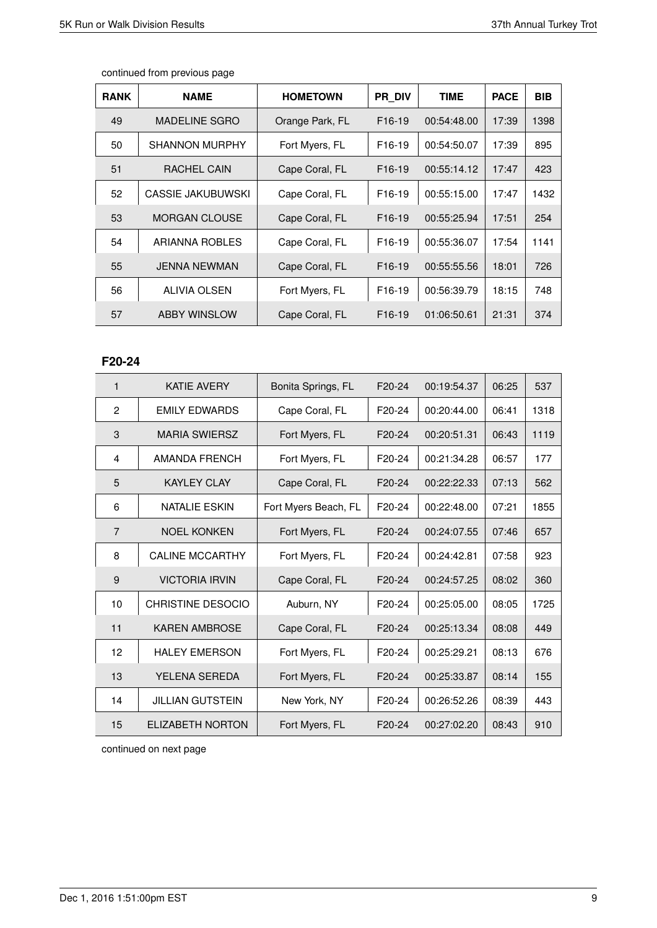| <b>RANK</b> | <b>NAME</b>           | <b>HOMETOWN</b> | <b>PR DIV</b>       | <b>TIME</b> | <b>PACE</b> | <b>BIB</b> |
|-------------|-----------------------|-----------------|---------------------|-------------|-------------|------------|
| 49          | <b>MADELINE SGRO</b>  | Orange Park, FL | F <sub>16</sub> -19 | 00:54:48.00 | 17:39       | 1398       |
| 50          | <b>SHANNON MURPHY</b> | Fort Myers, FL  | F <sub>16</sub> -19 | 00:54:50.07 | 17:39       | 895        |
| 51          | RACHEL CAIN           | Cape Coral, FL  | F <sub>16</sub> -19 | 00:55:14.12 | 17:47       | 423        |
| 52          | CASSIE JAKUBUWSKI     | Cape Coral, FL  | F <sub>16</sub> -19 | 00:55:15.00 | 17:47       | 1432       |
| 53          | <b>MORGAN CLOUSE</b>  | Cape Coral, FL  | F <sub>16</sub> -19 | 00:55:25.94 | 17:51       | 254        |
| 54          | ARIANNA ROBLES        | Cape Coral, FL  | F <sub>16</sub> -19 | 00:55:36.07 | 17:54       | 1141       |
| 55          | <b>JENNA NEWMAN</b>   | Cape Coral, FL  | F <sub>16</sub> -19 | 00:55:55.56 | 18:01       | 726        |
| 56          | ALIVIA OLSEN          | Fort Myers, FL  | F <sub>16</sub> -19 | 00:56:39.79 | 18:15       | 748        |
| 57          | <b>ABBY WINSLOW</b>   | Cape Coral, FL  | F <sub>16</sub> -19 | 01:06:50.61 | 21:31       | 374        |

# **F20-24**

| 1              | <b>KATIE AVERY</b>       | Bonita Springs, FL   | F20-24              | 00:19:54.37 | 06:25 | 537  |
|----------------|--------------------------|----------------------|---------------------|-------------|-------|------|
| 2              | <b>FMILY FDWARDS</b>     | Cape Coral, FL       | F20-24              | 00:20:44.00 | 06:41 | 1318 |
| 3              | <b>MARIA SWIERSZ</b>     | Fort Myers, FL       | F20-24              | 00:20:51.31 | 06:43 | 1119 |
| 4              | AMANDA FRENCH            | Fort Myers, FL       | F <sub>20</sub> -24 | 00:21:34.28 | 06:57 | 177  |
| 5              | <b>KAYLEY CLAY</b>       | Cape Coral, FL       | F20-24              | 00:22:22.33 | 07:13 | 562  |
| 6              | <b>NATALIE ESKIN</b>     | Fort Myers Beach, FL | F20-24              | 00:22:48.00 | 07:21 | 1855 |
| $\overline{7}$ | <b>NOEL KONKEN</b>       | Fort Myers, FL       | F20-24              | 00:24:07.55 | 07:46 | 657  |
| 8              | <b>CALINE MCCARTHY</b>   | Fort Myers, FL       | F <sub>20</sub> -24 | 00:24:42.81 | 07:58 | 923  |
| 9              | <b>VICTORIA IRVIN</b>    | Cape Coral, FL       | F <sub>20</sub> -24 | 00:24:57.25 | 08:02 | 360  |
| 10             | <b>CHRISTINE DESOCIO</b> | Auburn, NY           | F <sub>20</sub> -24 | 00:25:05.00 | 08:05 | 1725 |
| 11             | <b>KAREN AMBROSE</b>     | Cape Coral, FL       | F <sub>20</sub> -24 | 00:25:13.34 | 08:08 | 449  |
| 12             | <b>HALEY EMERSON</b>     | Fort Myers, FL       | F20-24              | 00:25:29.21 | 08:13 | 676  |
| 13             | <b>YELENA SEREDA</b>     | Fort Myers, FL       | F20-24              | 00:25:33.87 | 08:14 | 155  |
| 14             | <b>JILLIAN GUTSTEIN</b>  | New York, NY         | F <sub>20</sub> -24 | 00:26:52.26 | 08:39 | 443  |
| 15             | <b>ELIZABETH NORTON</b>  | Fort Myers, FL       | F20-24              | 00:27:02.20 | 08:43 | 910  |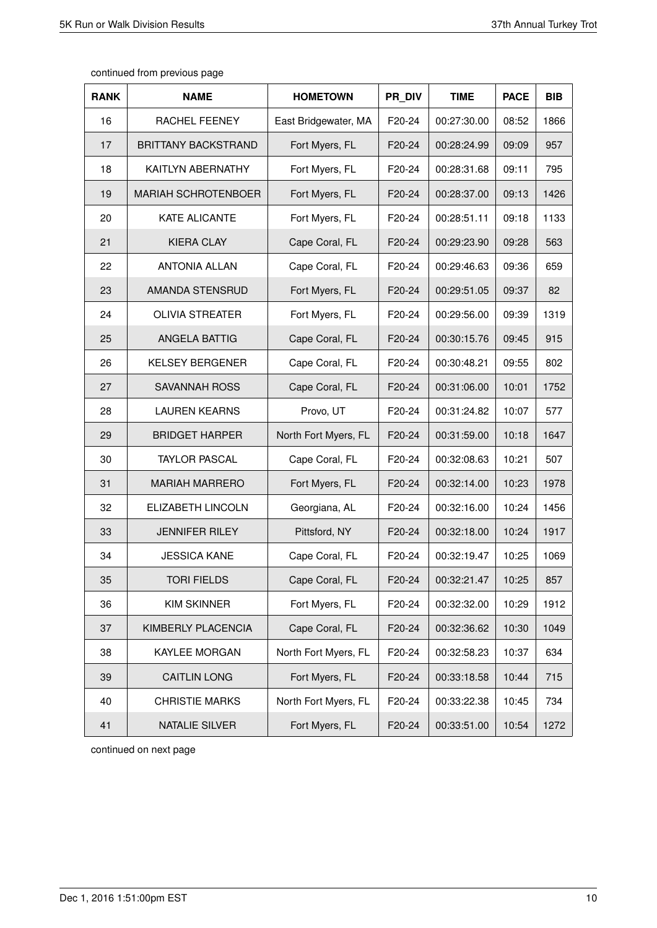| continued from previous page |  |  |  |
|------------------------------|--|--|--|
|------------------------------|--|--|--|

| <b>RANK</b> | <b>NAME</b>                | <b>HOMETOWN</b>      | PR DIV | <b>TIME</b> | <b>PACE</b> | <b>BIB</b> |
|-------------|----------------------------|----------------------|--------|-------------|-------------|------------|
| 16          | <b>RACHEL FEENEY</b>       | East Bridgewater, MA | F20-24 | 00:27:30.00 | 08:52       | 1866       |
| 17          | <b>BRITTANY BACKSTRAND</b> | Fort Myers, FL       | F20-24 | 00:28:24.99 | 09:09       | 957        |
| 18          | KAITLYN ABERNATHY          | Fort Myers, FL       | F20-24 | 00:28:31.68 | 09:11       | 795        |
| 19          | <b>MARIAH SCHROTENBOER</b> | Fort Myers, FL       | F20-24 | 00:28:37.00 | 09:13       | 1426       |
| 20          | <b>KATE ALICANTE</b>       | Fort Myers, FL       | F20-24 | 00:28:51.11 | 09:18       | 1133       |
| 21          | <b>KIERA CLAY</b>          | Cape Coral, FL       | F20-24 | 00:29:23.90 | 09:28       | 563        |
| 22          | <b>ANTONIA ALLAN</b>       | Cape Coral, FL       | F20-24 | 00:29:46.63 | 09:36       | 659        |
| 23          | AMANDA STENSRUD            | Fort Myers, FL       | F20-24 | 00:29:51.05 | 09:37       | 82         |
| 24          | <b>OLIVIA STREATER</b>     | Fort Myers, FL       | F20-24 | 00:29:56.00 | 09:39       | 1319       |
| 25          | ANGELA BATTIG              | Cape Coral, FL       | F20-24 | 00:30:15.76 | 09:45       | 915        |
| 26          | <b>KELSEY BERGENER</b>     | Cape Coral, FL       | F20-24 | 00:30:48.21 | 09:55       | 802        |
| 27          | <b>SAVANNAH ROSS</b>       | Cape Coral, FL       | F20-24 | 00:31:06.00 | 10:01       | 1752       |
| 28          | <b>LAUREN KEARNS</b>       | Provo, UT            | F20-24 | 00:31:24.82 | 10:07       | 577        |
| 29          | <b>BRIDGET HARPER</b>      | North Fort Myers, FL | F20-24 | 00:31:59.00 | 10:18       | 1647       |
| 30          | <b>TAYLOR PASCAL</b>       | Cape Coral, FL       | F20-24 | 00:32:08.63 | 10:21       | 507        |
| 31          | <b>MARIAH MARRERO</b>      | Fort Myers, FL       | F20-24 | 00:32:14.00 | 10:23       | 1978       |
| 32          | <b>ELIZABETH LINCOLN</b>   | Georgiana, AL        | F20-24 | 00:32:16.00 | 10:24       | 1456       |
| 33          | <b>JENNIFER RILEY</b>      | Pittsford, NY        | F20-24 | 00:32:18.00 | 10:24       | 1917       |
| 34          | <b>JESSICA KANE</b>        | Cape Coral, FL       | F20-24 | 00:32:19.47 | 10:25       | 1069       |
| 35          | TORI FIELDS                | Cape Coral, FL       | F20-24 | 00:32:21.47 | 10:25       | 857        |
| 36          | <b>KIM SKINNER</b>         | Fort Myers, FL       | F20-24 | 00:32:32.00 | 10:29       | 1912       |
| 37          | KIMBERLY PLACENCIA         | Cape Coral, FL       | F20-24 | 00:32:36.62 | 10:30       | 1049       |
| 38          | KAYLEE MORGAN              | North Fort Myers, FL | F20-24 | 00:32:58.23 | 10:37       | 634        |
| 39          | <b>CAITLIN LONG</b>        | Fort Myers, FL       | F20-24 | 00:33:18.58 | 10:44       | 715        |
| 40          | <b>CHRISTIE MARKS</b>      | North Fort Myers, FL | F20-24 | 00:33:22.38 | 10:45       | 734        |
| 41          | <b>NATALIE SILVER</b>      | Fort Myers, FL       | F20-24 | 00:33:51.00 | 10:54       | 1272       |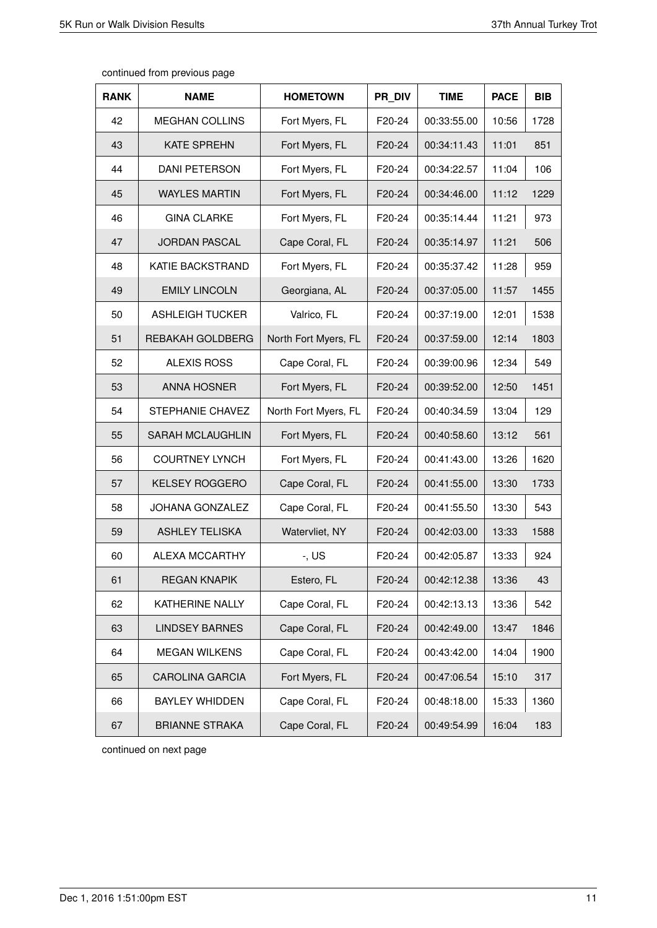| <b>RANK</b> | <b>NAME</b>            | <b>HOMETOWN</b>      | PR DIV | <b>TIME</b> | <b>PACE</b> | <b>BIB</b> |
|-------------|------------------------|----------------------|--------|-------------|-------------|------------|
| 42          | <b>MEGHAN COLLINS</b>  | Fort Myers, FL       | F20-24 | 00:33:55.00 | 10:56       | 1728       |
| 43          | <b>KATE SPREHN</b>     | Fort Myers, FL       | F20-24 | 00:34:11.43 | 11:01       | 851        |
| 44          | <b>DANI PETERSON</b>   | Fort Myers, FL       | F20-24 | 00:34:22.57 | 11:04       | 106        |
| 45          | <b>WAYLES MARTIN</b>   | Fort Myers, FL       | F20-24 | 00:34:46.00 | 11:12       | 1229       |
| 46          | <b>GINA CLARKE</b>     | Fort Myers, FL       | F20-24 | 00:35:14.44 | 11:21       | 973        |
| 47          | <b>JORDAN PASCAL</b>   | Cape Coral, FL       | F20-24 | 00:35:14.97 | 11:21       | 506        |
| 48          | KATIE BACKSTRAND       | Fort Myers, FL       | F20-24 | 00:35:37.42 | 11:28       | 959        |
| 49          | <b>EMILY LINCOLN</b>   | Georgiana, AL        | F20-24 | 00:37:05.00 | 11:57       | 1455       |
| 50          | <b>ASHLEIGH TUCKER</b> | Valrico, FL          | F20-24 | 00:37:19.00 | 12:01       | 1538       |
| 51          | REBAKAH GOLDBERG       | North Fort Myers, FL | F20-24 | 00:37:59.00 | 12:14       | 1803       |
| 52          | <b>ALEXIS ROSS</b>     | Cape Coral, FL       | F20-24 | 00:39:00.96 | 12:34       | 549        |
| 53          | <b>ANNA HOSNER</b>     | Fort Myers, FL       | F20-24 | 00:39:52.00 | 12:50       | 1451       |
| 54          | STEPHANIE CHAVEZ       | North Fort Myers, FL | F20-24 | 00:40:34.59 | 13:04       | 129        |
| 55          | SARAH MCLAUGHLIN       | Fort Myers, FL       | F20-24 | 00:40:58.60 | 13:12       | 561        |
| 56          | <b>COURTNEY LYNCH</b>  | Fort Myers, FL       | F20-24 | 00:41:43.00 | 13:26       | 1620       |
| 57          | <b>KELSEY ROGGERO</b>  | Cape Coral, FL       | F20-24 | 00:41:55.00 | 13:30       | 1733       |
| 58          | <b>JOHANA GONZALEZ</b> | Cape Coral, FL       | F20-24 | 00:41:55.50 | 13:30       | 543        |
| 59          | <b>ASHLEY TELISKA</b>  | Watervliet, NY       | F20-24 | 00:42:03.00 | 13:33       | 1588       |
| 60          | ALEXA MCCARTHY         | $-$ , US             | F20-24 | 00:42:05.87 | 13:33       | 924        |
| 61          | <b>REGAN KNAPIK</b>    | Estero, FL           | F20-24 | 00:42:12.38 | 13:36       | 43         |
| 62          | KATHERINE NALLY        | Cape Coral, FL       | F20-24 | 00:42:13.13 | 13:36       | 542        |
| 63          | <b>LINDSEY BARNES</b>  | Cape Coral, FL       | F20-24 | 00:42:49.00 | 13:47       | 1846       |
| 64          | <b>MEGAN WILKENS</b>   | Cape Coral, FL       | F20-24 | 00:43:42.00 | 14:04       | 1900       |
| 65          | <b>CAROLINA GARCIA</b> | Fort Myers, FL       | F20-24 | 00:47:06.54 | 15:10       | 317        |
| 66          | <b>BAYLEY WHIDDEN</b>  | Cape Coral, FL       | F20-24 | 00:48:18.00 | 15:33       | 1360       |
| 67          | <b>BRIANNE STRAKA</b>  | Cape Coral, FL       | F20-24 | 00:49:54.99 | 16:04       | 183        |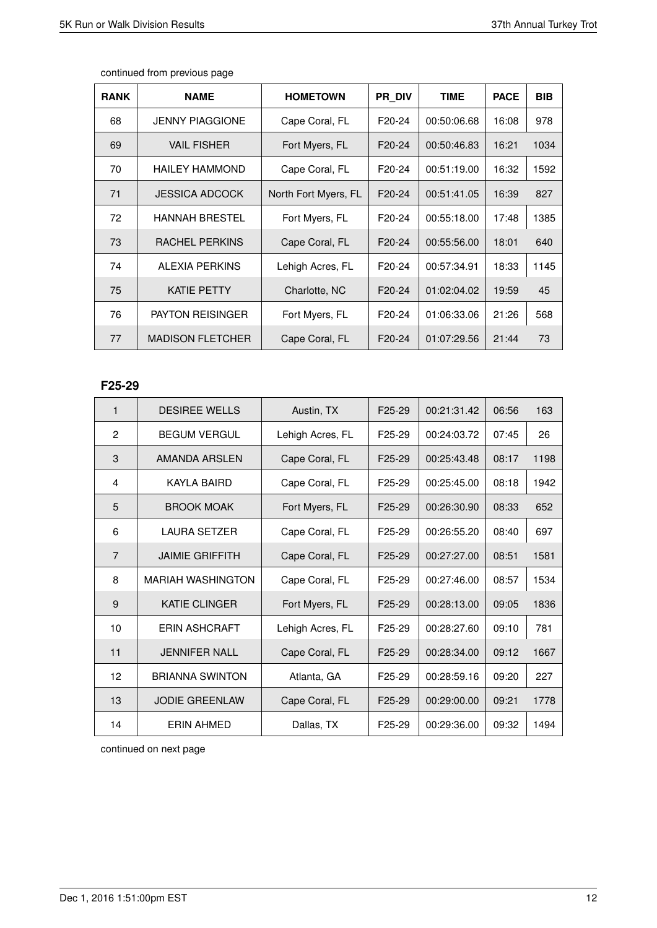| <b>RANK</b> | <b>NAME</b>             | <b>HOMETOWN</b>      | <b>PR DIV</b>       | <b>TIME</b> | <b>PACE</b> | <b>BIB</b> |
|-------------|-------------------------|----------------------|---------------------|-------------|-------------|------------|
| 68          | <b>JENNY PIAGGIONE</b>  | Cape Coral, FL       | F20-24              | 00:50:06.68 | 16:08       | 978        |
| 69          | <b>VAIL FISHER</b>      | Fort Myers, FL       | F <sub>20</sub> -24 | 00:50:46.83 | 16:21       | 1034       |
| 70          | <b>HAILEY HAMMOND</b>   | Cape Coral, FL       | F20-24              | 00:51:19.00 | 16:32       | 1592       |
| 71          | <b>JESSICA ADCOCK</b>   | North Fort Myers, FL | F20-24              | 00:51:41.05 | 16:39       | 827        |
| 72          | <b>HANNAH BRESTEL</b>   | Fort Myers, FL       | F20-24              | 00:55:18.00 | 17:48       | 1385       |
| 73          | RACHEL PERKINS          | Cape Coral, FL       | F20-24              | 00:55:56.00 | 18:01       | 640        |
| 74          | ALEXIA PERKINS          | Lehigh Acres, FL     | F <sub>20</sub> -24 | 00:57:34.91 | 18:33       | 1145       |
| 75          | <b>KATIE PETTY</b>      | Charlotte, NC        | F <sub>20</sub> -24 | 01:02:04.02 | 19:59       | 45         |
| 76          | <b>PAYTON REISINGER</b> | Fort Myers, FL       | F <sub>20</sub> -24 | 01:06:33.06 | 21:26       | 568        |
| 77          | <b>MADISON FLETCHER</b> | Cape Coral, FL       | F20-24              | 01:07:29.56 | 21:44       | 73         |

## **F25-29**

| $\mathbf{1}$   | <b>DESIREE WELLS</b>   | Austin, TX       | F <sub>25</sub> -29 | 00:21:31.42 | 06:56 | 163  |
|----------------|------------------------|------------------|---------------------|-------------|-------|------|
| 2              | <b>BEGUM VERGUL</b>    | Lehigh Acres, FL | F <sub>25</sub> -29 | 00:24:03.72 | 07:45 | 26   |
| 3              | AMANDA ARSLEN          | Cape Coral, FL   | F <sub>25</sub> -29 | 00:25:43.48 | 08:17 | 1198 |
| 4              | KAYLA BAIRD            | Cape Coral, FL   | F <sub>25</sub> -29 | 00:25:45.00 | 08:18 | 1942 |
| 5              | <b>BROOK MOAK</b>      | Fort Myers, FL   | F25-29              | 00:26:30.90 | 08:33 | 652  |
| 6              | LAURA SETZER           | Cape Coral, FL   | F <sub>25</sub> -29 | 00:26:55.20 | 08:40 | 697  |
| $\overline{7}$ | <b>JAIMIE GRIFFITH</b> | Cape Coral, FL   | F25-29              | 00:27:27.00 | 08:51 | 1581 |
| 8              | MARIAH WASHINGTON      | Cape Coral, FL   | F <sub>25</sub> -29 | 00:27:46.00 | 08:57 | 1534 |
| 9              | <b>KATIE CLINGER</b>   | Fort Myers, FL   | F25-29              | 00:28:13.00 | 09:05 | 1836 |
| 10             | <b>ERIN ASHCRAFT</b>   | Lehigh Acres, FL | F25-29              | 00:28:27.60 | 09:10 | 781  |
| 11             | <b>JENNIFER NALL</b>   | Cape Coral, FL   | F <sub>25</sub> -29 | 00:28:34.00 | 09:12 | 1667 |
| 12             | <b>BRIANNA SWINTON</b> | Atlanta, GA      | F <sub>25</sub> -29 | 00:28:59.16 | 09:20 | 227  |
| 13             | <b>JODIE GREENLAW</b>  | Cape Coral, FL   | F <sub>25</sub> -29 | 00:29:00.00 | 09:21 | 1778 |
| 14             | ERIN AHMED             | Dallas, TX       | F <sub>25</sub> -29 | 00:29:36.00 | 09:32 | 1494 |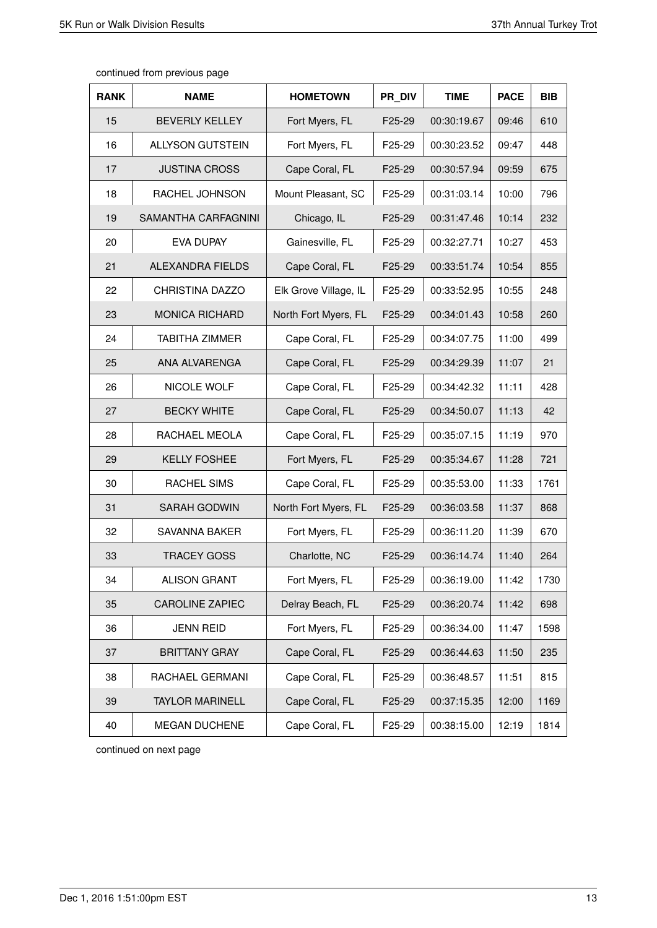| <b>RANK</b> | <b>NAME</b>             | <b>HOMETOWN</b>       | PR DIV | <b>TIME</b> | <b>PACE</b> | <b>BIB</b> |
|-------------|-------------------------|-----------------------|--------|-------------|-------------|------------|
| 15          | <b>BEVERLY KELLEY</b>   | Fort Myers, FL        | F25-29 | 00:30:19.67 | 09:46       | 610        |
| 16          | <b>ALLYSON GUTSTEIN</b> | Fort Myers, FL        | F25-29 | 00:30:23.52 | 09:47       | 448        |
| 17          | <b>JUSTINA CROSS</b>    | Cape Coral, FL        | F25-29 | 00:30:57.94 | 09:59       | 675        |
| 18          | RACHEL JOHNSON          | Mount Pleasant, SC    | F25-29 | 00:31:03.14 | 10:00       | 796        |
| 19          | SAMANTHA CARFAGNINI     | Chicago, IL           | F25-29 | 00:31:47.46 | 10:14       | 232        |
| 20          | <b>EVA DUPAY</b>        | Gainesville, FL       | F25-29 | 00:32:27.71 | 10:27       | 453        |
| 21          | ALEXANDRA FIELDS        | Cape Coral, FL        | F25-29 | 00:33:51.74 | 10:54       | 855        |
| 22          | CHRISTINA DAZZO         | Elk Grove Village, IL | F25-29 | 00:33:52.95 | 10:55       | 248        |
| 23          | <b>MONICA RICHARD</b>   | North Fort Myers, FL  | F25-29 | 00:34:01.43 | 10:58       | 260        |
| 24          | <b>TABITHA ZIMMER</b>   | Cape Coral, FL        | F25-29 | 00:34:07.75 | 11:00       | 499        |
| 25          | ANA ALVARENGA           | Cape Coral, FL        | F25-29 | 00:34:29.39 | 11:07       | 21         |
| 26          | NICOLE WOLF             | Cape Coral, FL        | F25-29 | 00:34:42.32 | 11:11       | 428        |
| 27          | <b>BECKY WHITE</b>      | Cape Coral, FL        | F25-29 | 00:34:50.07 | 11:13       | 42         |
| 28          | RACHAEL MEOLA           | Cape Coral, FL        | F25-29 | 00:35:07.15 | 11:19       | 970        |
| 29          | <b>KELLY FOSHEE</b>     | Fort Myers, FL        | F25-29 | 00:35:34.67 | 11:28       | 721        |
| 30          | <b>RACHEL SIMS</b>      | Cape Coral, FL        | F25-29 | 00:35:53.00 | 11:33       | 1761       |
| 31          | <b>SARAH GODWIN</b>     | North Fort Myers, FL  | F25-29 | 00:36:03.58 | 11:37       | 868        |
| 32          | <b>SAVANNA BAKER</b>    | Fort Myers, FL        | F25-29 | 00:36:11.20 | 11:39       | 670        |
| 33          | <b>TRACEY GOSS</b>      | Charlotte, NC         | F25-29 | 00:36:14.74 | 11:40       | 264        |
| 34          | <b>ALISON GRANT</b>     | Fort Myers, FL        | F25-29 | 00:36:19.00 | 11:42       | 1730       |
| 35          | <b>CAROLINE ZAPIEC</b>  | Delray Beach, FL      | F25-29 | 00:36:20.74 | 11:42       | 698        |
| 36          | <b>JENN REID</b>        | Fort Myers, FL        | F25-29 | 00:36:34.00 | 11:47       | 1598       |
| 37          | <b>BRITTANY GRAY</b>    | Cape Coral, FL        | F25-29 | 00:36:44.63 | 11:50       | 235        |
| 38          | RACHAEL GERMANI         | Cape Coral, FL        | F25-29 | 00:36:48.57 | 11:51       | 815        |
| 39          | <b>TAYLOR MARINELL</b>  | Cape Coral, FL        | F25-29 | 00:37:15.35 | 12:00       | 1169       |
| 40          | <b>MEGAN DUCHENE</b>    | Cape Coral, FL        | F25-29 | 00:38:15.00 | 12:19       | 1814       |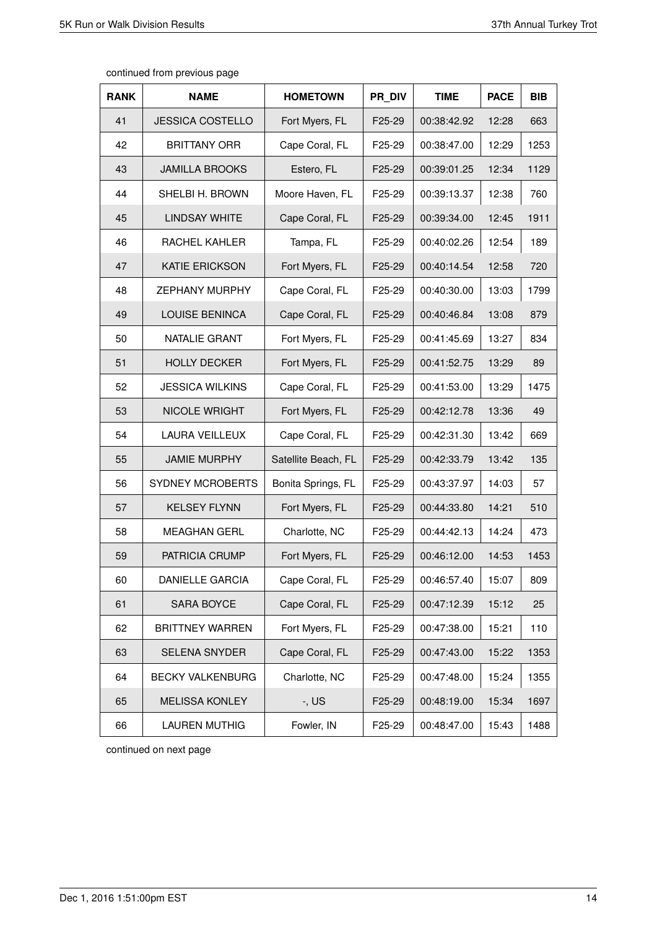| continued from previous page |  |  |
|------------------------------|--|--|
|------------------------------|--|--|

| <b>RANK</b> | <b>NAME</b>             | <b>HOMETOWN</b>     | PR DIV              | <b>TIME</b> | <b>PACE</b> | <b>BIB</b> |
|-------------|-------------------------|---------------------|---------------------|-------------|-------------|------------|
| 41          | <b>JESSICA COSTELLO</b> | Fort Myers, FL      | F25-29              | 00:38:42.92 | 12:28       | 663        |
| 42          | <b>BRITTANY ORR</b>     | Cape Coral, FL      | F25-29              | 00:38:47.00 | 12:29       | 1253       |
| 43          | <b>JAMILLA BROOKS</b>   | Estero, FL          | F25-29              | 00:39:01.25 | 12:34       | 1129       |
| 44          | SHELBI H. BROWN         | Moore Haven, FL     | F25-29              | 00:39:13.37 | 12:38       | 760        |
| 45          | <b>LINDSAY WHITE</b>    | Cape Coral, FL      | F25-29              | 00:39:34.00 | 12:45       | 1911       |
| 46          | RACHEL KAHLER           | Tampa, FL           | F <sub>25</sub> -29 | 00:40:02.26 | 12:54       | 189        |
| 47          | <b>KATIE ERICKSON</b>   | Fort Myers, FL      | F25-29              | 00:40:14.54 | 12:58       | 720        |
| 48          | <b>ZEPHANY MURPHY</b>   | Cape Coral, FL      | F25-29              | 00:40:30.00 | 13:03       | 1799       |
| 49          | <b>LOUISE BENINCA</b>   | Cape Coral, FL      | F25-29              | 00:40:46.84 | 13:08       | 879        |
| 50          | NATALIE GRANT           | Fort Myers, FL      | F25-29              | 00:41:45.69 | 13:27       | 834        |
| 51          | <b>HOLLY DECKER</b>     | Fort Myers, FL      | F25-29              | 00:41:52.75 | 13:29       | 89         |
| 52          | <b>JESSICA WILKINS</b>  | Cape Coral, FL      | F25-29              | 00:41:53.00 | 13:29       | 1475       |
| 53          | <b>NICOLE WRIGHT</b>    | Fort Myers, FL      | F25-29              | 00:42:12.78 | 13:36       | 49         |
| 54          | <b>LAURA VEILLEUX</b>   | Cape Coral, FL      | F25-29              | 00:42:31.30 | 13:42       | 669        |
| 55          | <b>JAMIE MURPHY</b>     | Satellite Beach, FL | F25-29              | 00:42:33.79 | 13:42       | 135        |
| 56          | <b>SYDNEY MCROBERTS</b> | Bonita Springs, FL  | F25-29              | 00:43:37.97 | 14:03       | 57         |
| 57          | <b>KELSEY FLYNN</b>     | Fort Myers, FL      | F25-29              | 00:44:33.80 | 14:21       | 510        |
| 58          | <b>MEAGHAN GERL</b>     | Charlotte, NC       | F25-29              | 00:44:42.13 | 14:24       | 473        |
| 59          | PATRICIA CRUMP          | Fort Myers, FL      | F25-29              | 00:46:12.00 | 14:53       | 1453       |
| 60          | <b>DANIELLE GARCIA</b>  | Cape Coral, FL      | F25-29              | 00:46:57.40 | 15:07       | 809        |
| 61          | SARA BOYCE              | Cape Coral, FL      | F25-29              | 00:47:12.39 | 15:12       | 25         |
| 62          | <b>BRITTNEY WARREN</b>  | Fort Myers, FL      | F25-29              | 00:47:38.00 | 15:21       | 110        |
| 63          | SELENA SNYDER           | Cape Coral, FL      | F25-29              | 00:47:43.00 | 15:22       | 1353       |
| 64          | <b>BECKY VALKENBURG</b> | Charlotte, NC       | F25-29              | 00:47:48.00 | 15:24       | 1355       |
| 65          | <b>MELISSA KONLEY</b>   | $-$ , US            | F25-29              | 00:48:19.00 | 15:34       | 1697       |
| 66          | <b>LAUREN MUTHIG</b>    | Fowler, IN          | F25-29              | 00:48:47.00 | 15:43       | 1488       |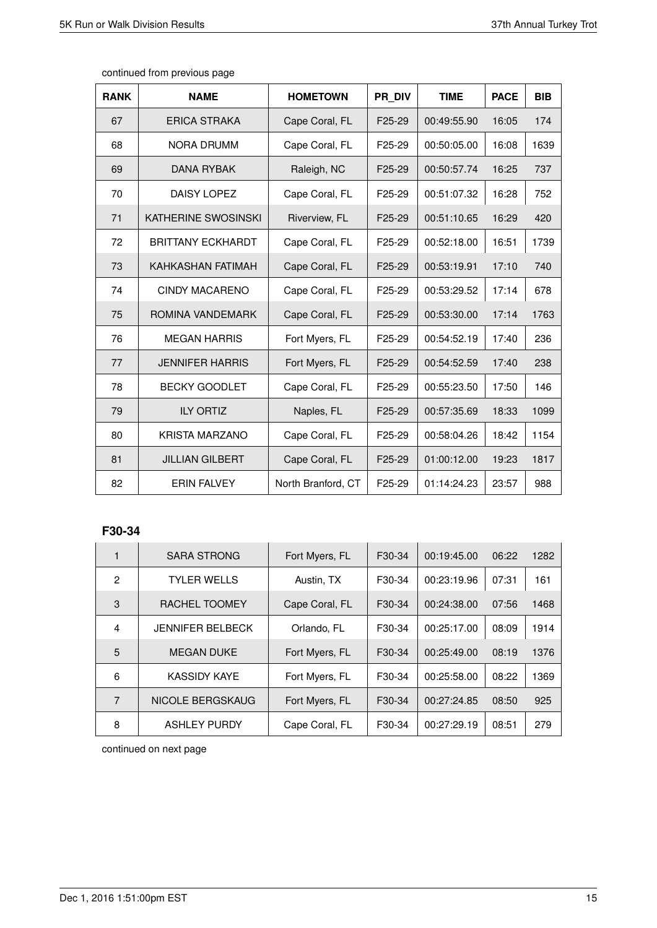| <b>RANK</b> | <b>NAME</b>              | <b>HOMETOWN</b>    | PR DIV              | <b>TIME</b> | <b>PACE</b> | <b>BIB</b> |
|-------------|--------------------------|--------------------|---------------------|-------------|-------------|------------|
| 67          | <b>ERICA STRAKA</b>      | Cape Coral, FL     | F25-29              | 00:49:55.90 | 16:05       | 174        |
| 68          | <b>NORA DRUMM</b>        | Cape Coral, FL     | F25-29              | 00:50:05.00 | 16:08       | 1639       |
| 69          | <b>DANA RYBAK</b>        | Raleigh, NC        | F25-29              | 00:50:57.74 | 16:25       | 737        |
| 70          | DAISY LOPEZ              | Cape Coral, FL     | F25-29              | 00:51:07.32 | 16:28       | 752        |
| 71          | KATHERINE SWOSINSKI      | Riverview, FL      | F25-29              | 00:51:10.65 | 16:29       | 420        |
| 72          | <b>BRITTANY ECKHARDT</b> | Cape Coral, FL     | F25-29              | 00:52:18.00 | 16:51       | 1739       |
| 73          | KAHKASHAN FATIMAH        | Cape Coral, FL     | F25-29              | 00:53:19.91 | 17:10       | 740        |
| 74          | <b>CINDY MACARENO</b>    | Cape Coral, FL     | F25-29              | 00:53:29.52 | 17:14       | 678        |
| 75          | ROMINA VANDEMARK         | Cape Coral, FL     | F25-29              | 00:53:30.00 | 17:14       | 1763       |
| 76          | <b>MEGAN HARRIS</b>      | Fort Myers, FL     | F <sub>25</sub> -29 | 00:54:52.19 | 17:40       | 236        |
| 77          | <b>JENNIFER HARRIS</b>   | Fort Myers, FL     | F25-29              | 00:54:52.59 | 17:40       | 238        |
| 78          | <b>BECKY GOODLET</b>     | Cape Coral, FL     | F25-29              | 00:55:23.50 | 17:50       | 146        |
| 79          | <b>ILY ORTIZ</b>         | Naples, FL         | F25-29              | 00:57:35.69 | 18:33       | 1099       |
| 80          | <b>KRISTA MARZANO</b>    | Cape Coral, FL     | F25-29              | 00:58:04.26 | 18:42       | 1154       |
| 81          | <b>JILLIAN GILBERT</b>   | Cape Coral, FL     | F25-29              | 01:00:12.00 | 19:23       | 1817       |
| 82          | <b>ERIN FALVEY</b>       | North Branford, CT | F25-29              | 01:14:24.23 | 23:57       | 988        |

# **F30-34**

|                | <b>SARA STRONG</b>      | Fort Myers, FL | F30-34              | 00:19:45.00 | 06:22 | 1282 |
|----------------|-------------------------|----------------|---------------------|-------------|-------|------|
| $\mathfrak{p}$ | <b>TYLER WELLS</b>      | Austin, TX     | F <sub>30</sub> -34 | 00:23:19.96 | 07:31 | 161  |
| 3              | RACHEL TOOMEY           | Cape Coral, FL | F30-34              | 00:24:38.00 | 07:56 | 1468 |
| 4              | <b>JENNIFER BELBECK</b> | Orlando, FL    | F30-34              | 00:25:17.00 | 08:09 | 1914 |
| 5              | <b>MEGAN DUKE</b>       | Fort Myers, FL | F30-34              | 00:25:49.00 | 08:19 | 1376 |
| 6              | <b>KASSIDY KAYE</b>     | Fort Myers, FL | F30-34              | 00:25:58.00 | 08:22 | 1369 |
| 7              | NICOLE BERGSKAUG        | Fort Myers, FL | F30-34              | 00:27:24.85 | 08:50 | 925  |
| 8              | <b>ASHLEY PURDY</b>     | Cape Coral, FL | F30-34              | 00:27:29.19 | 08:51 | 279  |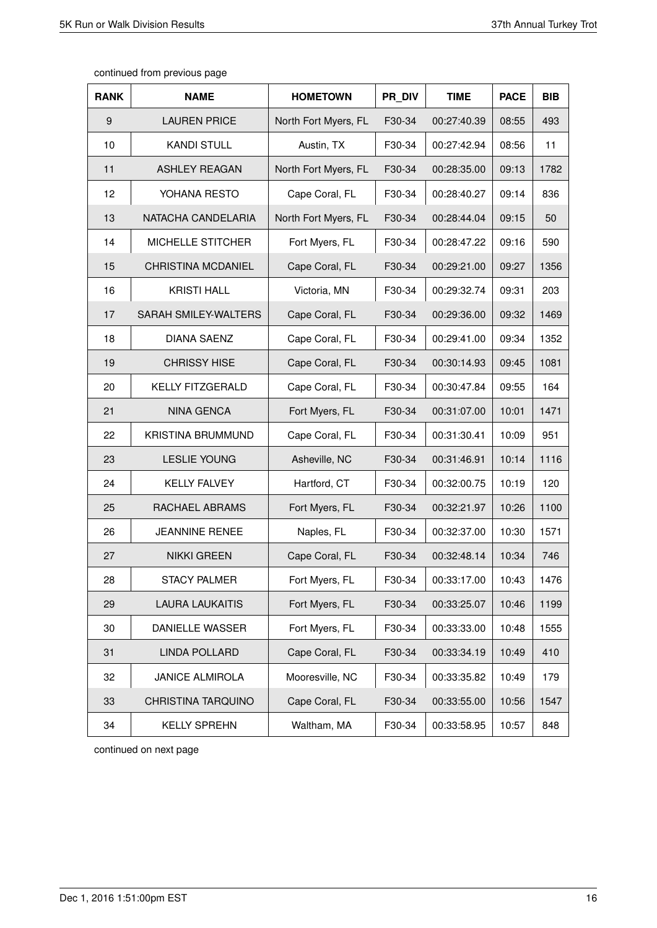| <b>RANK</b> | <b>NAME</b>               | <b>HOMETOWN</b>      | PR DIV | <b>TIME</b> | <b>PACE</b> | <b>BIB</b> |
|-------------|---------------------------|----------------------|--------|-------------|-------------|------------|
| 9           | <b>LAUREN PRICE</b>       | North Fort Myers, FL | F30-34 | 00:27:40.39 | 08:55       | 493        |
| 10          | <b>KANDI STULL</b>        | Austin, TX           | F30-34 | 00:27:42.94 | 08:56       | 11         |
| 11          | <b>ASHLEY REAGAN</b>      | North Fort Myers, FL | F30-34 | 00:28:35.00 | 09:13       | 1782       |
| 12          | YOHANA RESTO              | Cape Coral, FL       | F30-34 | 00:28:40.27 | 09:14       | 836        |
| 13          | NATACHA CANDELARIA        | North Fort Myers, FL | F30-34 | 00:28:44.04 | 09:15       | 50         |
| 14          | MICHELLE STITCHER         | Fort Myers, FL       | F30-34 | 00:28:47.22 | 09:16       | 590        |
| 15          | <b>CHRISTINA MCDANIEL</b> | Cape Coral, FL       | F30-34 | 00:29:21.00 | 09:27       | 1356       |
| 16          | <b>KRISTI HALL</b>        | Victoria, MN         | F30-34 | 00:29:32.74 | 09:31       | 203        |
| 17          | SARAH SMILEY-WALTERS      | Cape Coral, FL       | F30-34 | 00:29:36.00 | 09:32       | 1469       |
| 18          | <b>DIANA SAENZ</b>        | Cape Coral, FL       | F30-34 | 00:29:41.00 | 09:34       | 1352       |
| 19          | <b>CHRISSY HISE</b>       | Cape Coral, FL       | F30-34 | 00:30:14.93 | 09:45       | 1081       |
| 20          | <b>KELLY FITZGERALD</b>   | Cape Coral, FL       | F30-34 | 00:30:47.84 | 09:55       | 164        |
| 21          | <b>NINA GENCA</b>         | Fort Myers, FL       | F30-34 | 00:31:07.00 | 10:01       | 1471       |
| 22          | <b>KRISTINA BRUMMUND</b>  | Cape Coral, FL       | F30-34 | 00:31:30.41 | 10:09       | 951        |
| 23          | <b>LESLIE YOUNG</b>       | Asheville, NC        | F30-34 | 00:31:46.91 | 10:14       | 1116       |
| 24          | <b>KELLY FALVEY</b>       | Hartford, CT         | F30-34 | 00:32:00.75 | 10:19       | 120        |
| 25          | RACHAEL ABRAMS            | Fort Myers, FL       | F30-34 | 00:32:21.97 | 10:26       | 1100       |
| 26          | <b>JEANNINE RENEE</b>     | Naples, FL           | F30-34 | 00:32:37.00 | 10:30       | 1571       |
| 27          | <b>NIKKI GREEN</b>        | Cape Coral, FL       | F30-34 | 00:32:48.14 | 10:34       | 746        |
| 28          | <b>STACY PALMER</b>       | Fort Myers, FL       | F30-34 | 00:33:17.00 | 10:43       | 1476       |
| 29          | <b>LAURA LAUKAITIS</b>    | Fort Myers, FL       | F30-34 | 00:33:25.07 | 10:46       | 1199       |
| 30          | DANIELLE WASSER           | Fort Myers, FL       | F30-34 | 00:33:33.00 | 10:48       | 1555       |
| 31          | <b>LINDA POLLARD</b>      | Cape Coral, FL       | F30-34 | 00:33:34.19 | 10:49       | 410        |
| 32          | <b>JANICE ALMIROLA</b>    | Mooresville, NC      | F30-34 | 00:33:35.82 | 10:49       | 179        |
| 33          | CHRISTINA TARQUINO        | Cape Coral, FL       | F30-34 | 00:33:55.00 | 10:56       | 1547       |
| 34          | <b>KELLY SPREHN</b>       | Waltham, MA          | F30-34 | 00:33:58.95 | 10:57       | 848        |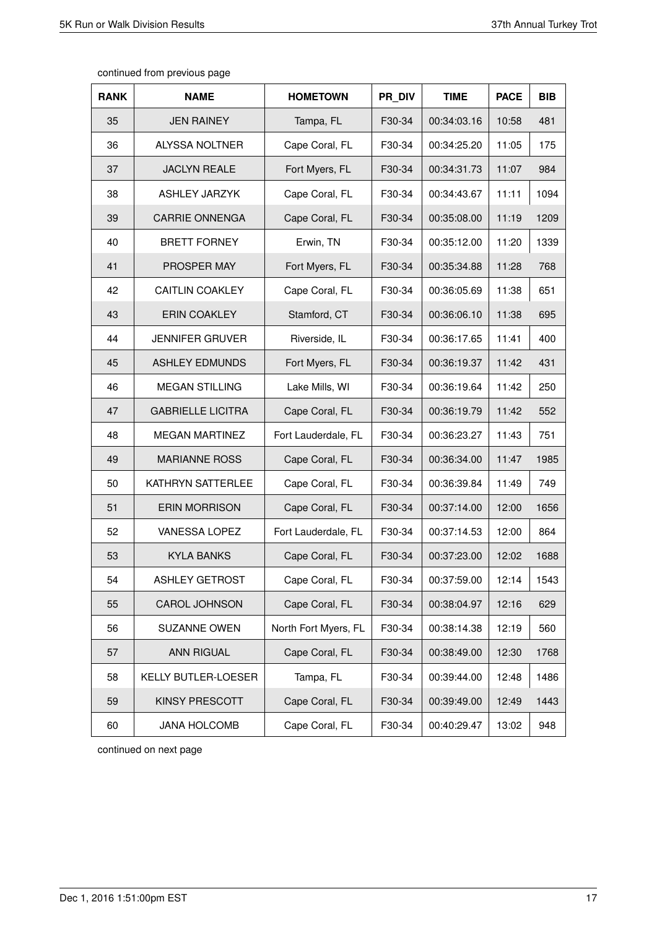| <b>RANK</b> | <b>NAME</b>              | <b>HOMETOWN</b>      | PR DIV | <b>TIME</b> | <b>PACE</b> | <b>BIB</b> |
|-------------|--------------------------|----------------------|--------|-------------|-------------|------------|
| 35          | <b>JEN RAINEY</b>        | Tampa, FL            | F30-34 | 00:34:03.16 | 10:58       | 481        |
| 36          | <b>ALYSSA NOLTNER</b>    | Cape Coral, FL       | F30-34 | 00:34:25.20 | 11:05       | 175        |
| 37          | <b>JACLYN REALE</b>      | Fort Myers, FL       | F30-34 | 00:34:31.73 | 11:07       | 984        |
| 38          | <b>ASHLEY JARZYK</b>     | Cape Coral, FL       | F30-34 | 00:34:43.67 | 11:11       | 1094       |
| 39          | <b>CARRIE ONNENGA</b>    | Cape Coral, FL       | F30-34 | 00:35:08.00 | 11:19       | 1209       |
| 40          | <b>BRETT FORNEY</b>      | Erwin, TN            | F30-34 | 00:35:12.00 | 11:20       | 1339       |
| 41          | PROSPER MAY              | Fort Myers, FL       | F30-34 | 00:35:34.88 | 11:28       | 768        |
| 42          | <b>CAITLIN COAKLEY</b>   | Cape Coral, FL       | F30-34 | 00:36:05.69 | 11:38       | 651        |
| 43          | <b>ERIN COAKLEY</b>      | Stamford, CT         | F30-34 | 00:36:06.10 | 11:38       | 695        |
| 44          | <b>JENNIFER GRUVER</b>   | Riverside, IL        | F30-34 | 00:36:17.65 | 11:41       | 400        |
| 45          | <b>ASHLEY EDMUNDS</b>    | Fort Myers, FL       | F30-34 | 00:36:19.37 | 11:42       | 431        |
| 46          | <b>MEGAN STILLING</b>    | Lake Mills, WI       | F30-34 | 00:36:19.64 | 11:42       | 250        |
| 47          | <b>GABRIELLE LICITRA</b> | Cape Coral, FL       | F30-34 | 00:36:19.79 | 11:42       | 552        |
| 48          | <b>MEGAN MARTINEZ</b>    | Fort Lauderdale, FL  | F30-34 | 00:36:23.27 | 11:43       | 751        |
| 49          | <b>MARIANNE ROSS</b>     | Cape Coral, FL       | F30-34 | 00:36:34.00 | 11:47       | 1985       |
| 50          | <b>KATHRYN SATTERLEE</b> | Cape Coral, FL       | F30-34 | 00:36:39.84 | 11:49       | 749        |
| 51          | <b>ERIN MORRISON</b>     | Cape Coral, FL       | F30-34 | 00:37:14.00 | 12:00       | 1656       |
| 52          | <b>VANESSA LOPEZ</b>     | Fort Lauderdale, FL  | F30-34 | 00:37:14.53 | 12:00       | 864        |
| 53          | <b>KYLA BANKS</b>        | Cape Coral, FL       | F30-34 | 00:37:23.00 | 12:02       | 1688       |
| 54          | <b>ASHLEY GETROST</b>    | Cape Coral, FL       | F30-34 | 00:37:59.00 | 12:14       | 1543       |
| 55          | <b>CAROL JOHNSON</b>     | Cape Coral, FL       | F30-34 | 00:38:04.97 | 12:16       | 629        |
| 56          | SUZANNE OWEN             | North Fort Myers, FL | F30-34 | 00:38:14.38 | 12:19       | 560        |
| 57          | ANN RIGUAL               | Cape Coral, FL       | F30-34 | 00:38:49.00 | 12:30       | 1768       |
| 58          | KELLY BUTLER-LOESER      | Tampa, FL            | F30-34 | 00:39:44.00 | 12:48       | 1486       |
| 59          | <b>KINSY PRESCOTT</b>    | Cape Coral, FL       | F30-34 | 00:39:49.00 | 12:49       | 1443       |
| 60          | <b>JANA HOLCOMB</b>      | Cape Coral, FL       | F30-34 | 00:40:29.47 | 13:02       | 948        |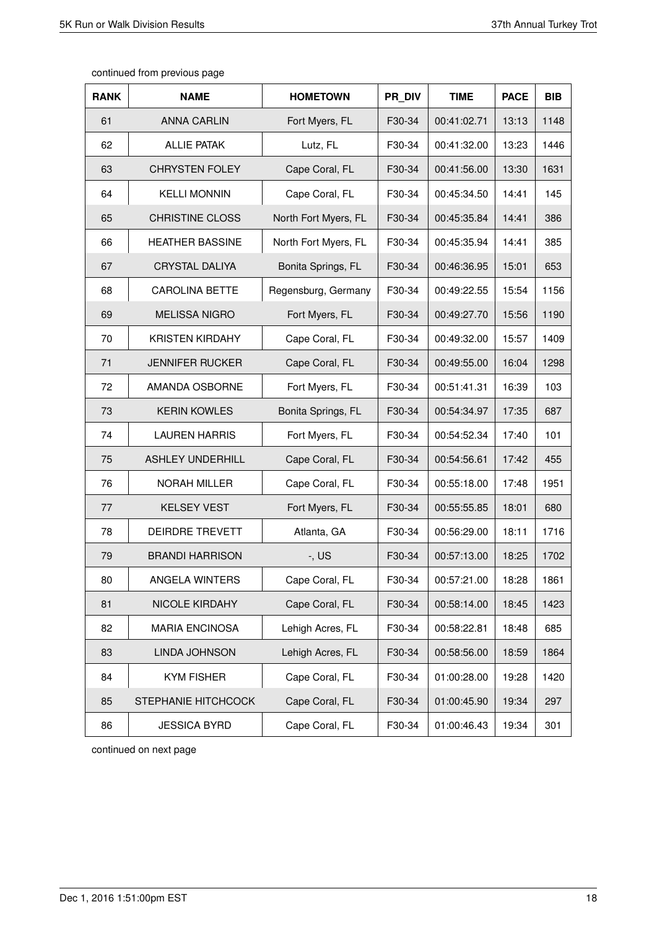| <b>RANK</b> | <b>NAME</b>             | <b>HOMETOWN</b>      | PR DIV | <b>TIME</b> | <b>PACE</b> | <b>BIB</b> |
|-------------|-------------------------|----------------------|--------|-------------|-------------|------------|
| 61          | <b>ANNA CARLIN</b>      | Fort Myers, FL       | F30-34 | 00:41:02.71 | 13:13       | 1148       |
| 62          | <b>ALLIE PATAK</b>      | Lutz, FL             | F30-34 | 00:41:32.00 | 13:23       | 1446       |
| 63          | <b>CHRYSTEN FOLEY</b>   | Cape Coral, FL       | F30-34 | 00:41:56.00 | 13:30       | 1631       |
| 64          | <b>KELLI MONNIN</b>     | Cape Coral, FL       | F30-34 | 00:45:34.50 | 14:41       | 145        |
| 65          | <b>CHRISTINE CLOSS</b>  | North Fort Myers, FL | F30-34 | 00:45:35.84 | 14:41       | 386        |
| 66          | <b>HEATHER BASSINE</b>  | North Fort Myers, FL | F30-34 | 00:45:35.94 | 14:41       | 385        |
| 67          | <b>CRYSTAL DALIYA</b>   | Bonita Springs, FL   | F30-34 | 00:46:36.95 | 15:01       | 653        |
| 68          | <b>CAROLINA BETTE</b>   | Regensburg, Germany  | F30-34 | 00:49:22.55 | 15:54       | 1156       |
| 69          | <b>MELISSA NIGRO</b>    | Fort Myers, FL       | F30-34 | 00:49:27.70 | 15:56       | 1190       |
| 70          | <b>KRISTEN KIRDAHY</b>  | Cape Coral, FL       | F30-34 | 00:49:32.00 | 15:57       | 1409       |
| 71          | <b>JENNIFER RUCKER</b>  | Cape Coral, FL       | F30-34 | 00:49:55.00 | 16:04       | 1298       |
| 72          | AMANDA OSBORNE          | Fort Myers, FL       | F30-34 | 00:51:41.31 | 16:39       | 103        |
| 73          | <b>KERIN KOWLES</b>     | Bonita Springs, FL   | F30-34 | 00:54:34.97 | 17:35       | 687        |
| 74          | <b>LAUREN HARRIS</b>    | Fort Myers, FL       | F30-34 | 00:54:52.34 | 17:40       | 101        |
| 75          | <b>ASHLEY UNDERHILL</b> | Cape Coral, FL       | F30-34 | 00:54:56.61 | 17:42       | 455        |
| 76          | <b>NORAH MILLER</b>     | Cape Coral, FL       | F30-34 | 00:55:18.00 | 17:48       | 1951       |
| 77          | <b>KELSEY VEST</b>      | Fort Myers, FL       | F30-34 | 00:55:55.85 | 18:01       | 680        |
| 78          | <b>DEIRDRE TREVETT</b>  | Atlanta, GA          | F30-34 | 00:56:29.00 | 18:11       | 1716       |
| 79          | <b>BRANDI HARRISON</b>  | $-$ , US             | F30-34 | 00:57:13.00 | 18:25       | 1702       |
| 80          | ANGELA WINTERS          | Cape Coral, FL       | F30-34 | 00:57:21.00 | 18:28       | 1861       |
| 81          | NICOLE KIRDAHY          | Cape Coral, FL       | F30-34 | 00:58:14.00 | 18:45       | 1423       |
| 82          | <b>MARIA ENCINOSA</b>   | Lehigh Acres, FL     | F30-34 | 00:58:22.81 | 18:48       | 685        |
| 83          | LINDA JOHNSON           | Lehigh Acres, FL     | F30-34 | 00:58:56.00 | 18:59       | 1864       |
| 84          | <b>KYM FISHER</b>       | Cape Coral, FL       | F30-34 | 01:00:28.00 | 19:28       | 1420       |
| 85          | STEPHANIE HITCHCOCK     | Cape Coral, FL       | F30-34 | 01:00:45.90 | 19:34       | 297        |
| 86          | <b>JESSICA BYRD</b>     | Cape Coral, FL       | F30-34 | 01:00:46.43 | 19:34       | 301        |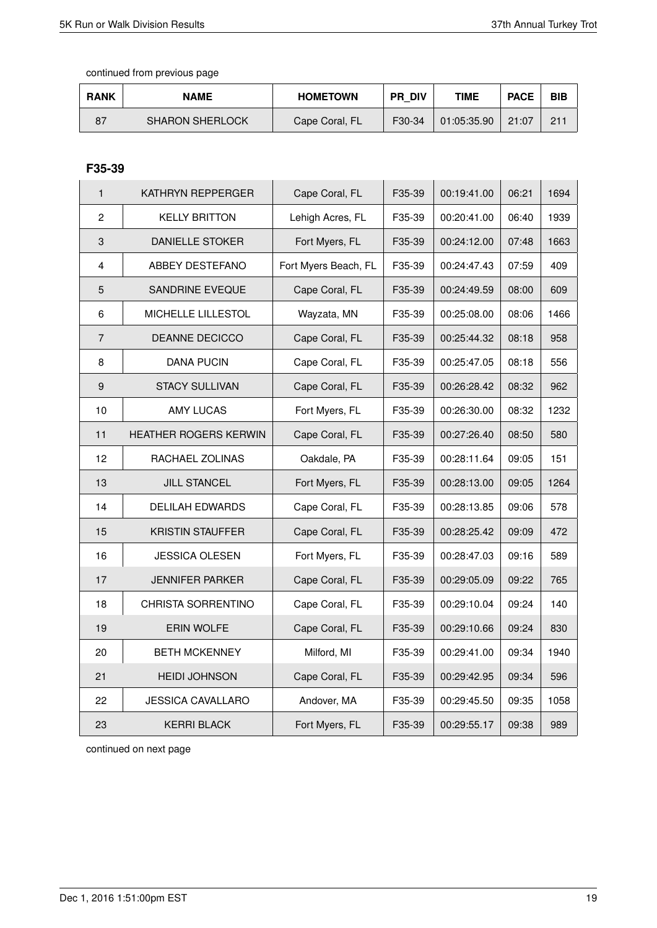| <b>RANK</b> | <b>NAME</b>            | <b>HOMETOWN</b> | <b>PR DIV</b> | TIME        | <b>PACE</b> | <b>BIB</b> |
|-------------|------------------------|-----------------|---------------|-------------|-------------|------------|
| 87          | <b>SHARON SHERLOCK</b> | Cape Coral, FL  | F30-34        | 01:05:35.90 | 21:07       | $-211$     |

# **F35-39**

| $\mathbf{1}$     | KATHRYN REPPERGER       | Cape Coral, FL       | F35-39 | 00:19:41.00 | 06:21 | 1694 |
|------------------|-------------------------|----------------------|--------|-------------|-------|------|
| $\overline{c}$   | <b>KELLY BRITTON</b>    | Lehigh Acres, FL     | F35-39 | 00:20:41.00 | 06:40 | 1939 |
| 3                | <b>DANIELLE STOKER</b>  | Fort Myers, FL       | F35-39 | 00:24:12.00 | 07:48 | 1663 |
| $\overline{4}$   | ABBEY DESTEFANO         | Fort Myers Beach, FL | F35-39 | 00:24:47.43 | 07:59 | 409  |
| 5                | <b>SANDRINE EVEQUE</b>  | Cape Coral, FL       | F35-39 | 00:24:49.59 | 08:00 | 609  |
| $\,6\,$          | MICHELLE LILLESTOL      | Wayzata, MN          | F35-39 | 00:25:08.00 | 08:06 | 1466 |
| $\overline{7}$   | DEANNE DECICCO          | Cape Coral, FL       | F35-39 | 00:25:44.32 | 08:18 | 958  |
| 8                | <b>DANA PUCIN</b>       | Cape Coral, FL       | F35-39 | 00:25:47.05 | 08:18 | 556  |
| $\boldsymbol{9}$ | <b>STACY SULLIVAN</b>   | Cape Coral, FL       | F35-39 | 00:26:28.42 | 08:32 | 962  |
| 10               | <b>AMY LUCAS</b>        | Fort Myers, FL       | F35-39 | 00:26:30.00 | 08:32 | 1232 |
| 11               | HEATHER ROGERS KERWIN   | Cape Coral, FL       | F35-39 | 00:27:26.40 | 08:50 | 580  |
| 12               | RACHAEL ZOLINAS         | Oakdale, PA          | F35-39 | 00:28:11.64 | 09:05 | 151  |
| 13               | <b>JILL STANCEL</b>     | Fort Myers, FL       | F35-39 | 00:28:13.00 | 09:05 | 1264 |
| 14               | <b>DELILAH EDWARDS</b>  | Cape Coral, FL       | F35-39 | 00:28:13.85 | 09:06 | 578  |
| 15               | <b>KRISTIN STAUFFER</b> | Cape Coral, FL       | F35-39 | 00:28:25.42 | 09:09 | 472  |
| 16               | <b>JESSICA OLESEN</b>   | Fort Myers, FL       | F35-39 | 00:28:47.03 | 09:16 | 589  |
| 17               | <b>JENNIFER PARKER</b>  | Cape Coral, FL       | F35-39 | 00:29:05.09 | 09:22 | 765  |
| 18               | CHRISTA SORRENTINO      | Cape Coral, FL       | F35-39 | 00:29:10.04 | 09:24 | 140  |
| 19               | ERIN WOLFE              | Cape Coral, FL       | F35-39 | 00:29:10.66 | 09:24 | 830  |
| 20               | <b>BETH MCKENNEY</b>    | Milford, MI          | F35-39 | 00:29:41.00 | 09:34 | 1940 |
| 21               | <b>HEIDI JOHNSON</b>    | Cape Coral, FL       | F35-39 | 00:29:42.95 | 09:34 | 596  |
| 22               | JESSICA CAVALLARO       | Andover, MA          | F35-39 | 00:29:45.50 | 09:35 | 1058 |
| 23               | <b>KERRI BLACK</b>      | Fort Myers, FL       | F35-39 | 00:29:55.17 | 09:38 | 989  |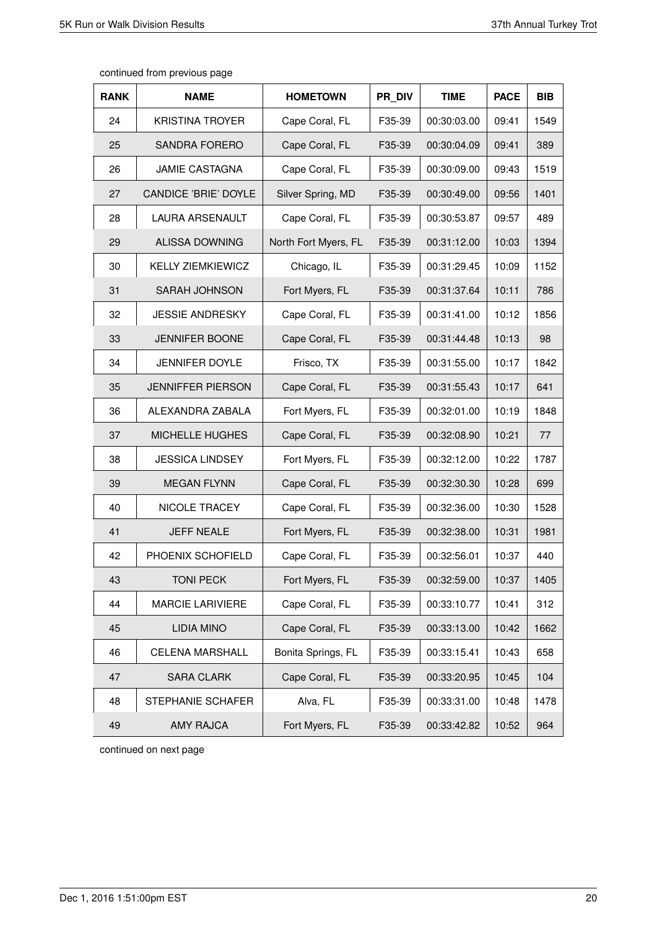| <b>RANK</b> | <b>NAME</b>              | <b>HOMETOWN</b>      | PR DIV | <b>TIME</b> | <b>PACE</b> | <b>BIB</b> |
|-------------|--------------------------|----------------------|--------|-------------|-------------|------------|
| 24          | <b>KRISTINA TROYER</b>   | Cape Coral, FL       | F35-39 | 00:30:03.00 | 09:41       | 1549       |
| 25          | <b>SANDRA FORERO</b>     | Cape Coral, FL       | F35-39 | 00:30:04.09 | 09:41       | 389        |
| 26          | <b>JAMIE CASTAGNA</b>    | Cape Coral, FL       | F35-39 | 00:30:09.00 | 09:43       | 1519       |
| 27          | CANDICE 'BRIE' DOYLE     | Silver Spring, MD    | F35-39 | 00:30:49.00 | 09:56       | 1401       |
| 28          | LAURA ARSENAULT          | Cape Coral, FL       | F35-39 | 00:30:53.87 | 09:57       | 489        |
| 29          | <b>ALISSA DOWNING</b>    | North Fort Myers, FL | F35-39 | 00:31:12.00 | 10:03       | 1394       |
| 30          | <b>KELLY ZIEMKIEWICZ</b> | Chicago, IL          | F35-39 | 00:31:29.45 | 10:09       | 1152       |
| 31          | <b>SARAH JOHNSON</b>     | Fort Myers, FL       | F35-39 | 00:31:37.64 | 10:11       | 786        |
| 32          | <b>JESSIE ANDRESKY</b>   | Cape Coral, FL       | F35-39 | 00:31:41.00 | 10:12       | 1856       |
| 33          | <b>JENNIFER BOONE</b>    | Cape Coral, FL       | F35-39 | 00:31:44.48 | 10:13       | 98         |
| 34          | <b>JENNIFER DOYLE</b>    | Frisco, TX           | F35-39 | 00:31:55.00 | 10:17       | 1842       |
| 35          | <b>JENNIFFER PIERSON</b> | Cape Coral, FL       | F35-39 | 00:31:55.43 | 10:17       | 641        |
| 36          | ALEXANDRA ZABALA         | Fort Myers, FL       | F35-39 | 00:32:01.00 | 10:19       | 1848       |
| 37          | MICHELLE HUGHES          | Cape Coral, FL       | F35-39 | 00:32:08.90 | 10:21       | 77         |
| 38          | <b>JESSICA LINDSEY</b>   | Fort Myers, FL       | F35-39 | 00:32:12.00 | 10:22       | 1787       |
| 39          | <b>MEGAN FLYNN</b>       | Cape Coral, FL       | F35-39 | 00:32:30.30 | 10:28       | 699        |
| 40          | NICOLE TRACEY            | Cape Coral, FL       | F35-39 | 00:32:36.00 | 10:30       | 1528       |
| 41          | <b>JEFF NEALE</b>        | Fort Myers, FL       | F35-39 | 00:32:38.00 | 10:31       | 1981       |
| 42          | PHOENIX SCHOFIELD        | Cape Coral, FL       | F35-39 | 00:32:56.01 | 10:37       | 440        |
| 43          | <b>TONI PECK</b>         | Fort Myers, FL       | F35-39 | 00:32:59.00 | 10:37       | 1405       |
| 44          | <b>MARCIE LARIVIERE</b>  | Cape Coral, FL       | F35-39 | 00:33:10.77 | 10:41       | 312        |
| 45          | <b>LIDIA MINO</b>        | Cape Coral, FL       | F35-39 | 00:33:13.00 | 10:42       | 1662       |
| 46          | <b>CELENA MARSHALL</b>   | Bonita Springs, FL   | F35-39 | 00:33:15.41 | 10:43       | 658        |
| 47          | <b>SARA CLARK</b>        | Cape Coral, FL       | F35-39 | 00:33:20.95 | 10:45       | 104        |
| 48          | STEPHANIE SCHAFER        | Alva, FL             | F35-39 | 00:33:31.00 | 10:48       | 1478       |
| 49          | AMY RAJCA                | Fort Myers, FL       | F35-39 | 00:33:42.82 | 10:52       | 964        |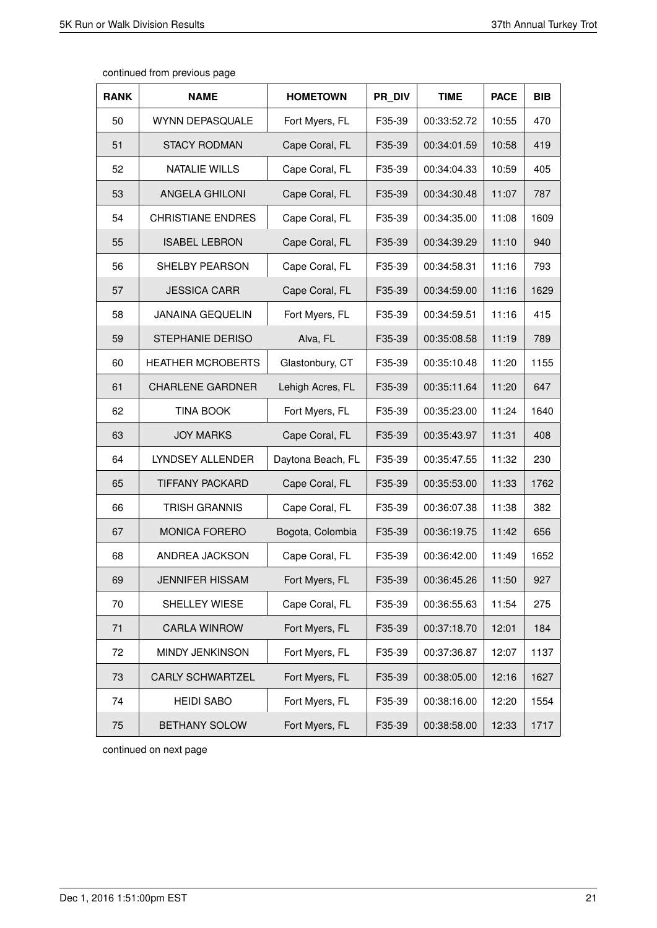| continued from previous page |  |  |  |
|------------------------------|--|--|--|
|------------------------------|--|--|--|

| <b>RANK</b> | <b>NAME</b>              | <b>HOMETOWN</b>   | PR DIV | <b>TIME</b> | <b>PACE</b> | <b>BIB</b> |
|-------------|--------------------------|-------------------|--------|-------------|-------------|------------|
| 50          | <b>WYNN DEPASQUALE</b>   | Fort Myers, FL    | F35-39 | 00:33:52.72 | 10:55       | 470        |
| 51          | <b>STACY RODMAN</b>      | Cape Coral, FL    | F35-39 | 00:34:01.59 | 10:58       | 419        |
| 52          | <b>NATALIE WILLS</b>     | Cape Coral, FL    | F35-39 | 00:34:04.33 | 10:59       | 405        |
| 53          | <b>ANGELA GHILONI</b>    | Cape Coral, FL    | F35-39 | 00:34:30.48 | 11:07       | 787        |
| 54          | <b>CHRISTIANE ENDRES</b> | Cape Coral, FL    | F35-39 | 00:34:35.00 | 11:08       | 1609       |
| 55          | <b>ISABEL LEBRON</b>     | Cape Coral, FL    | F35-39 | 00:34:39.29 | 11:10       | 940        |
| 56          | SHELBY PEARSON           | Cape Coral, FL    | F35-39 | 00:34:58.31 | 11:16       | 793        |
| 57          | <b>JESSICA CARR</b>      | Cape Coral, FL    | F35-39 | 00:34:59.00 | 11:16       | 1629       |
| 58          | <b>JANAINA GEQUELIN</b>  | Fort Myers, FL    | F35-39 | 00:34:59.51 | 11:16       | 415        |
| 59          | <b>STEPHANIE DERISO</b>  | Alva, FL          | F35-39 | 00:35:08.58 | 11:19       | 789        |
| 60          | <b>HEATHER MCROBERTS</b> | Glastonbury, CT   | F35-39 | 00:35:10.48 | 11:20       | 1155       |
| 61          | <b>CHARLENE GARDNER</b>  | Lehigh Acres, FL  | F35-39 | 00:35:11.64 | 11:20       | 647        |
| 62          | <b>TINA BOOK</b>         | Fort Myers, FL    | F35-39 | 00:35:23.00 | 11:24       | 1640       |
| 63          | <b>JOY MARKS</b>         | Cape Coral, FL    | F35-39 | 00:35:43.97 | 11:31       | 408        |
| 64          | LYNDSEY ALLENDER         | Daytona Beach, FL | F35-39 | 00:35:47.55 | 11:32       | 230        |
| 65          | <b>TIFFANY PACKARD</b>   | Cape Coral, FL    | F35-39 | 00:35:53.00 | 11:33       | 1762       |
| 66          | <b>TRISH GRANNIS</b>     | Cape Coral, FL    | F35-39 | 00:36:07.38 | 11:38       | 382        |
| 67          | <b>MONICA FORERO</b>     | Bogota, Colombia  | F35-39 | 00:36:19.75 | 11:42       | 656        |
| 68          | ANDREA JACKSON           | Cape Coral, FL    | F35-39 | 00:36:42.00 | 11:49       | 1652       |
| 69          | <b>JENNIFER HISSAM</b>   | Fort Myers, FL    | F35-39 | 00:36:45.26 | 11:50       | 927        |
| 70          | SHELLEY WIESE            | Cape Coral, FL    | F35-39 | 00:36:55.63 | 11:54       | 275        |
| 71          | <b>CARLA WINROW</b>      | Fort Myers, FL    | F35-39 | 00:37:18.70 | 12:01       | 184        |
| 72          | MINDY JENKINSON          | Fort Myers, FL    | F35-39 | 00:37:36.87 | 12:07       | 1137       |
| 73          | <b>CARLY SCHWARTZEL</b>  | Fort Myers, FL    | F35-39 | 00:38:05.00 | 12:16       | 1627       |
| 74          | <b>HEIDI SABO</b>        | Fort Myers, FL    | F35-39 | 00:38:16.00 | 12:20       | 1554       |
| 75          | BETHANY SOLOW            | Fort Myers, FL    | F35-39 | 00:38:58.00 | 12:33       | 1717       |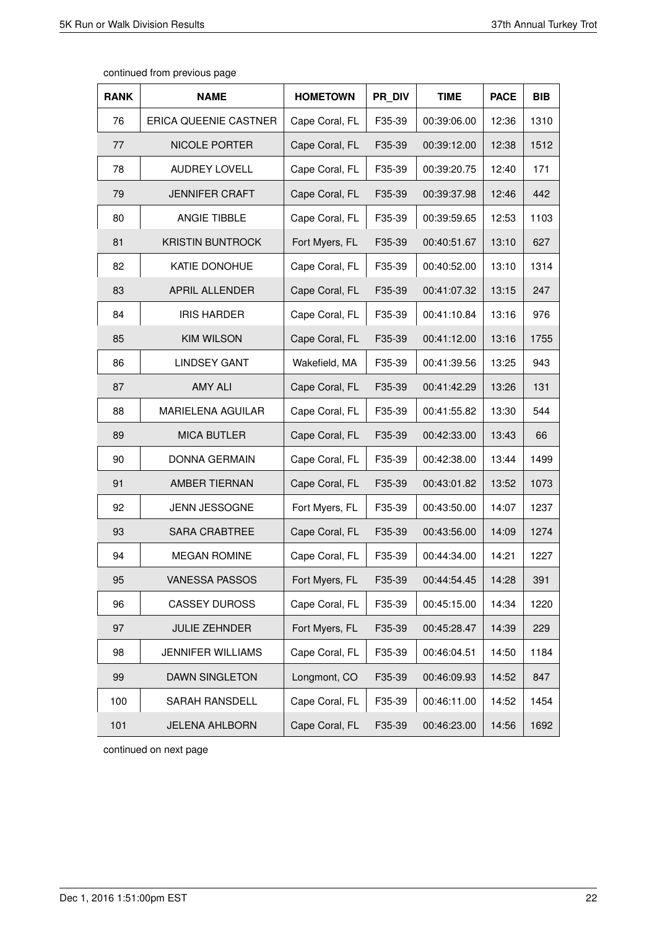| <b>RANK</b> | <b>NAME</b>             | <b>HOMETOWN</b> | PR DIV | <b>TIME</b> | <b>PACE</b> | <b>BIB</b> |
|-------------|-------------------------|-----------------|--------|-------------|-------------|------------|
| 76          | ERICA QUEENIE CASTNER   | Cape Coral, FL  | F35-39 | 00:39:06.00 | 12:36       | 1310       |
| 77          | NICOLE PORTER           | Cape Coral, FL  | F35-39 | 00:39:12.00 | 12:38       | 1512       |
| 78          | <b>AUDREY LOVELL</b>    | Cape Coral, FL  | F35-39 | 00:39:20.75 | 12:40       | 171        |
| 79          | <b>JENNIFER CRAFT</b>   | Cape Coral, FL  | F35-39 | 00:39:37.98 | 12:46       | 442        |
| 80          | ANGIE TIBBLE            | Cape Coral, FL  | F35-39 | 00:39:59.65 | 12:53       | 1103       |
| 81          | <b>KRISTIN BUNTROCK</b> | Fort Myers, FL  | F35-39 | 00:40:51.67 | 13:10       | 627        |
| 82          | KATIE DONOHUE           | Cape Coral, FL  | F35-39 | 00:40:52.00 | 13:10       | 1314       |
| 83          | APRIL ALLENDER          | Cape Coral, FL  | F35-39 | 00:41:07.32 | 13:15       | 247        |
| 84          | <b>IRIS HARDER</b>      | Cape Coral, FL  | F35-39 | 00:41:10.84 | 13:16       | 976        |
| 85          | <b>KIM WILSON</b>       | Cape Coral, FL  | F35-39 | 00:41:12.00 | 13:16       | 1755       |
| 86          | <b>LINDSEY GANT</b>     | Wakefield, MA   | F35-39 | 00:41:39.56 | 13:25       | 943        |
| 87          | <b>AMY ALI</b>          | Cape Coral, FL  | F35-39 | 00:41:42.29 | 13:26       | 131        |
| 88          | MARIELENA AGUILAR       | Cape Coral, FL  | F35-39 | 00:41:55.82 | 13:30       | 544        |
| 89          | <b>MICA BUTLER</b>      | Cape Coral, FL  | F35-39 | 00:42:33.00 | 13:43       | 66         |
| 90          | <b>DONNA GERMAIN</b>    | Cape Coral, FL  | F35-39 | 00:42:38.00 | 13:44       | 1499       |
| 91          | AMBER TIERNAN           | Cape Coral, FL  | F35-39 | 00:43:01.82 | 13:52       | 1073       |
| 92          | JENN JESSOGNE           | Fort Myers, FL  | F35-39 | 00:43:50.00 | 14:07       | 1237       |
| 93          | <b>SARA CRABTREE</b>    | Cape Coral, FL  | F35-39 | 00:43:56.00 | 14:09       | 1274       |
| 94          | <b>MEGAN ROMINE</b>     | Cape Coral, FL  | F35-39 | 00:44:34.00 | 14:21       | 1227       |
| 95          | <b>VANESSA PASSOS</b>   | Fort Myers, FL  | F35-39 | 00:44:54.45 | 14:28       | 391        |
| 96          | <b>CASSEY DUROSS</b>    | Cape Coral, FL  | F35-39 | 00:45:15.00 | 14:34       | 1220       |
| 97          | <b>JULIE ZEHNDER</b>    | Fort Myers, FL  | F35-39 | 00:45:28.47 | 14:39       | 229        |
| 98          | JENNIFER WILLIAMS       | Cape Coral, FL  | F35-39 | 00:46:04.51 | 14:50       | 1184       |
| 99          | <b>DAWN SINGLETON</b>   | Longmont, CO    | F35-39 | 00:46:09.93 | 14:52       | 847        |
| 100         | SARAH RANSDELL          | Cape Coral, FL  | F35-39 | 00:46:11.00 | 14:52       | 1454       |
| 101         | <b>JELENA AHLBORN</b>   | Cape Coral, FL  | F35-39 | 00:46:23.00 | 14:56       | 1692       |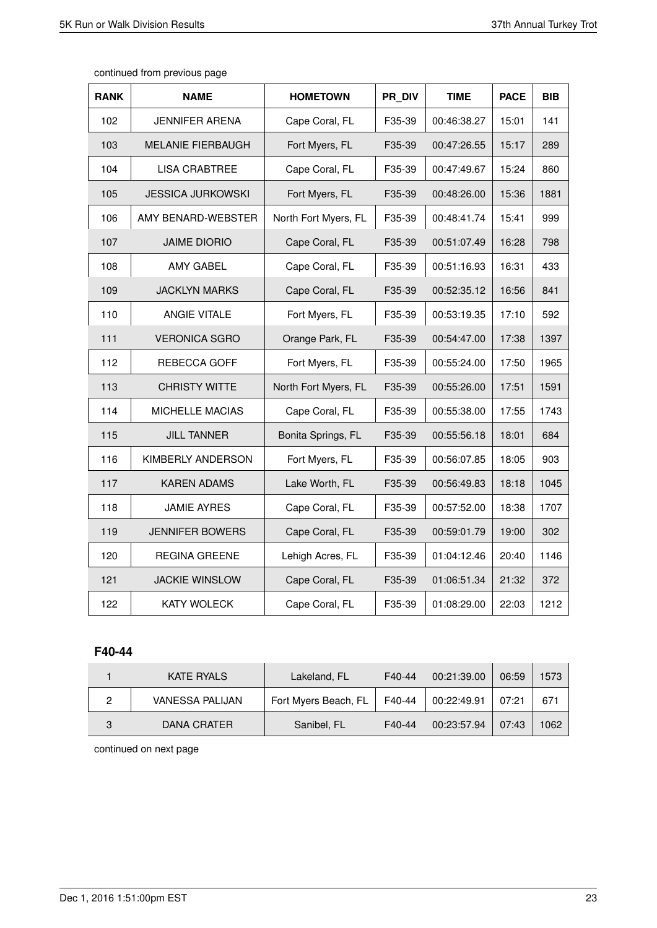| <b>RANK</b> | <b>NAME</b>              | <b>HOMETOWN</b>      | PR DIV | <b>TIME</b> | <b>PACE</b> | <b>BIB</b> |
|-------------|--------------------------|----------------------|--------|-------------|-------------|------------|
| 102         | <b>JENNIFER ARENA</b>    | Cape Coral, FL       | F35-39 | 00:46:38.27 | 15:01       | 141        |
| 103         | <b>MELANIE FIERBAUGH</b> | Fort Myers, FL       | F35-39 | 00:47:26.55 | 15:17       | 289        |
| 104         | <b>LISA CRABTREE</b>     | Cape Coral, FL       | F35-39 | 00:47:49.67 | 15:24       | 860        |
| 105         | <b>JESSICA JURKOWSKI</b> | Fort Myers, FL       | F35-39 | 00:48:26.00 | 15:36       | 1881       |
| 106         | AMY BENARD-WEBSTER       | North Fort Myers, FL | F35-39 | 00:48:41.74 | 15:41       | 999        |
| 107         | <b>JAIME DIORIO</b>      | Cape Coral, FL       | F35-39 | 00:51:07.49 | 16:28       | 798        |
| 108         | AMY GABEL                | Cape Coral, FL       | F35-39 | 00:51:16.93 | 16:31       | 433        |
| 109         | <b>JACKLYN MARKS</b>     | Cape Coral, FL       | F35-39 | 00:52:35.12 | 16:56       | 841        |
| 110         | ANGIE VITALE             | Fort Myers, FL       | F35-39 | 00:53:19.35 | 17:10       | 592        |
| 111         | <b>VERONICA SGRO</b>     | Orange Park, FL      | F35-39 | 00:54:47.00 | 17:38       | 1397       |
| 112         | REBECCA GOFF             | Fort Myers, FL       | F35-39 | 00:55:24.00 | 17:50       | 1965       |
| 113         | <b>CHRISTY WITTE</b>     | North Fort Myers, FL | F35-39 | 00:55:26.00 | 17:51       | 1591       |
| 114         | MICHELLE MACIAS          | Cape Coral, FL       | F35-39 | 00:55:38.00 | 17:55       | 1743       |
| 115         | <b>JILL TANNER</b>       | Bonita Springs, FL   | F35-39 | 00:55:56.18 | 18:01       | 684        |
| 116         | KIMBERLY ANDERSON        | Fort Myers, FL       | F35-39 | 00:56:07.85 | 18:05       | 903        |
| 117         | <b>KAREN ADAMS</b>       | Lake Worth, FL       | F35-39 | 00:56:49.83 | 18:18       | 1045       |
| 118         | <b>JAMIE AYRES</b>       | Cape Coral, FL       | F35-39 | 00:57:52.00 | 18:38       | 1707       |
| 119         | <b>JENNIFER BOWERS</b>   | Cape Coral, FL       | F35-39 | 00:59:01.79 | 19:00       | 302        |
| 120         | <b>REGINA GREENE</b>     | Lehigh Acres, FL     | F35-39 | 01:04:12.46 | 20:40       | 1146       |
| 121         | <b>JACKIE WINSLOW</b>    | Cape Coral, FL       | F35-39 | 01:06:51.34 | 21:32       | 372        |
| 122         | <b>KATY WOLECK</b>       | Cape Coral, FL       | F35-39 | 01:08:29.00 | 22:03       | 1212       |

# **F40-44**

| <b>KATE RYALS</b> | Lakeland, FL         | F40-44 | 00:21:39.00 | 06:59 | 1573 |
|-------------------|----------------------|--------|-------------|-------|------|
| VANESSA PALIJAN   | Fort Myers Beach, FL | F40-44 | 00:22:49.91 | 07:21 | 671  |
| DANA CRATER       | Sanibel, FL          | F40-44 | 00:23:57.94 | 07:43 | 1062 |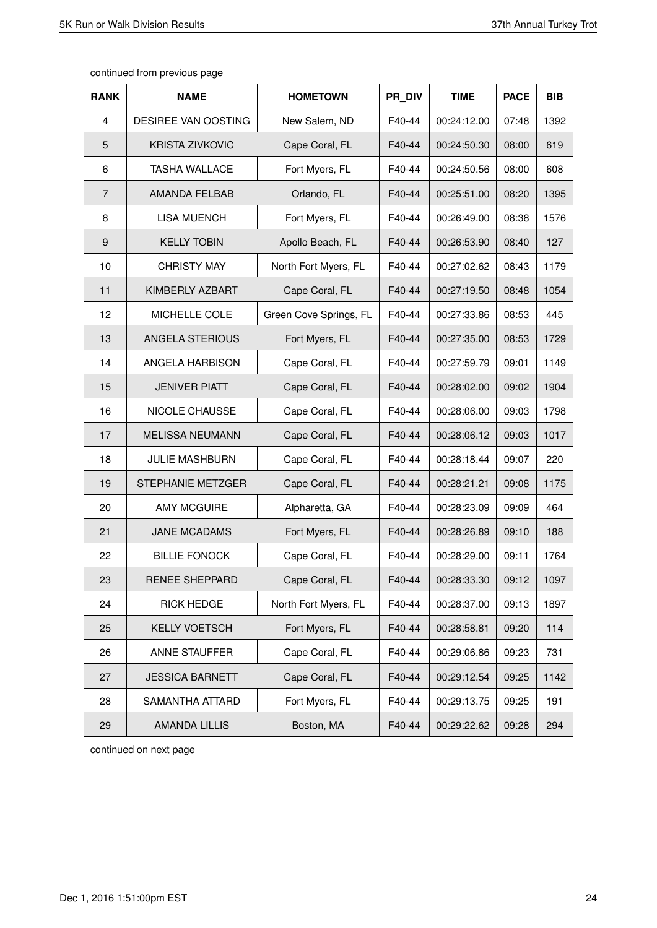| <b>RANK</b>    | <b>NAME</b>            | <b>HOMETOWN</b>        | PR DIV | <b>TIME</b> | <b>PACE</b> | <b>BIB</b> |
|----------------|------------------------|------------------------|--------|-------------|-------------|------------|
| 4              | DESIREE VAN OOSTING    | New Salem, ND          | F40-44 | 00:24:12.00 | 07:48       | 1392       |
| 5              | <b>KRISTA ZIVKOVIC</b> | Cape Coral, FL         | F40-44 | 00:24:50.30 | 08:00       | 619        |
| 6              | <b>TASHA WALLACE</b>   | Fort Myers, FL         | F40-44 | 00:24:50.56 | 08:00       | 608        |
| $\overline{7}$ | <b>AMANDA FELBAB</b>   | Orlando, FL            | F40-44 | 00:25:51.00 | 08:20       | 1395       |
| 8              | <b>LISA MUENCH</b>     | Fort Myers, FL         | F40-44 | 00:26:49.00 | 08:38       | 1576       |
| 9              | <b>KELLY TOBIN</b>     | Apollo Beach, FL       | F40-44 | 00:26:53.90 | 08:40       | 127        |
| 10             | <b>CHRISTY MAY</b>     | North Fort Myers, FL   | F40-44 | 00:27:02.62 | 08:43       | 1179       |
| 11             | KIMBERLY AZBART        | Cape Coral, FL         | F40-44 | 00:27:19.50 | 08:48       | 1054       |
| 12             | MICHELLE COLE          | Green Cove Springs, FL | F40-44 | 00:27:33.86 | 08:53       | 445        |
| 13             | ANGELA STERIOUS        | Fort Myers, FL         | F40-44 | 00:27:35.00 | 08:53       | 1729       |
| 14             | ANGELA HARBISON        | Cape Coral, FL         | F40-44 | 00:27:59.79 | 09:01       | 1149       |
| 15             | <b>JENIVER PIATT</b>   | Cape Coral, FL         | F40-44 | 00:28:02.00 | 09:02       | 1904       |
| 16             | NICOLE CHAUSSE         | Cape Coral, FL         | F40-44 | 00:28:06.00 | 09:03       | 1798       |
| 17             | <b>MELISSA NEUMANN</b> | Cape Coral, FL         | F40-44 | 00:28:06.12 | 09:03       | 1017       |
| 18             | <b>JULIE MASHBURN</b>  | Cape Coral, FL         | F40-44 | 00:28:18.44 | 09:07       | 220        |
| 19             | STEPHANIE METZGER      | Cape Coral, FL         | F40-44 | 00:28:21.21 | 09:08       | 1175       |
| 20             | <b>AMY MCGUIRE</b>     | Alpharetta, GA         | F40-44 | 00:28:23.09 | 09:09       | 464        |
| 21             | <b>JANE MCADAMS</b>    | Fort Myers, FL         | F40-44 | 00:28:26.89 | 09:10       | 188        |
| 22             | <b>BILLIE FONOCK</b>   | Cape Coral, FL         | F40-44 | 00:28:29.00 | 09:11       | 1764       |
| 23             | RENEE SHEPPARD         | Cape Coral, FL         | F40-44 | 00:28:33.30 | 09:12       | 1097       |
| 24             | <b>RICK HEDGE</b>      | North Fort Myers, FL   | F40-44 | 00:28:37.00 | 09:13       | 1897       |
| 25             | <b>KELLY VOETSCH</b>   | Fort Myers, FL         | F40-44 | 00:28:58.81 | 09:20       | 114        |
| 26             | ANNE STAUFFER          | Cape Coral, FL         | F40-44 | 00:29:06.86 | 09:23       | 731        |
| 27             | <b>JESSICA BARNETT</b> | Cape Coral, FL         | F40-44 | 00:29:12.54 | 09:25       | 1142       |
| 28             | SAMANTHA ATTARD        | Fort Myers, FL         | F40-44 | 00:29:13.75 | 09:25       | 191        |
| 29             | <b>AMANDA LILLIS</b>   | Boston, MA             | F40-44 | 00:29:22.62 | 09:28       | 294        |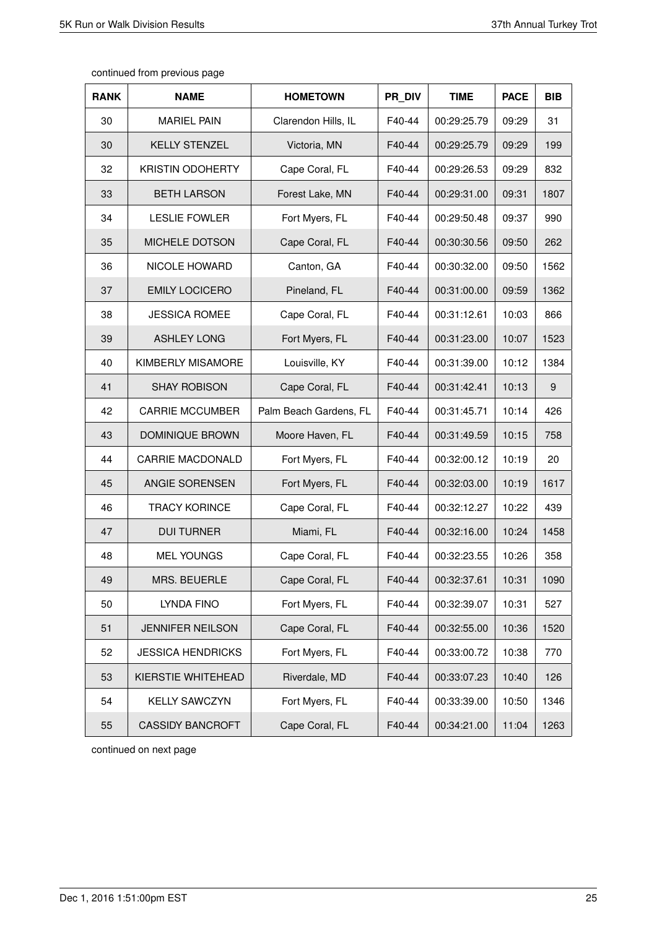| continued from previous page |  |  |
|------------------------------|--|--|
|------------------------------|--|--|

| <b>RANK</b> | <b>NAME</b>              | <b>HOMETOWN</b>        | PR DIV | <b>TIME</b> | <b>PACE</b> | <b>BIB</b> |
|-------------|--------------------------|------------------------|--------|-------------|-------------|------------|
| 30          | <b>MARIEL PAIN</b>       | Clarendon Hills, IL    | F40-44 | 00:29:25.79 | 09:29       | 31         |
| 30          | <b>KELLY STENZEL</b>     | Victoria, MN           | F40-44 | 00:29:25.79 | 09:29       | 199        |
| 32          | <b>KRISTIN ODOHERTY</b>  | Cape Coral, FL         | F40-44 | 00:29:26.53 | 09:29       | 832        |
| 33          | <b>BETH LARSON</b>       | Forest Lake, MN        | F40-44 | 00:29:31.00 | 09:31       | 1807       |
| 34          | <b>LESLIE FOWLER</b>     | Fort Myers, FL         | F40-44 | 00:29:50.48 | 09:37       | 990        |
| 35          | MICHELE DOTSON           | Cape Coral, FL         | F40-44 | 00:30:30.56 | 09:50       | 262        |
| 36          | <b>NICOLE HOWARD</b>     | Canton, GA             | F40-44 | 00:30:32.00 | 09:50       | 1562       |
| 37          | <b>EMILY LOCICERO</b>    | Pineland, FL           | F40-44 | 00:31:00.00 | 09:59       | 1362       |
| 38          | <b>JESSICA ROMEE</b>     | Cape Coral, FL         | F40-44 | 00:31:12.61 | 10:03       | 866        |
| 39          | <b>ASHLEY LONG</b>       | Fort Myers, FL         | F40-44 | 00:31:23.00 | 10:07       | 1523       |
| 40          | KIMBERLY MISAMORE        | Louisville, KY         | F40-44 | 00:31:39.00 | 10:12       | 1384       |
| 41          | <b>SHAY ROBISON</b>      | Cape Coral, FL         | F40-44 | 00:31:42.41 | 10:13       | 9          |
| 42          | <b>CARRIE MCCUMBER</b>   | Palm Beach Gardens, FL | F40-44 | 00:31:45.71 | 10:14       | 426        |
| 43          | DOMINIQUE BROWN          | Moore Haven, FL        | F40-44 | 00:31:49.59 | 10:15       | 758        |
| 44          | <b>CARRIE MACDONALD</b>  | Fort Myers, FL         | F40-44 | 00:32:00.12 | 10:19       | 20         |
| 45          | ANGIE SORENSEN           | Fort Myers, FL         | F40-44 | 00:32:03.00 | 10:19       | 1617       |
| 46          | <b>TRACY KORINCE</b>     | Cape Coral, FL         | F40-44 | 00:32:12.27 | 10:22       | 439        |
| 47          | <b>DUI TURNER</b>        | Miami, FL              | F40-44 | 00:32:16.00 | 10:24       | 1458       |
| 48          | <b>MEL YOUNGS</b>        | Cape Coral, FL         | F40-44 | 00:32:23.55 | 10:26       | 358        |
| 49          | MRS. BEUERLE             | Cape Coral, FL         | F40-44 | 00:32:37.61 | 10:31       | 1090       |
| 50          | LYNDA FINO               | Fort Myers, FL         | F40-44 | 00:32:39.07 | 10:31       | 527        |
| 51          | <b>JENNIFER NEILSON</b>  | Cape Coral, FL         | F40-44 | 00:32:55.00 | 10:36       | 1520       |
| 52          | <b>JESSICA HENDRICKS</b> | Fort Myers, FL         | F40-44 | 00:33:00.72 | 10:38       | 770        |
| 53          | KIERSTIE WHITEHEAD       | Riverdale, MD          | F40-44 | 00:33:07.23 | 10:40       | 126        |
| 54          | <b>KELLY SAWCZYN</b>     | Fort Myers, FL         | F40-44 | 00:33:39.00 | 10:50       | 1346       |
| 55          | <b>CASSIDY BANCROFT</b>  | Cape Coral, FL         | F40-44 | 00:34:21.00 | 11:04       | 1263       |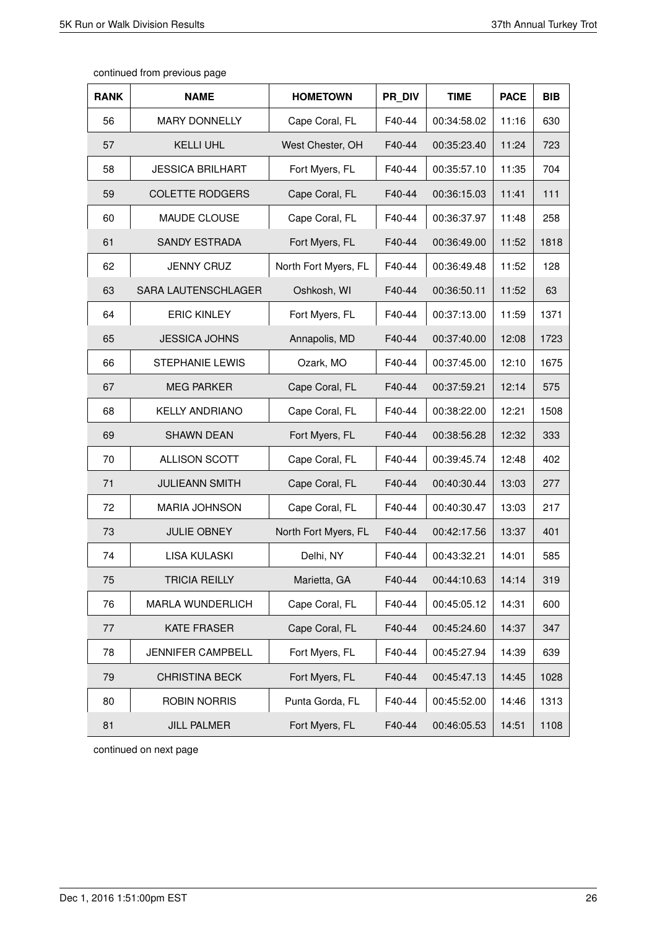| <b>RANK</b> | <b>NAME</b>             | <b>HOMETOWN</b>      | PR DIV | <b>TIME</b> | <b>PACE</b> | <b>BIB</b> |
|-------------|-------------------------|----------------------|--------|-------------|-------------|------------|
| 56          | <b>MARY DONNELLY</b>    | Cape Coral, FL       | F40-44 | 00:34:58.02 | 11:16       | 630        |
| 57          | <b>KELLI UHL</b>        | West Chester, OH     | F40-44 | 00:35:23.40 | 11:24       | 723        |
| 58          | <b>JESSICA BRILHART</b> | Fort Myers, FL       | F40-44 | 00:35:57.10 | 11:35       | 704        |
| 59          | <b>COLETTE RODGERS</b>  | Cape Coral, FL       | F40-44 | 00:36:15.03 | 11:41       | 111        |
| 60          | MAUDE CLOUSE            | Cape Coral, FL       | F40-44 | 00:36:37.97 | 11:48       | 258        |
| 61          | <b>SANDY ESTRADA</b>    | Fort Myers, FL       | F40-44 | 00:36:49.00 | 11:52       | 1818       |
| 62          | <b>JENNY CRUZ</b>       | North Fort Myers, FL | F40-44 | 00:36:49.48 | 11:52       | 128        |
| 63          | SARA LAUTENSCHLAGER     | Oshkosh, WI          | F40-44 | 00:36:50.11 | 11:52       | 63         |
| 64          | <b>ERIC KINLEY</b>      | Fort Myers, FL       | F40-44 | 00:37:13.00 | 11:59       | 1371       |
| 65          | <b>JESSICA JOHNS</b>    | Annapolis, MD        | F40-44 | 00:37:40.00 | 12:08       | 1723       |
| 66          | <b>STEPHANIE LEWIS</b>  | Ozark, MO            | F40-44 | 00:37:45.00 | 12:10       | 1675       |
| 67          | <b>MEG PARKER</b>       | Cape Coral, FL       | F40-44 | 00:37:59.21 | 12:14       | 575        |
| 68          | <b>KELLY ANDRIANO</b>   | Cape Coral, FL       | F40-44 | 00:38:22.00 | 12:21       | 1508       |
| 69          | <b>SHAWN DEAN</b>       | Fort Myers, FL       | F40-44 | 00:38:56.28 | 12:32       | 333        |
| 70          | ALLISON SCOTT           | Cape Coral, FL       | F40-44 | 00:39:45.74 | 12:48       | 402        |
| 71          | <b>JULIEANN SMITH</b>   | Cape Coral, FL       | F40-44 | 00:40:30.44 | 13:03       | 277        |
| 72          | <b>MARIA JOHNSON</b>    | Cape Coral, FL       | F40-44 | 00:40:30.47 | 13:03       | 217        |
| 73          | <b>JULIE OBNEY</b>      | North Fort Myers, FL | F40-44 | 00:42:17.56 | 13:37       | 401        |
| 74          | <b>LISA KULASKI</b>     | Delhi, NY            | F40-44 | 00:43:32.21 | 14:01       | 585        |
| 75          | <b>TRICIA REILLY</b>    | Marietta, GA         | F40-44 | 00:44:10.63 | 14:14       | 319        |
| 76          | <b>MARLA WUNDERLICH</b> | Cape Coral, FL       | F40-44 | 00:45:05.12 | 14:31       | 600        |
| 77          | <b>KATE FRASER</b>      | Cape Coral, FL       | F40-44 | 00:45:24.60 | 14:37       | 347        |
| 78          | JENNIFER CAMPBELL       | Fort Myers, FL       | F40-44 | 00:45:27.94 | 14:39       | 639        |
| 79          | <b>CHRISTINA BECK</b>   | Fort Myers, FL       | F40-44 | 00:45:47.13 | 14:45       | 1028       |
| 80          | <b>ROBIN NORRIS</b>     | Punta Gorda, FL      | F40-44 | 00:45:52.00 | 14:46       | 1313       |
| 81          | <b>JILL PALMER</b>      | Fort Myers, FL       | F40-44 | 00:46:05.53 | 14:51       | 1108       |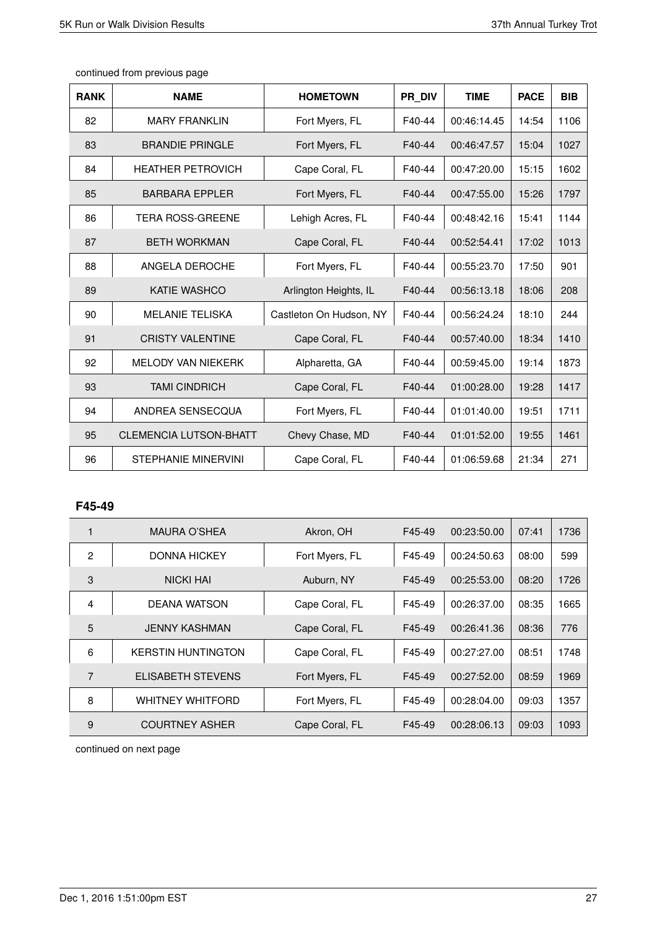| <b>RANK</b> | <b>NAME</b>                   | <b>HOMETOWN</b>         | PR DIV | <b>TIME</b> | <b>PACE</b> | <b>BIB</b> |
|-------------|-------------------------------|-------------------------|--------|-------------|-------------|------------|
| 82          | <b>MARY FRANKLIN</b>          | Fort Myers, FL          | F40-44 | 00:46:14.45 | 14:54       | 1106       |
| 83          | <b>BRANDIE PRINGLE</b>        | Fort Myers, FL          | F40-44 | 00:46:47.57 | 15:04       | 1027       |
| 84          | <b>HEATHER PETROVICH</b>      | Cape Coral, FL          | F40-44 | 00:47:20.00 | 15:15       | 1602       |
| 85          | <b>BARBARA EPPLER</b>         | Fort Myers, FL          | F40-44 | 00:47:55.00 | 15:26       | 1797       |
| 86          | <b>TERA ROSS-GREENE</b>       | Lehigh Acres, FL        | F40-44 | 00:48:42.16 | 15:41       | 1144       |
| 87          | <b>BETH WORKMAN</b>           | Cape Coral, FL          | F40-44 | 00:52:54.41 | 17:02       | 1013       |
| 88          | ANGELA DEROCHE                | Fort Myers, FL          | F40-44 | 00:55:23.70 | 17:50       | 901        |
| 89          | <b>KATIE WASHCO</b>           | Arlington Heights, IL   | F40-44 | 00:56:13.18 | 18:06       | 208        |
| 90          | <b>MELANIE TELISKA</b>        | Castleton On Hudson, NY | F40-44 | 00:56:24.24 | 18:10       | 244        |
| 91          | <b>CRISTY VALENTINE</b>       | Cape Coral, FL          | F40-44 | 00:57:40.00 | 18:34       | 1410       |
| 92          | <b>MELODY VAN NIEKERK</b>     | Alpharetta, GA          | F40-44 | 00:59:45.00 | 19:14       | 1873       |
| 93          | <b>TAMI CINDRICH</b>          | Cape Coral, FL          | F40-44 | 01:00:28.00 | 19:28       | 1417       |
| 94          | ANDREA SENSECQUA              | Fort Myers, FL          | F40-44 | 01:01:40.00 | 19:51       | 1711       |
| 95          | <b>CLEMENCIA LUTSON-BHATT</b> | Chevy Chase, MD         | F40-44 | 01:01:52.00 | 19:55       | 1461       |
| 96          | <b>STEPHANIE MINERVINI</b>    | Cape Coral, FL          | F40-44 | 01:06:59.68 | 21:34       | 271        |

# **F45-49**

|                | MAURA O'SHEA              | Akron, OH      | F45-49 | 00:23:50.00 | 07:41 | 1736 |
|----------------|---------------------------|----------------|--------|-------------|-------|------|
| $\mathfrak{p}$ | <b>DONNA HICKEY</b>       | Fort Myers, FL | F45-49 | 00:24:50.63 | 08:00 | 599  |
| 3              | <b>NICKI HAI</b>          | Auburn, NY     | F45-49 | 00:25:53.00 | 08:20 | 1726 |
| 4              | DEANA WATSON              | Cape Coral, FL | F45-49 | 00:26:37.00 | 08:35 | 1665 |
| 5              | <b>JENNY KASHMAN</b>      | Cape Coral, FL | F45-49 | 00:26:41.36 | 08:36 | 776  |
| 6              | <b>KERSTIN HUNTINGTON</b> | Cape Coral, FL | F45-49 | 00:27:27.00 | 08:51 | 1748 |
| 7              | <b>ELISABETH STEVENS</b>  | Fort Myers, FL | F45-49 | 00:27:52.00 | 08:59 | 1969 |
| 8              | <b>WHITNEY WHITFORD</b>   | Fort Myers, FL | F45-49 | 00:28:04.00 | 09:03 | 1357 |
| 9              | <b>COURTNEY ASHER</b>     | Cape Coral, FL | F45-49 | 00:28:06.13 | 09:03 | 1093 |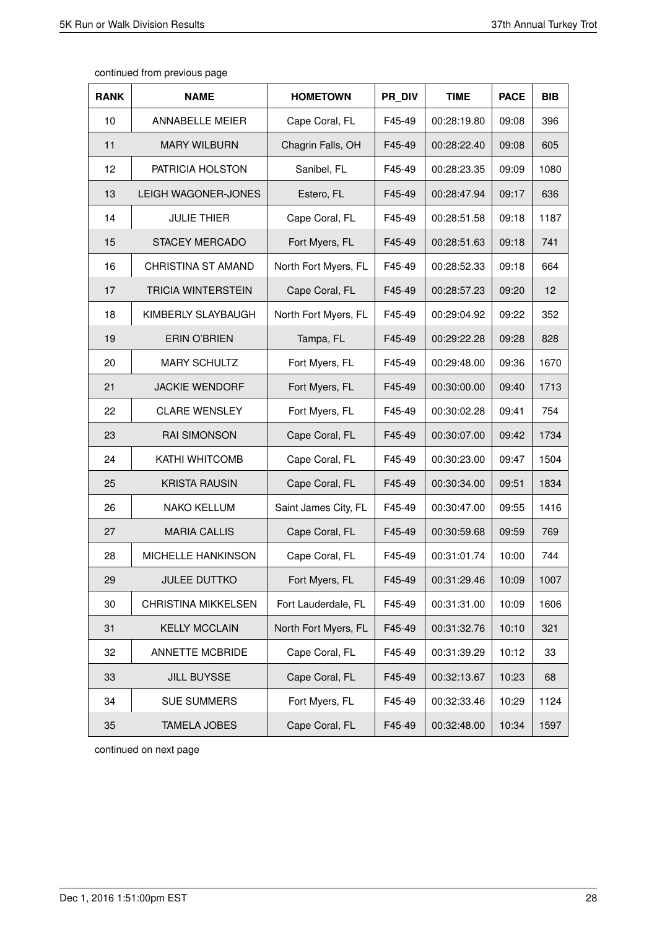| <b>RANK</b> | <b>NAME</b>                | <b>HOMETOWN</b>      | PR DIV | <b>TIME</b> | <b>PACE</b> | <b>BIB</b> |
|-------------|----------------------------|----------------------|--------|-------------|-------------|------------|
| 10          | <b>ANNABELLE MEIER</b>     | Cape Coral, FL       | F45-49 | 00:28:19.80 | 09:08       | 396        |
| 11          | <b>MARY WILBURN</b>        | Chagrin Falls, OH    | F45-49 | 00:28:22.40 | 09:08       | 605        |
| 12          | PATRICIA HOLSTON           | Sanibel, FL          | F45-49 | 00:28:23.35 | 09:09       | 1080       |
| 13          | LEIGH WAGONER-JONES        | Estero, FL           | F45-49 | 00:28:47.94 | 09:17       | 636        |
| 14          | <b>JULIE THIER</b>         | Cape Coral, FL       | F45-49 | 00:28:51.58 | 09:18       | 1187       |
| 15          | <b>STACEY MERCADO</b>      | Fort Myers, FL       | F45-49 | 00:28:51.63 | 09:18       | 741        |
| 16          | <b>CHRISTINA ST AMAND</b>  | North Fort Myers, FL | F45-49 | 00:28:52.33 | 09:18       | 664        |
| 17          | <b>TRICIA WINTERSTEIN</b>  | Cape Coral, FL       | F45-49 | 00:28:57.23 | 09:20       | 12         |
| 18          | KIMBERLY SLAYBAUGH         | North Fort Myers, FL | F45-49 | 00:29:04.92 | 09:22       | 352        |
| 19          | <b>ERIN O'BRIEN</b>        | Tampa, FL            | F45-49 | 00:29:22.28 | 09:28       | 828        |
| 20          | <b>MARY SCHULTZ</b>        | Fort Myers, FL       | F45-49 | 00:29:48.00 | 09:36       | 1670       |
| 21          | <b>JACKIE WENDORF</b>      | Fort Myers, FL       | F45-49 | 00:30:00.00 | 09:40       | 1713       |
| 22          | <b>CLARE WENSLEY</b>       | Fort Myers, FL       | F45-49 | 00:30:02.28 | 09:41       | 754        |
| 23          | <b>RAI SIMONSON</b>        | Cape Coral, FL       | F45-49 | 00:30:07.00 | 09:42       | 1734       |
| 24          | <b>KATHI WHITCOMB</b>      | Cape Coral, FL       | F45-49 | 00:30:23.00 | 09:47       | 1504       |
| 25          | <b>KRISTA RAUSIN</b>       | Cape Coral, FL       | F45-49 | 00:30:34.00 | 09:51       | 1834       |
| 26          | <b>NAKO KELLUM</b>         | Saint James City, FL | F45-49 | 00:30:47.00 | 09:55       | 1416       |
| 27          | <b>MARIA CALLIS</b>        | Cape Coral, FL       | F45-49 | 00:30:59.68 | 09:59       | 769        |
| 28          | <b>MICHELLE HANKINSON</b>  | Cape Coral, FL       | F45-49 | 00:31:01.74 | 10:00       | 744        |
| 29          | <b>JULEE DUTTKO</b>        | Fort Myers, FL       | F45-49 | 00:31:29.46 | 10:09       | 1007       |
| 30          | <b>CHRISTINA MIKKELSEN</b> | Fort Lauderdale, FL  | F45-49 | 00:31:31.00 | 10:09       | 1606       |
| 31          | <b>KELLY MCCLAIN</b>       | North Fort Myers, FL | F45-49 | 00:31:32.76 | 10:10       | 321        |
| 32          | ANNETTE MCBRIDE            | Cape Coral, FL       | F45-49 | 00:31:39.29 | 10:12       | 33         |
| 33          | <b>JILL BUYSSE</b>         | Cape Coral, FL       | F45-49 | 00:32:13.67 | 10:23       | 68         |
| 34          | <b>SUE SUMMERS</b>         | Fort Myers, FL       | F45-49 | 00:32:33.46 | 10:29       | 1124       |
| 35          | <b>TAMELA JOBES</b>        | Cape Coral, FL       | F45-49 | 00:32:48.00 | 10:34       | 1597       |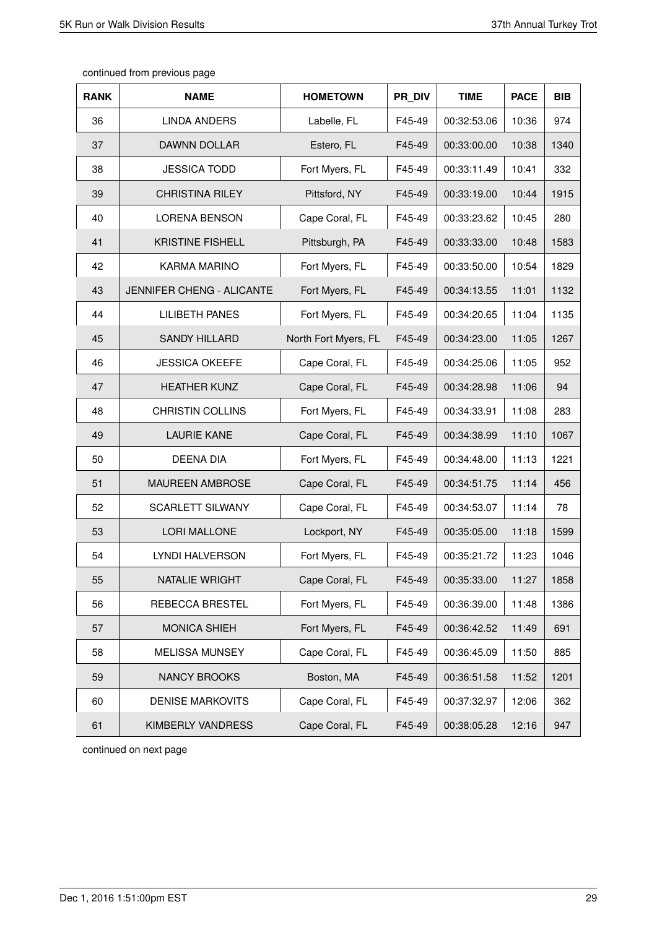| <b>RANK</b> | <b>NAME</b>               | <b>HOMETOWN</b>      | PR DIV | <b>TIME</b> | <b>PACE</b> | <b>BIB</b> |
|-------------|---------------------------|----------------------|--------|-------------|-------------|------------|
| 36          | <b>LINDA ANDERS</b>       | Labelle, FL          | F45-49 | 00:32:53.06 | 10:36       | 974        |
| 37          | DAWNN DOLLAR              | Estero, FL           | F45-49 | 00:33:00.00 | 10:38       | 1340       |
| 38          | <b>JESSICA TODD</b>       | Fort Myers, FL       | F45-49 | 00:33:11.49 | 10:41       | 332        |
| 39          | <b>CHRISTINA RILEY</b>    | Pittsford, NY        | F45-49 | 00:33:19.00 | 10:44       | 1915       |
| 40          | <b>LORENA BENSON</b>      | Cape Coral, FL       | F45-49 | 00:33:23.62 | 10:45       | 280        |
| 41          | <b>KRISTINE FISHELL</b>   | Pittsburgh, PA       | F45-49 | 00:33:33.00 | 10:48       | 1583       |
| 42          | <b>KARMA MARINO</b>       | Fort Myers, FL       | F45-49 | 00:33:50.00 | 10:54       | 1829       |
| 43          | JENNIFER CHENG - ALICANTE | Fort Myers, FL       | F45-49 | 00:34:13.55 | 11:01       | 1132       |
| 44          | <b>LILIBETH PANES</b>     | Fort Myers, FL       | F45-49 | 00:34:20.65 | 11:04       | 1135       |
| 45          | <b>SANDY HILLARD</b>      | North Fort Myers, FL | F45-49 | 00:34:23.00 | 11:05       | 1267       |
| 46          | <b>JESSICA OKEEFE</b>     | Cape Coral, FL       | F45-49 | 00:34:25.06 | 11:05       | 952        |
| 47          | <b>HEATHER KUNZ</b>       | Cape Coral, FL       | F45-49 | 00:34:28.98 | 11:06       | 94         |
| 48          | <b>CHRISTIN COLLINS</b>   | Fort Myers, FL       | F45-49 | 00:34:33.91 | 11:08       | 283        |
| 49          | <b>LAURIE KANE</b>        | Cape Coral, FL       | F45-49 | 00:34:38.99 | 11:10       | 1067       |
| 50          | <b>DEENA DIA</b>          | Fort Myers, FL       | F45-49 | 00:34:48.00 | 11:13       | 1221       |
| 51          | <b>MAUREEN AMBROSE</b>    | Cape Coral, FL       | F45-49 | 00:34:51.75 | 11:14       | 456        |
| 52          | <b>SCARLETT SILWANY</b>   | Cape Coral, FL       | F45-49 | 00:34:53.07 | 11:14       | 78         |
| 53          | <b>LORI MALLONE</b>       | Lockport, NY         | F45-49 | 00:35:05.00 | 11:18       | 1599       |
| 54          | LYNDI HALVERSON           | Fort Myers, FL       | F45-49 | 00:35:21.72 | 11:23       | 1046       |
| 55          | NATALIE WRIGHT            | Cape Coral, FL       | F45-49 | 00:35:33.00 | 11:27       | 1858       |
| 56          | REBECCA BRESTEL           | Fort Myers, FL       | F45-49 | 00:36:39.00 | 11:48       | 1386       |
| 57          | <b>MONICA SHIEH</b>       | Fort Myers, FL       | F45-49 | 00:36:42.52 | 11:49       | 691        |
| 58          | <b>MELISSA MUNSEY</b>     | Cape Coral, FL       | F45-49 | 00:36:45.09 | 11:50       | 885        |
| 59          | NANCY BROOKS              | Boston, MA           | F45-49 | 00:36:51.58 | 11:52       | 1201       |
| 60          | <b>DENISE MARKOVITS</b>   | Cape Coral, FL       | F45-49 | 00:37:32.97 | 12:06       | 362        |
| 61          | KIMBERLY VANDRESS         | Cape Coral, FL       | F45-49 | 00:38:05.28 | 12:16       | 947        |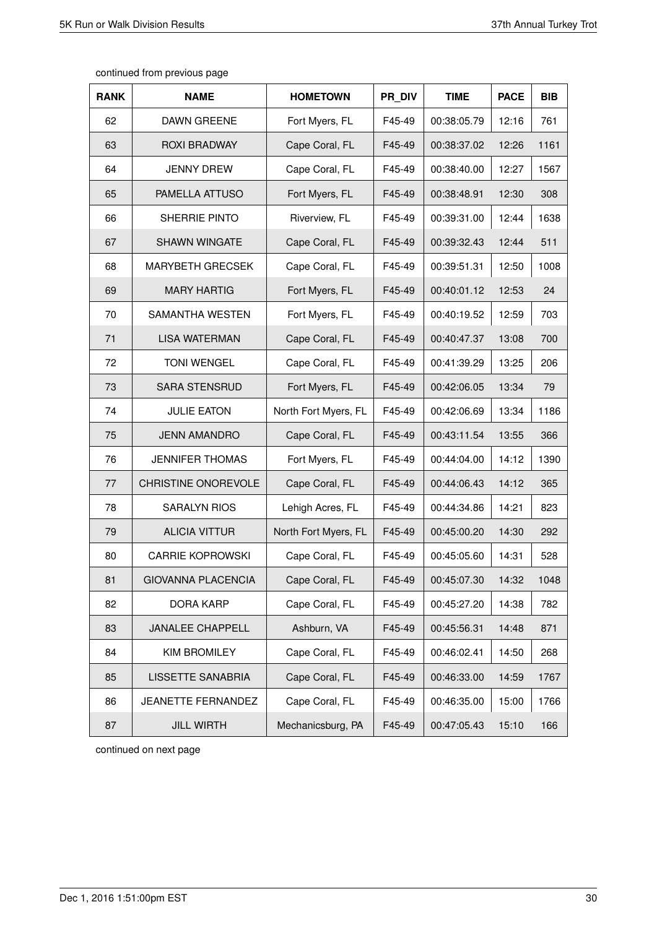| <b>RANK</b> | <b>NAME</b>               | <b>HOMETOWN</b>      | PR DIV | <b>TIME</b> | <b>PACE</b> | <b>BIB</b> |
|-------------|---------------------------|----------------------|--------|-------------|-------------|------------|
| 62          | <b>DAWN GREENE</b>        | Fort Myers, FL       | F45-49 | 00:38:05.79 | 12:16       | 761        |
| 63          | <b>ROXI BRADWAY</b>       | Cape Coral, FL       | F45-49 | 00:38:37.02 | 12:26       | 1161       |
| 64          | <b>JENNY DREW</b>         | Cape Coral, FL       | F45-49 | 00:38:40.00 | 12:27       | 1567       |
| 65          | PAMELLA ATTUSO            | Fort Myers, FL       | F45-49 | 00:38:48.91 | 12:30       | 308        |
| 66          | SHERRIE PINTO             | Riverview, FL        | F45-49 | 00:39:31.00 | 12:44       | 1638       |
| 67          | <b>SHAWN WINGATE</b>      | Cape Coral, FL       | F45-49 | 00:39:32.43 | 12:44       | 511        |
| 68          | <b>MARYBETH GRECSEK</b>   | Cape Coral, FL       | F45-49 | 00:39:51.31 | 12:50       | 1008       |
| 69          | <b>MARY HARTIG</b>        | Fort Myers, FL       | F45-49 | 00:40:01.12 | 12:53       | 24         |
| 70          | SAMANTHA WESTEN           | Fort Myers, FL       | F45-49 | 00:40:19.52 | 12:59       | 703        |
| 71          | <b>LISA WATERMAN</b>      | Cape Coral, FL       | F45-49 | 00:40:47.37 | 13:08       | 700        |
| 72          | <b>TONI WENGEL</b>        | Cape Coral, FL       | F45-49 | 00:41:39.29 | 13:25       | 206        |
| 73          | <b>SARA STENSRUD</b>      | Fort Myers, FL       | F45-49 | 00:42:06.05 | 13:34       | 79         |
| 74          | <b>JULIE EATON</b>        | North Fort Myers, FL | F45-49 | 00:42:06.69 | 13:34       | 1186       |
| 75          | <b>JENN AMANDRO</b>       | Cape Coral, FL       | F45-49 | 00:43:11.54 | 13:55       | 366        |
| 76          | <b>JENNIFER THOMAS</b>    | Fort Myers, FL       | F45-49 | 00:44:04.00 | 14:12       | 1390       |
| 77          | CHRISTINE ONOREVOLE       | Cape Coral, FL       | F45-49 | 00:44:06.43 | 14:12       | 365        |
| 78          | <b>SARALYN RIOS</b>       | Lehigh Acres, FL     | F45-49 | 00:44:34.86 | 14:21       | 823        |
| 79          | <b>ALICIA VITTUR</b>      | North Fort Myers, FL | F45-49 | 00:45:00.20 | 14:30       | 292        |
| 80          | <b>CARRIE KOPROWSKI</b>   | Cape Coral, FL       | F45-49 | 00:45:05.60 | 14:31       | 528        |
| 81          | <b>GIOVANNA PLACENCIA</b> | Cape Coral, FL       | F45-49 | 00:45:07.30 | 14:32       | 1048       |
| 82          | <b>DORA KARP</b>          | Cape Coral, FL       | F45-49 | 00:45:27.20 | 14:38       | 782        |
| 83          | <b>JANALEE CHAPPELL</b>   | Ashburn, VA          | F45-49 | 00:45:56.31 | 14:48       | 871        |
| 84          | <b>KIM BROMILEY</b>       | Cape Coral, FL       | F45-49 | 00:46:02.41 | 14:50       | 268        |
| 85          | LISSETTE SANABRIA         | Cape Coral, FL       | F45-49 | 00:46:33.00 | 14:59       | 1767       |
| 86          | JEANETTE FERNANDEZ        | Cape Coral, FL       | F45-49 | 00:46:35.00 | 15:00       | 1766       |
| 87          | <b>JILL WIRTH</b>         | Mechanicsburg, PA    | F45-49 | 00:47:05.43 | 15:10       | 166        |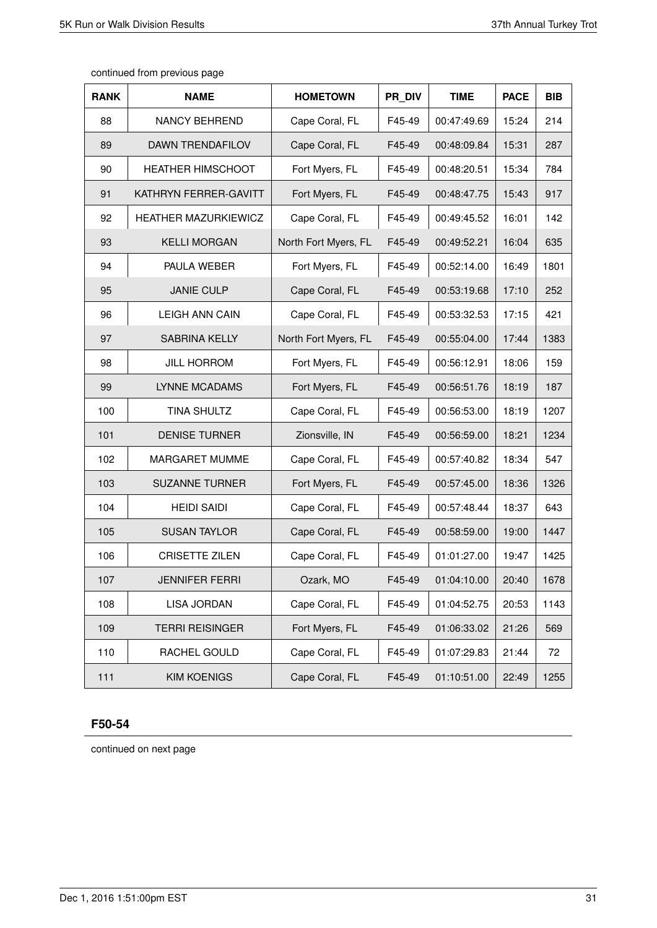| continued from previous page |  |  |
|------------------------------|--|--|
|------------------------------|--|--|

| <b>RANK</b> | <b>NAME</b>              | <b>HOMETOWN</b>      | PR DIV | <b>TIME</b> | <b>PACE</b> | <b>BIB</b> |
|-------------|--------------------------|----------------------|--------|-------------|-------------|------------|
| 88          | <b>NANCY BEHREND</b>     | Cape Coral, FL       | F45-49 | 00:47:49.69 | 15:24       | 214        |
| 89          | <b>DAWN TRENDAFILOV</b>  | Cape Coral, FL       | F45-49 | 00:48:09.84 | 15:31       | 287        |
| 90          | <b>HEATHER HIMSCHOOT</b> | Fort Myers, FL       | F45-49 | 00:48:20.51 | 15:34       | 784        |
| 91          | KATHRYN FERRER-GAVITT    | Fort Myers, FL       | F45-49 | 00:48:47.75 | 15:43       | 917        |
| 92          | HEATHER MAZURKIEWICZ     | Cape Coral, FL       | F45-49 | 00:49:45.52 | 16:01       | 142        |
| 93          | <b>KELLI MORGAN</b>      | North Fort Myers, FL | F45-49 | 00:49:52.21 | 16:04       | 635        |
| 94          | PAULA WEBER              | Fort Myers, FL       | F45-49 | 00:52:14.00 | 16:49       | 1801       |
| 95          | <b>JANIE CULP</b>        | Cape Coral, FL       | F45-49 | 00:53:19.68 | 17:10       | 252        |
| 96          | <b>LEIGH ANN CAIN</b>    | Cape Coral, FL       | F45-49 | 00:53:32.53 | 17:15       | 421        |
| 97          | <b>SABRINA KELLY</b>     | North Fort Myers, FL | F45-49 | 00:55:04.00 | 17:44       | 1383       |
| 98          | <b>JILL HORROM</b>       | Fort Myers, FL       | F45-49 | 00:56:12.91 | 18:06       | 159        |
| 99          | LYNNE MCADAMS            | Fort Myers, FL       | F45-49 | 00:56:51.76 | 18:19       | 187        |
| 100         | <b>TINA SHULTZ</b>       | Cape Coral, FL       | F45-49 | 00:56:53.00 | 18:19       | 1207       |
| 101         | <b>DENISE TURNER</b>     | Zionsville, IN       | F45-49 | 00:56:59.00 | 18:21       | 1234       |
| 102         | <b>MARGARET MUMME</b>    | Cape Coral, FL       | F45-49 | 00:57:40.82 | 18:34       | 547        |
| 103         | <b>SUZANNE TURNER</b>    | Fort Myers, FL       | F45-49 | 00:57:45.00 | 18:36       | 1326       |
| 104         | <b>HEIDI SAIDI</b>       | Cape Coral, FL       | F45-49 | 00:57:48.44 | 18:37       | 643        |
| 105         | <b>SUSAN TAYLOR</b>      | Cape Coral, FL       | F45-49 | 00:58:59.00 | 19:00       | 1447       |
| 106         | <b>CRISETTE ZILEN</b>    | Cape Coral, FL       | F45-49 | 01:01:27.00 | 19:47       | 1425       |
| 107         | <b>JENNIFER FERRI</b>    | Ozark, MO            | F45-49 | 01:04:10.00 | 20:40       | 1678       |
| 108         | LISA JORDAN              | Cape Coral, FL       | F45-49 | 01:04:52.75 | 20:53       | 1143       |
| 109         | <b>TERRI REISINGER</b>   | Fort Myers, FL       | F45-49 | 01:06:33.02 | 21:26       | 569        |
| 110         | RACHEL GOULD             | Cape Coral, FL       | F45-49 | 01:07:29.83 | 21:44       | 72         |
| 111         | <b>KIM KOENIGS</b>       | Cape Coral, FL       | F45-49 | 01:10:51.00 | 22:49       | 1255       |

#### **F50-54**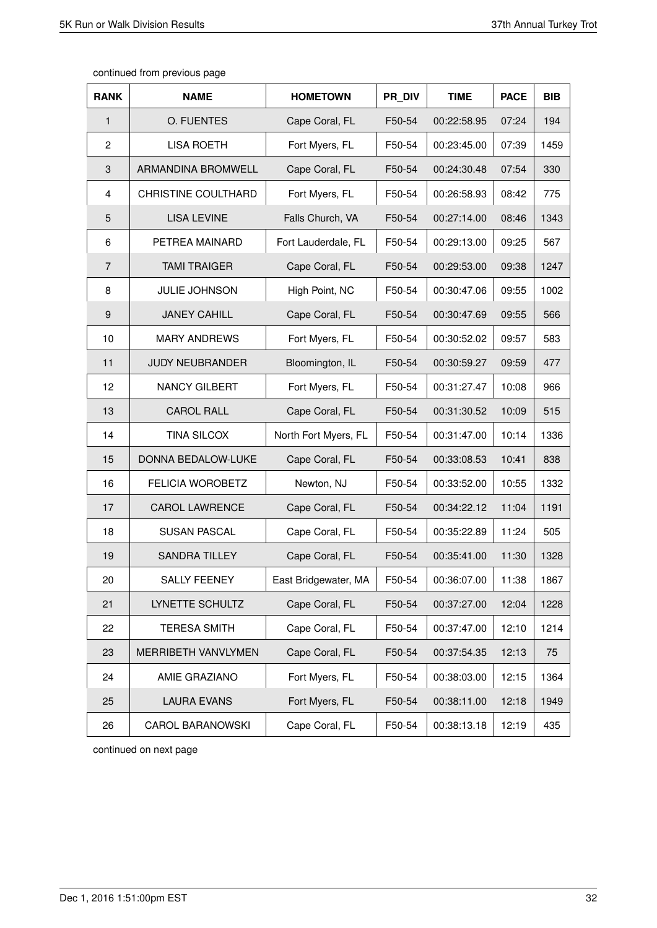| <b>RANK</b>    | <b>NAME</b>                | <b>HOMETOWN</b>      | PR DIV | <b>TIME</b> | <b>PACE</b> | <b>BIB</b> |
|----------------|----------------------------|----------------------|--------|-------------|-------------|------------|
| $\mathbf{1}$   | O. FUENTES                 | Cape Coral, FL       | F50-54 | 00:22:58.95 | 07:24       | 194        |
| $\overline{2}$ | <b>LISA ROETH</b>          | Fort Myers, FL       | F50-54 | 00:23:45.00 | 07:39       | 1459       |
| 3              | ARMANDINA BROMWELL         | Cape Coral, FL       | F50-54 | 00:24:30.48 | 07:54       | 330        |
| $\overline{4}$ | <b>CHRISTINE COULTHARD</b> | Fort Myers, FL       | F50-54 | 00:26:58.93 | 08:42       | 775        |
| 5              | <b>LISA LEVINE</b>         | Falls Church, VA     | F50-54 | 00:27:14.00 | 08:46       | 1343       |
| 6              | PETREA MAINARD             | Fort Lauderdale, FL  | F50-54 | 00:29:13.00 | 09:25       | 567        |
| $\overline{7}$ | <b>TAMI TRAIGER</b>        | Cape Coral, FL       | F50-54 | 00:29:53.00 | 09:38       | 1247       |
| 8              | <b>JULIE JOHNSON</b>       | High Point, NC       | F50-54 | 00:30:47.06 | 09:55       | 1002       |
| 9              | <b>JANEY CAHILL</b>        | Cape Coral, FL       | F50-54 | 00:30:47.69 | 09:55       | 566        |
| 10             | <b>MARY ANDREWS</b>        | Fort Myers, FL       | F50-54 | 00:30:52.02 | 09:57       | 583        |
| 11             | <b>JUDY NEUBRANDER</b>     | Bloomington, IL      | F50-54 | 00:30:59.27 | 09:59       | 477        |
| 12             | <b>NANCY GILBERT</b>       | Fort Myers, FL       | F50-54 | 00:31:27.47 | 10:08       | 966        |
| 13             | <b>CAROL RALL</b>          | Cape Coral, FL       | F50-54 | 00:31:30.52 | 10:09       | 515        |
| 14             | <b>TINA SILCOX</b>         | North Fort Myers, FL | F50-54 | 00:31:47.00 | 10:14       | 1336       |
| 15             | DONNA BEDALOW-LUKE         | Cape Coral, FL       | F50-54 | 00:33:08.53 | 10:41       | 838        |
| 16             | <b>FELICIA WOROBETZ</b>    | Newton, NJ           | F50-54 | 00:33:52.00 | 10:55       | 1332       |
| 17             | <b>CAROL LAWRENCE</b>      | Cape Coral, FL       | F50-54 | 00:34:22.12 | 11:04       | 1191       |
| 18             | <b>SUSAN PASCAL</b>        | Cape Coral, FL       | F50-54 | 00:35:22.89 | 11:24       | 505        |
| 19             | <b>SANDRA TILLEY</b>       | Cape Coral, FL       | F50-54 | 00:35:41.00 | 11:30       | 1328       |
| 20             | <b>SALLY FEENEY</b>        | East Bridgewater, MA | F50-54 | 00:36:07.00 | 11:38       | 1867       |
| 21             | LYNETTE SCHULTZ            | Cape Coral, FL       | F50-54 | 00:37:27.00 | 12:04       | 1228       |
| 22             | <b>TERESA SMITH</b>        | Cape Coral, FL       | F50-54 | 00:37:47.00 | 12:10       | 1214       |
| 23             | MERRIBETH VANVLYMEN        | Cape Coral, FL       | F50-54 | 00:37:54.35 | 12:13       | 75         |
| 24             | AMIE GRAZIANO              | Fort Myers, FL       | F50-54 | 00:38:03.00 | 12:15       | 1364       |
| 25             | <b>LAURA EVANS</b>         | Fort Myers, FL       | F50-54 | 00:38:11.00 | 12:18       | 1949       |
| 26             | <b>CAROL BARANOWSKI</b>    | Cape Coral, FL       | F50-54 | 00:38:13.18 | 12:19       | 435        |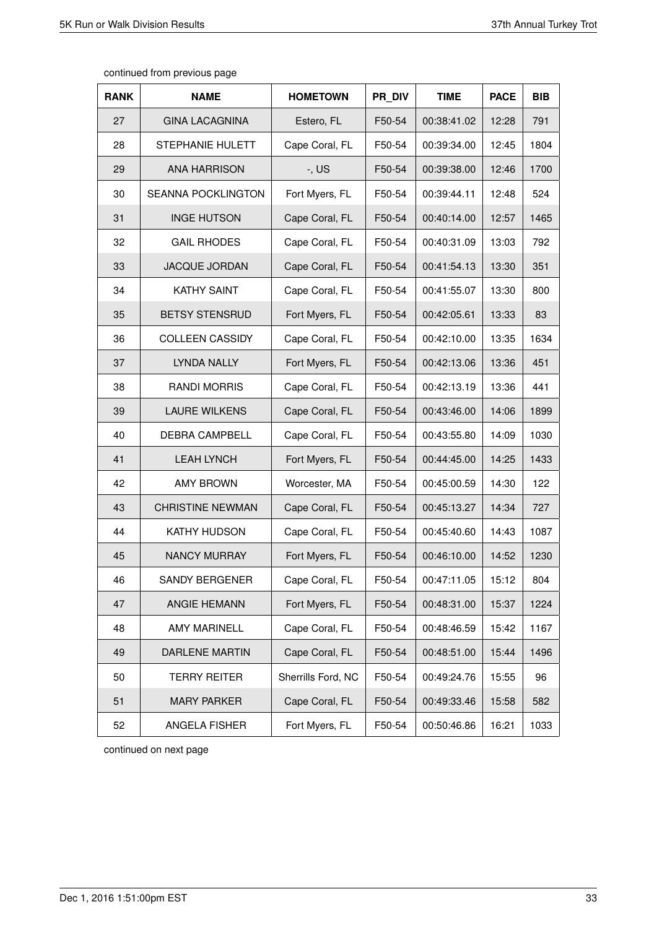| <b>RANK</b> | <b>NAME</b>               | <b>HOMETOWN</b>    | PR DIV | <b>TIME</b> | <b>PACE</b> | <b>BIB</b> |
|-------------|---------------------------|--------------------|--------|-------------|-------------|------------|
| 27          | <b>GINA LACAGNINA</b>     | Estero, FL         | F50-54 | 00:38:41.02 | 12:28       | 791        |
| 28          | <b>STEPHANIE HULETT</b>   | Cape Coral, FL     | F50-54 | 00:39:34.00 | 12:45       | 1804       |
| 29          | <b>ANA HARRISON</b>       | $-$ , US           | F50-54 | 00:39:38.00 | 12:46       | 1700       |
| 30          | <b>SEANNA POCKLINGTON</b> | Fort Myers, FL     | F50-54 | 00:39:44.11 | 12:48       | 524        |
| 31          | <b>INGE HUTSON</b>        | Cape Coral, FL     | F50-54 | 00:40:14.00 | 12:57       | 1465       |
| 32          | <b>GAIL RHODES</b>        | Cape Coral, FL     | F50-54 | 00:40:31.09 | 13:03       | 792        |
| 33          | <b>JACQUE JORDAN</b>      | Cape Coral, FL     | F50-54 | 00:41:54.13 | 13:30       | 351        |
| 34          | <b>KATHY SAINT</b>        | Cape Coral, FL     | F50-54 | 00:41:55.07 | 13:30       | 800        |
| 35          | <b>BETSY STENSRUD</b>     | Fort Myers, FL     | F50-54 | 00:42:05.61 | 13:33       | 83         |
| 36          | <b>COLLEEN CASSIDY</b>    | Cape Coral, FL     | F50-54 | 00:42:10.00 | 13:35       | 1634       |
| 37          | LYNDA NALLY               | Fort Myers, FL     | F50-54 | 00:42:13.06 | 13:36       | 451        |
| 38          | <b>RANDI MORRIS</b>       | Cape Coral, FL     | F50-54 | 00:42:13.19 | 13:36       | 441        |
| 39          | <b>LAURE WILKENS</b>      | Cape Coral, FL     | F50-54 | 00:43:46.00 | 14:06       | 1899       |
| 40          | <b>DEBRA CAMPBELL</b>     | Cape Coral, FL     | F50-54 | 00:43:55.80 | 14:09       | 1030       |
| 41          | <b>LEAH LYNCH</b>         | Fort Myers, FL     | F50-54 | 00:44:45.00 | 14:25       | 1433       |
| 42          | <b>AMY BROWN</b>          | Worcester, MA      | F50-54 | 00:45:00.59 | 14:30       | 122        |
| 43          | <b>CHRISTINE NEWMAN</b>   | Cape Coral, FL     | F50-54 | 00:45:13.27 | 14:34       | 727        |
| 44          | <b>KATHY HUDSON</b>       | Cape Coral, FL     | F50-54 | 00:45:40.60 | 14:43       | 1087       |
| 45          | <b>NANCY MURRAY</b>       | Fort Myers, FL     | F50-54 | 00:46:10.00 | 14:52       | 1230       |
| 46          | SANDY BERGENER            | Cape Coral, FL     | F50-54 | 00:47:11.05 | 15:12       | 804        |
| 47          | ANGIE HEMANN              | Fort Myers, FL     | F50-54 | 00:48:31.00 | 15:37       | 1224       |
| 48          | <b>AMY MARINELL</b>       | Cape Coral, FL     | F50-54 | 00:48:46.59 | 15:42       | 1167       |
| 49          | DARLENE MARTIN            | Cape Coral, FL     | F50-54 | 00:48:51.00 | 15:44       | 1496       |
| 50          | <b>TERRY REITER</b>       | Sherrills Ford, NC | F50-54 | 00:49:24.76 | 15:55       | 96         |
| 51          | <b>MARY PARKER</b>        | Cape Coral, FL     | F50-54 | 00:49:33.46 | 15:58       | 582        |
| 52          | ANGELA FISHER             | Fort Myers, FL     | F50-54 | 00:50:46.86 | 16:21       | 1033       |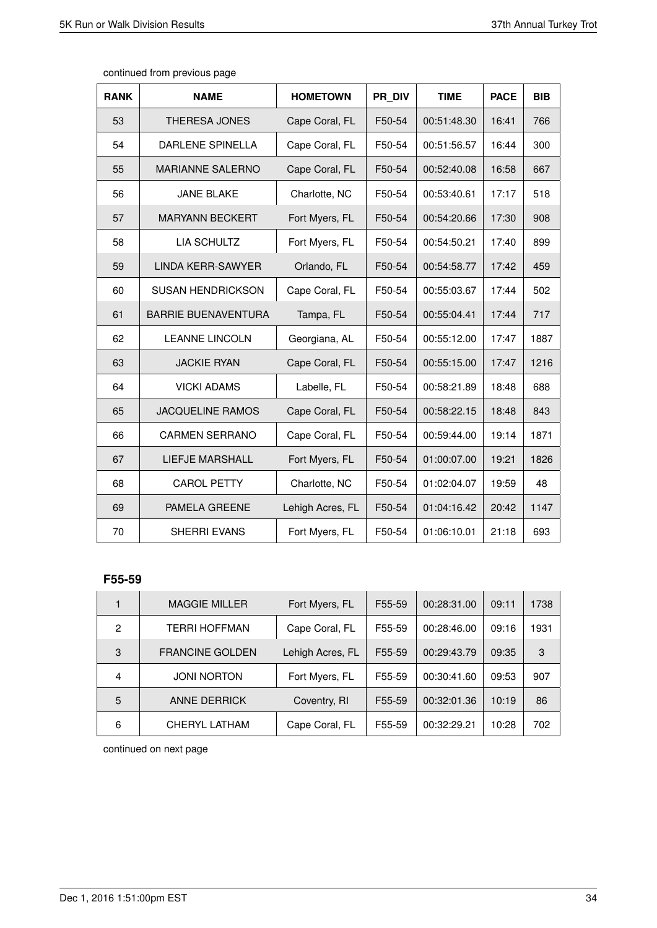| <b>RANK</b> | <b>NAME</b>                | <b>HOMETOWN</b>  | PR DIV | <b>TIME</b> | <b>PACE</b> | <b>BIB</b> |
|-------------|----------------------------|------------------|--------|-------------|-------------|------------|
| 53          | <b>THERESA JONES</b>       | Cape Coral, FL   | F50-54 | 00:51:48.30 | 16:41       | 766        |
| 54          | <b>DARLENE SPINELLA</b>    | Cape Coral, FL   | F50-54 | 00:51:56.57 | 16:44       | 300        |
| 55          | <b>MARIANNE SALERNO</b>    | Cape Coral, FL   | F50-54 | 00:52:40.08 | 16:58       | 667        |
| 56          | <b>JANE BLAKE</b>          | Charlotte, NC    | F50-54 | 00:53:40.61 | 17:17       | 518        |
| 57          | <b>MARYANN BECKERT</b>     | Fort Myers, FL   | F50-54 | 00:54:20.66 | 17:30       | 908        |
| 58          | <b>LIA SCHULTZ</b>         | Fort Myers, FL   | F50-54 | 00:54:50.21 | 17:40       | 899        |
| 59          | LINDA KERR-SAWYER          | Orlando, FL      | F50-54 | 00:54:58.77 | 17:42       | 459        |
| 60          | <b>SUSAN HENDRICKSON</b>   | Cape Coral, FL   | F50-54 | 00:55:03.67 | 17:44       | 502        |
| 61          | <b>BARRIE BUENAVENTURA</b> | Tampa, FL        | F50-54 | 00:55:04.41 | 17:44       | 717        |
| 62          | <b>LEANNE LINCOLN</b>      | Georgiana, AL    | F50-54 | 00:55:12.00 | 17:47       | 1887       |
| 63          | <b>JACKIE RYAN</b>         | Cape Coral, FL   | F50-54 | 00:55:15.00 | 17:47       | 1216       |
| 64          | <b>VICKI ADAMS</b>         | Labelle, FL      | F50-54 | 00:58:21.89 | 18:48       | 688        |
| 65          | <b>JACQUELINE RAMOS</b>    | Cape Coral, FL   | F50-54 | 00:58:22.15 | 18:48       | 843        |
| 66          | <b>CARMEN SERRANO</b>      | Cape Coral, FL   | F50-54 | 00:59:44.00 | 19:14       | 1871       |
| 67          | <b>LIEFJE MARSHALL</b>     | Fort Myers, FL   | F50-54 | 01:00:07.00 | 19:21       | 1826       |
| 68          | <b>CAROL PETTY</b>         | Charlotte, NC    | F50-54 | 01:02:04.07 | 19:59       | 48         |
| 69          | PAMELA GREENE              | Lehigh Acres, FL | F50-54 | 01:04:16.42 | 20:42       | 1147       |
| 70          | SHERRI EVANS               | Fort Myers, FL   | F50-54 | 01:06:10.01 | 21:18       | 693        |

### **F55-59**

|                | <b>MAGGIE MILLER</b>   | Fort Myers, FL   | F55-59 | 00:28:31.00 | 09:11 | 1738 |
|----------------|------------------------|------------------|--------|-------------|-------|------|
| 2              | TERRI HOFFMAN          | Cape Coral, FL   | F55-59 | 00:28:46.00 | 09:16 | 931  |
| 3              | <b>FRANCINE GOLDEN</b> | Lehigh Acres, FL | F55-59 | 00:29:43.79 | 09:35 | 3    |
| $\overline{4}$ | <b>JONI NORTON</b>     | Fort Myers, FL   | F55-59 | 00:30:41.60 | 09:53 | 907  |
| 5              | <b>ANNE DERRICK</b>    | Coventry, RI     | F55-59 | 00:32:01.36 | 10:19 | 86   |
| 6              | CHERYL LATHAM          | Cape Coral, FL   | F55-59 | 00:32:29.21 | 10:28 | 702  |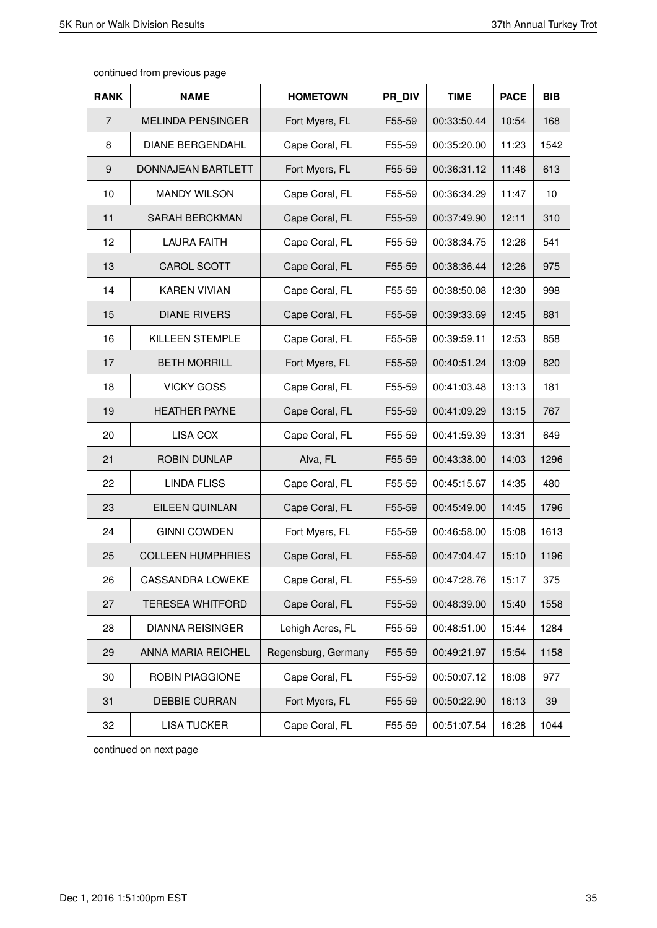| continued from previous page |  |  |  |
|------------------------------|--|--|--|
|------------------------------|--|--|--|

| <b>RANK</b>    | <b>NAME</b>              | <b>HOMETOWN</b>     | PR DIV | <b>TIME</b> | <b>PACE</b> | <b>BIB</b> |
|----------------|--------------------------|---------------------|--------|-------------|-------------|------------|
| $\overline{7}$ | <b>MELINDA PENSINGER</b> | Fort Myers, FL      | F55-59 | 00:33:50.44 | 10:54       | 168        |
| 8              | <b>DIANE BERGENDAHL</b>  | Cape Coral, FL      | F55-59 | 00:35:20.00 | 11:23       | 1542       |
| 9              | DONNAJEAN BARTLETT       | Fort Myers, FL      | F55-59 | 00:36:31.12 | 11:46       | 613        |
| 10             | <b>MANDY WILSON</b>      | Cape Coral, FL      | F55-59 | 00:36:34.29 | 11:47       | 10         |
| 11             | SARAH BERCKMAN           | Cape Coral, FL      | F55-59 | 00:37:49.90 | 12:11       | 310        |
| 12             | <b>LAURA FAITH</b>       | Cape Coral, FL      | F55-59 | 00:38:34.75 | 12:26       | 541        |
| 13             | CAROL SCOTT              | Cape Coral, FL      | F55-59 | 00:38:36.44 | 12:26       | 975        |
| 14             | <b>KAREN VIVIAN</b>      | Cape Coral, FL      | F55-59 | 00:38:50.08 | 12:30       | 998        |
| 15             | <b>DIANE RIVERS</b>      | Cape Coral, FL      | F55-59 | 00:39:33.69 | 12:45       | 881        |
| 16             | KILLEEN STEMPLE          | Cape Coral, FL      | F55-59 | 00:39:59.11 | 12:53       | 858        |
| 17             | <b>BETH MORRILL</b>      | Fort Myers, FL      | F55-59 | 00:40:51.24 | 13:09       | 820        |
| 18             | <b>VICKY GOSS</b>        | Cape Coral, FL      | F55-59 | 00:41:03.48 | 13:13       | 181        |
| 19             | <b>HEATHER PAYNE</b>     | Cape Coral, FL      | F55-59 | 00:41:09.29 | 13:15       | 767        |
| 20             | LISA COX                 | Cape Coral, FL      | F55-59 | 00:41:59.39 | 13:31       | 649        |
| 21             | <b>ROBIN DUNLAP</b>      | Alva, FL            | F55-59 | 00:43:38.00 | 14:03       | 1296       |
| 22             | <b>LINDA FLISS</b>       | Cape Coral, FL      | F55-59 | 00:45:15.67 | 14:35       | 480        |
| 23             | EILEEN QUINLAN           | Cape Coral, FL      | F55-59 | 00:45:49.00 | 14:45       | 1796       |
| 24             | <b>GINNI COWDEN</b>      | Fort Myers, FL      | F55-59 | 00:46:58.00 | 15:08       | 1613       |
| 25             | <b>COLLEEN HUMPHRIES</b> | Cape Coral, FL      | F55-59 | 00:47:04.47 | 15:10       | 1196       |
| 26             | <b>CASSANDRA LOWEKE</b>  | Cape Coral, FL      | F55-59 | 00:47:28.76 | 15:17       | 375        |
| 27             | <b>TERESEA WHITFORD</b>  | Cape Coral, FL      | F55-59 | 00:48:39.00 | 15:40       | 1558       |
| 28             | <b>DIANNA REISINGER</b>  | Lehigh Acres, FL    | F55-59 | 00:48:51.00 | 15:44       | 1284       |
| 29             | ANNA MARIA REICHEL       | Regensburg, Germany | F55-59 | 00:49:21.97 | 15:54       | 1158       |
| 30             | ROBIN PIAGGIONE          | Cape Coral, FL      | F55-59 | 00:50:07.12 | 16:08       | 977        |
| 31             | <b>DEBBIE CURRAN</b>     | Fort Myers, FL      | F55-59 | 00:50:22.90 | 16:13       | 39         |
| 32             | <b>LISA TUCKER</b>       | Cape Coral, FL      | F55-59 | 00:51:07.54 | 16:28       | 1044       |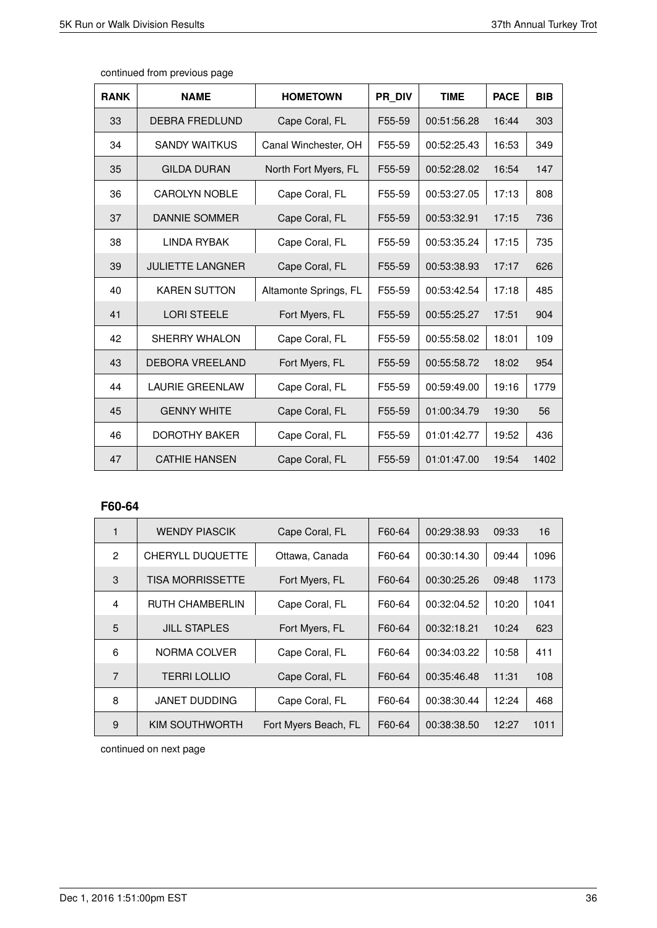Τ

T

| <b>RANK</b> | <b>NAME</b>             | <b>HOMETOWN</b>       | PR DIV | <b>TIME</b> | <b>PACE</b> | <b>BIB</b> |
|-------------|-------------------------|-----------------------|--------|-------------|-------------|------------|
| 33          | <b>DEBRA FREDLUND</b>   | Cape Coral, FL        | F55-59 | 00:51:56.28 | 16:44       | 303        |
| 34          | <b>SANDY WAITKUS</b>    | Canal Winchester, OH  | F55-59 | 00:52:25.43 | 16:53       | 349        |
| 35          | <b>GILDA DURAN</b>      | North Fort Myers, FL  | F55-59 | 00:52:28.02 | 16:54       | 147        |
| 36          | <b>CAROLYN NOBLE</b>    | Cape Coral, FL        | F55-59 | 00:53:27.05 | 17:13       | 808        |
| 37          | DANNIE SOMMER           | Cape Coral, FL        | F55-59 | 00:53:32.91 | 17:15       | 736        |
| 38          | <b>LINDA RYBAK</b>      | Cape Coral, FL        | F55-59 | 00:53:35.24 | 17:15       | 735        |
| 39          | <b>JULIETTE LANGNER</b> | Cape Coral, FL        | F55-59 | 00:53:38.93 | 17:17       | 626        |
| 40          | <b>KAREN SUTTON</b>     | Altamonte Springs, FL | F55-59 | 00:53:42.54 | 17:18       | 485        |
| 41          | <b>LORI STEELE</b>      | Fort Myers, FL        | F55-59 | 00:55:25.27 | 17:51       | 904        |
| 42          | <b>SHERRY WHALON</b>    | Cape Coral, FL        | F55-59 | 00:55:58.02 | 18:01       | 109        |
| 43          | <b>DEBORA VREELAND</b>  | Fort Myers, FL        | F55-59 | 00:55:58.72 | 18:02       | 954        |
| 44          | <b>LAURIE GREENLAW</b>  | Cape Coral, FL        | F55-59 | 00:59:49.00 | 19:16       | 1779       |
| 45          | <b>GENNY WHITE</b>      | Cape Coral, FL        | F55-59 | 01:00:34.79 | 19:30       | 56         |
| 46          | <b>DOROTHY BAKER</b>    | Cape Coral, FL        | F55-59 | 01:01:42.77 | 19:52       | 436        |
| 47          | <b>CATHIE HANSEN</b>    | Cape Coral, FL        | F55-59 | 01:01:47.00 | 19:54       | 1402       |

┱

continued from previous page

### **F60-64**

| 1              | <b>WENDY PIASCIK</b>    | Cape Coral, FL       | F60-64 | 00:29:38.93 | 09:33 | 16   |
|----------------|-------------------------|----------------------|--------|-------------|-------|------|
| $\overline{2}$ | <b>CHERYLL DUQUETTE</b> | Ottawa, Canada       | F60-64 | 00:30:14.30 | 09:44 | 1096 |
| 3              | <b>TISA MORRISSETTE</b> | Fort Myers, FL       | F60-64 | 00:30:25.26 | 09:48 | 1173 |
| 4              | <b>RUTH CHAMBERLIN</b>  | Cape Coral, FL       | F60-64 | 00:32:04.52 | 10:20 | 1041 |
| 5              | <b>JILL STAPLES</b>     | Fort Myers, FL       | F60-64 | 00:32:18.21 | 10:24 | 623  |
| 6              | NORMA COLVER            | Cape Coral, FL       | F60-64 | 00:34:03.22 | 10:58 | 411  |
| $\overline{7}$ | <b>TERRI LOLLIO</b>     | Cape Coral, FL       | F60-64 | 00:35:46.48 | 11:31 | 108  |
| 8              | <b>JANET DUDDING</b>    | Cape Coral, FL       | F60-64 | 00:38:30.44 | 12:24 | 468  |
| 9              | KIM SOUTHWORTH          | Fort Myers Beach, FL | F60-64 | 00:38:38.50 | 12:27 | 1011 |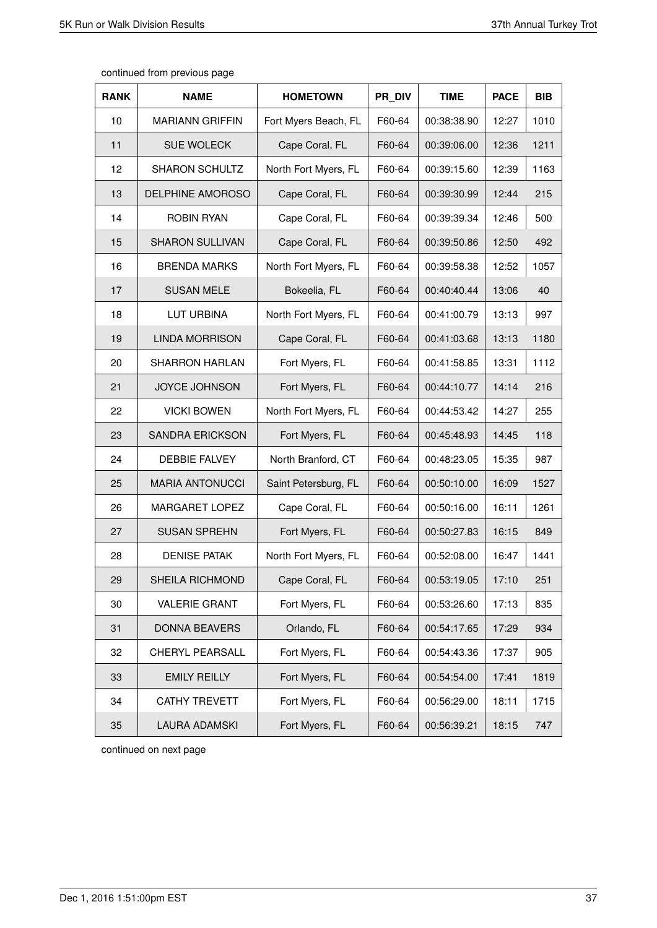| continued from previous page |  |  |
|------------------------------|--|--|
|------------------------------|--|--|

| <b>RANK</b> | <b>NAME</b>             | <b>HOMETOWN</b>      | PR DIV | <b>TIME</b> | <b>PACE</b> | <b>BIB</b> |
|-------------|-------------------------|----------------------|--------|-------------|-------------|------------|
| 10          | <b>MARIANN GRIFFIN</b>  | Fort Myers Beach, FL | F60-64 | 00:38:38.90 | 12:27       | 1010       |
| 11          | <b>SUE WOLECK</b>       | Cape Coral, FL       | F60-64 | 00:39:06.00 | 12:36       | 1211       |
| 12          | <b>SHARON SCHULTZ</b>   | North Fort Myers, FL | F60-64 | 00:39:15.60 | 12:39       | 1163       |
| 13          | <b>DELPHINE AMOROSO</b> | Cape Coral, FL       | F60-64 | 00:39:30.99 | 12:44       | 215        |
| 14          | <b>ROBIN RYAN</b>       | Cape Coral, FL       | F60-64 | 00:39:39.34 | 12:46       | 500        |
| 15          | <b>SHARON SULLIVAN</b>  | Cape Coral, FL       | F60-64 | 00:39:50.86 | 12:50       | 492        |
| 16          | <b>BRENDA MARKS</b>     | North Fort Myers, FL | F60-64 | 00:39:58.38 | 12:52       | 1057       |
| 17          | <b>SUSAN MELE</b>       | Bokeelia, FL         | F60-64 | 00:40:40.44 | 13:06       | 40         |
| 18          | LUT URBINA              | North Fort Myers, FL | F60-64 | 00:41:00.79 | 13:13       | 997        |
| 19          | <b>LINDA MORRISON</b>   | Cape Coral, FL       | F60-64 | 00:41:03.68 | 13:13       | 1180       |
| 20          | <b>SHARRON HARLAN</b>   | Fort Myers, FL       | F60-64 | 00:41:58.85 | 13:31       | 1112       |
| 21          | <b>JOYCE JOHNSON</b>    | Fort Myers, FL       | F60-64 | 00:44:10.77 | 14:14       | 216        |
| 22          | <b>VICKI BOWEN</b>      | North Fort Myers, FL | F60-64 | 00:44:53.42 | 14:27       | 255        |
| 23          | <b>SANDRA ERICKSON</b>  | Fort Myers, FL       | F60-64 | 00:45:48.93 | 14:45       | 118        |
| 24          | <b>DEBBIE FALVEY</b>    | North Branford, CT   | F60-64 | 00:48:23.05 | 15:35       | 987        |
| 25          | <b>MARIA ANTONUCCI</b>  | Saint Petersburg, FL | F60-64 | 00:50:10.00 | 16:09       | 1527       |
| 26          | MARGARET LOPEZ          | Cape Coral, FL       | F60-64 | 00:50:16.00 | 16:11       | 1261       |
| 27          | <b>SUSAN SPREHN</b>     | Fort Myers, FL       | F60-64 | 00:50:27.83 | 16:15       | 849        |
| 28          | <b>DENISE PATAK</b>     | North Fort Myers, FL | F60-64 | 00:52:08.00 | 16:47       | 1441       |
| 29          | SHEILA RICHMOND         | Cape Coral, FL       | F60-64 | 00:53:19.05 | 17:10       | 251        |
| 30          | <b>VALERIE GRANT</b>    | Fort Myers, FL       | F60-64 | 00:53:26.60 | 17:13       | 835        |
| 31          | <b>DONNA BEAVERS</b>    | Orlando, FL          | F60-64 | 00:54:17.65 | 17:29       | 934        |
| 32          | CHERYL PEARSALL         | Fort Myers, FL       | F60-64 | 00:54:43.36 | 17:37       | 905        |
| 33          | <b>EMILY REILLY</b>     | Fort Myers, FL       | F60-64 | 00:54:54.00 | 17:41       | 1819       |
| 34          | <b>CATHY TREVETT</b>    | Fort Myers, FL       | F60-64 | 00:56:29.00 | 18:11       | 1715       |
| 35          | <b>LAURA ADAMSKI</b>    | Fort Myers, FL       | F60-64 | 00:56:39.21 | 18:15       | 747        |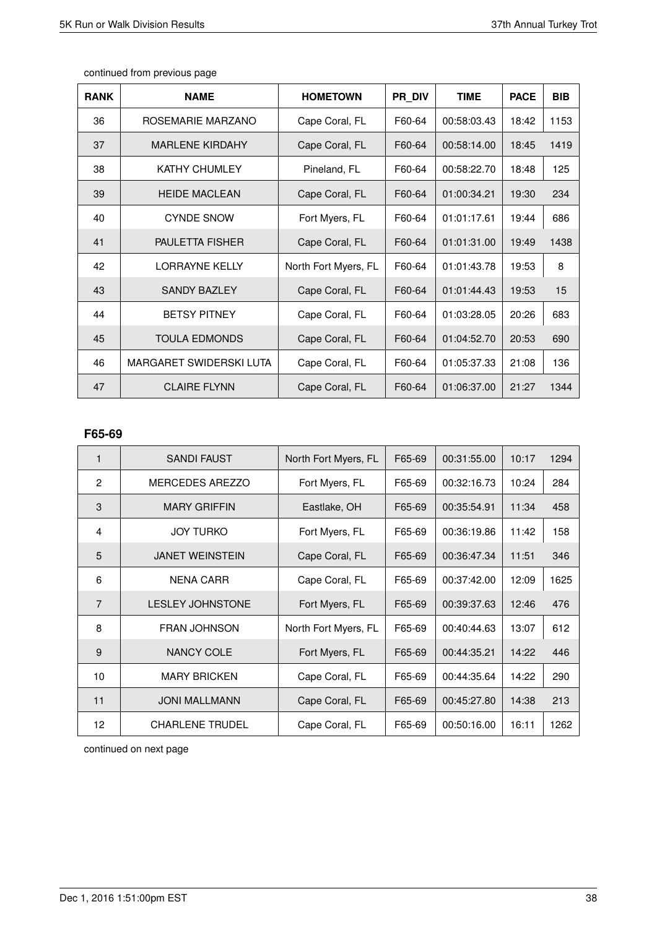| <b>RANK</b> | <b>NAME</b>                    | <b>HOMETOWN</b>      | PR DIV | <b>TIME</b> | <b>PACE</b> | <b>BIB</b> |
|-------------|--------------------------------|----------------------|--------|-------------|-------------|------------|
| 36          | ROSEMARIE MARZANO              | Cape Coral, FL       | F60-64 | 00:58:03.43 | 18:42       | 1153       |
| 37          | <b>MARLENE KIRDAHY</b>         | Cape Coral, FL       | F60-64 | 00:58:14.00 | 18:45       | 1419       |
| 38          | <b>KATHY CHUMLEY</b>           | Pineland, FL         | F60-64 | 00:58:22.70 | 18:48       | 125        |
| 39          | <b>HEIDE MACLEAN</b>           | Cape Coral, FL       | F60-64 | 01:00:34.21 | 19:30       | 234        |
| 40          | <b>CYNDE SNOW</b>              | Fort Myers, FL       | F60-64 | 01:01:17.61 | 19:44       | 686        |
| 41          | <b>PAULETTA FISHER</b>         | Cape Coral, FL       | F60-64 | 01:01:31.00 | 19:49       | 1438       |
| 42          | <b>LORRAYNE KELLY</b>          | North Fort Myers, FL | F60-64 | 01:01:43.78 | 19:53       | 8          |
| 43          | <b>SANDY BAZLEY</b>            | Cape Coral, FL       | F60-64 | 01:01:44.43 | 19:53       | 15         |
| 44          | <b>BETSY PITNEY</b>            | Cape Coral, FL       | F60-64 | 01:03:28.05 | 20:26       | 683        |
| 45          | <b>TOULA EDMONDS</b>           | Cape Coral, FL       | F60-64 | 01:04:52.70 | 20:53       | 690        |
| 46          | <b>MARGARET SWIDERSKI LUTA</b> | Cape Coral, FL       | F60-64 | 01:05:37.33 | 21:08       | 136        |
| 47          | <b>CLAIRE FLYNN</b>            | Cape Coral, FL       | F60-64 | 01:06:37.00 | 21:27       | 1344       |

# **F65-69**

| $\mathbf 1$    | <b>SANDI FAUST</b>      | North Fort Myers, FL | F65-69 | 00:31:55.00 | 10:17 | 1294 |
|----------------|-------------------------|----------------------|--------|-------------|-------|------|
| $\overline{2}$ | MERCEDES AREZZO         | Fort Myers, FL       | F65-69 | 00:32:16.73 | 10:24 | 284  |
| 3              | <b>MARY GRIFFIN</b>     | Eastlake, OH         | F65-69 | 00:35:54.91 | 11:34 | 458  |
| 4              | <b>JOY TURKO</b>        | Fort Myers, FL       | F65-69 | 00:36:19.86 | 11:42 | 158  |
| 5              | <b>JANET WEINSTEIN</b>  | Cape Coral, FL       | F65-69 | 00:36:47.34 | 11:51 | 346  |
| 6              | <b>NENA CARR</b>        | Cape Coral, FL       | F65-69 | 00:37:42.00 | 12:09 | 1625 |
| $\overline{7}$ | <b>LESLEY JOHNSTONE</b> | Fort Myers, FL       | F65-69 | 00:39:37.63 | 12:46 | 476  |
| 8              | <b>FRAN JOHNSON</b>     | North Fort Myers, FL | F65-69 | 00:40:44.63 | 13:07 | 612  |
| 9              | NANCY COLE              | Fort Myers, FL       | F65-69 | 00:44:35.21 | 14:22 | 446  |
| 10             | <b>MARY BRICKEN</b>     | Cape Coral, FL       | F65-69 | 00:44:35.64 | 14:22 | 290  |
| 11             | <b>JONI MALLMANN</b>    | Cape Coral, FL       | F65-69 | 00:45:27.80 | 14:38 | 213  |
| 12             | <b>CHARLENE TRUDEL</b>  | Cape Coral, FL       | F65-69 | 00:50:16.00 | 16:11 | 1262 |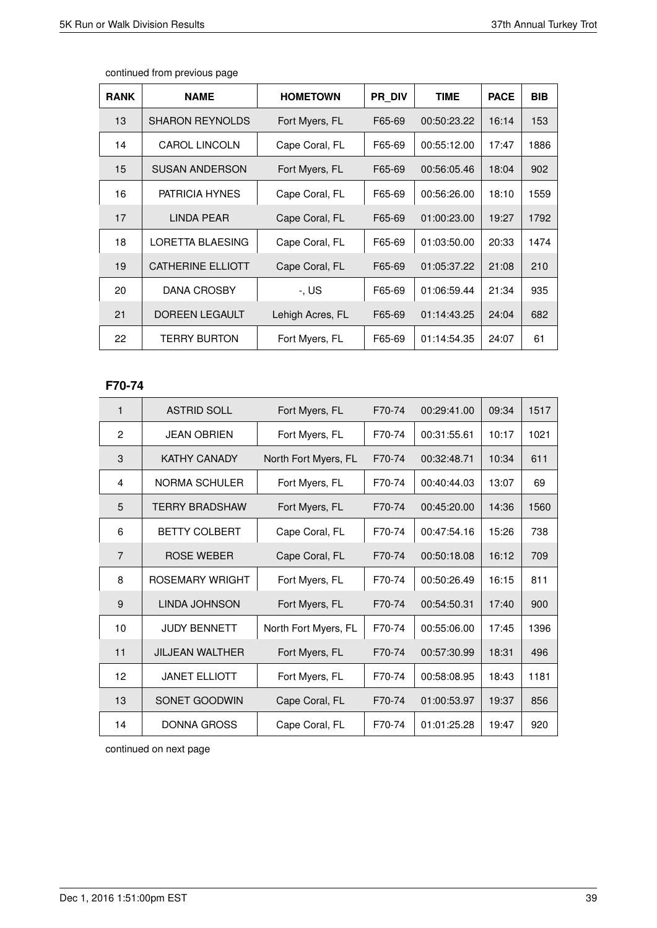| <b>RANK</b> | <b>NAME</b>            | <b>HOMETOWN</b>  | PR DIV | <b>TIME</b> | <b>PACE</b> | <b>BIB</b> |
|-------------|------------------------|------------------|--------|-------------|-------------|------------|
| 13          | <b>SHARON REYNOLDS</b> | Fort Myers, FL   | F65-69 | 00:50:23.22 | 16:14       | 153        |
| 14          | <b>CAROL LINCOLN</b>   | Cape Coral, FL   | F65-69 | 00:55:12.00 | 17:47       | 1886       |
| 15          | <b>SUSAN ANDERSON</b>  | Fort Myers, FL   | F65-69 | 00:56:05.46 | 18:04       | 902        |
| 16          | <b>PATRICIA HYNES</b>  | Cape Coral, FL   | F65-69 | 00:56:26.00 | 18:10       | 1559       |
| 17          | LINDA PEAR             | Cape Coral, FL   | F65-69 | 01:00:23.00 | 19:27       | 1792       |
| 18          | LORETTA BLAESING       | Cape Coral, FL   | F65-69 | 01:03:50.00 | 20:33       | 1474       |
| 19          | CATHERINE ELLIOTT      | Cape Coral, FL   | F65-69 | 01:05:37.22 | 21:08       | 210        |
| 20          | DANA CROSBY            | -, US            | F65-69 | 01:06:59.44 | 21:34       | 935        |
| 21          | <b>DOREEN LEGAULT</b>  | Lehigh Acres, FL | F65-69 | 01:14:43.25 | 24:04       | 682        |
| 22          | <b>TERRY BURTON</b>    | Fort Myers, FL   | F65-69 | 01:14:54.35 | 24:07       | 61         |

# **F70-74**

| $\mathbf{1}$   | <b>ASTRID SOLL</b>     | Fort Myers, FL       | F70-74 | 00:29:41.00 | 09:34 | 1517 |
|----------------|------------------------|----------------------|--------|-------------|-------|------|
| 2              | <b>JEAN OBRIEN</b>     | Fort Myers, FL       | F70-74 | 00:31:55.61 | 10:17 | 1021 |
| 3              | <b>KATHY CANADY</b>    | North Fort Myers, FL | F70-74 | 00:32:48.71 | 10:34 | 611  |
| 4              | NORMA SCHULER          | Fort Myers, FL       | F70-74 | 00:40:44.03 | 13:07 | 69   |
| 5              | <b>TERRY BRADSHAW</b>  | Fort Myers, FL       | F70-74 | 00:45:20.00 | 14:36 | 1560 |
| 6              | <b>BETTY COLBERT</b>   | Cape Coral, FL       | F70-74 | 00:47:54.16 | 15:26 | 738  |
| $\overline{7}$ | <b>ROSE WEBER</b>      | Cape Coral, FL       | F70-74 | 00:50:18.08 | 16:12 | 709  |
| 8              | <b>ROSEMARY WRIGHT</b> | Fort Myers, FL       | F70-74 | 00:50:26.49 | 16:15 | 811  |
| 9              | LINDA JOHNSON          | Fort Myers, FL       | F70-74 | 00:54:50.31 | 17:40 | 900  |
| 10             | <b>JUDY BENNETT</b>    | North Fort Myers, FL | F70-74 | 00:55:06.00 | 17:45 | 1396 |
| 11             | <b>JILJEAN WALTHER</b> | Fort Myers, FL       | F70-74 | 00:57:30.99 | 18:31 | 496  |
| 12             | <b>JANET ELLIOTT</b>   | Fort Myers, FL       | F70-74 | 00:58:08.95 | 18:43 | 1181 |
| 13             | SONET GOODWIN          | Cape Coral, FL       | F70-74 | 01:00:53.97 | 19:37 | 856  |
| 14             | DONNA GROSS            | Cape Coral, FL       | F70-74 | 01:01:25.28 | 19:47 | 920  |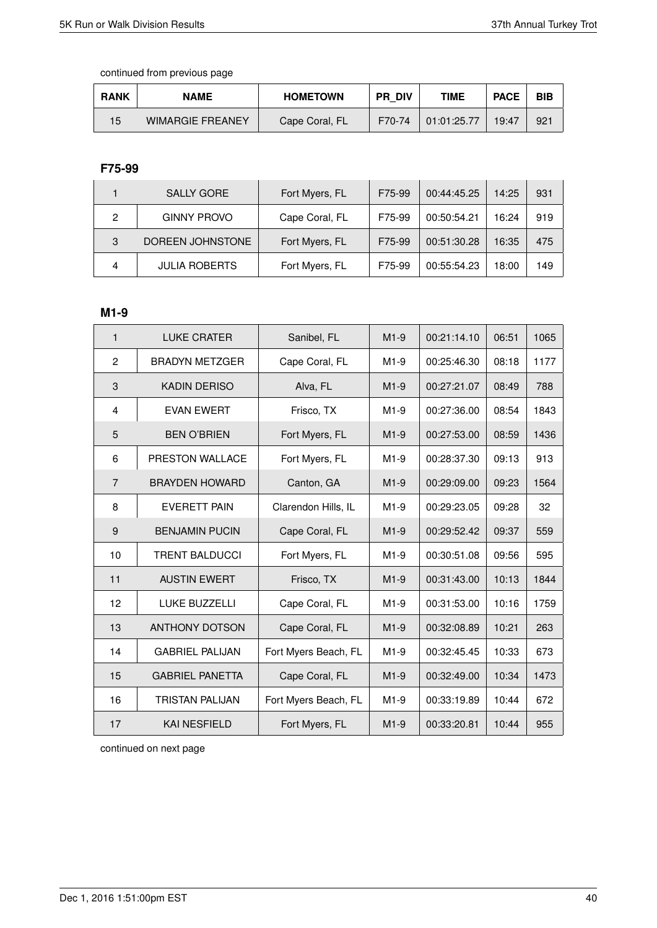| <b>RANK</b> | <b>NAME</b>             | <b>HOMETOWN</b> | <b>PR DIV</b> | TIME        | <b>PACE</b> | <b>BIB</b> |
|-------------|-------------------------|-----------------|---------------|-------------|-------------|------------|
| 15          | <b>WIMARGIE FREANEY</b> | Cape Coral, FL  | F70-74        | 01:01:25.77 | 19:47       | 921        |

# **F75-99**

|   | <b>SALLY GORE</b>    | Fort Myers, FL | F75-99 | 00:44:45.25 | 14:25 | 931 |
|---|----------------------|----------------|--------|-------------|-------|-----|
| 2 | <b>GINNY PROVO</b>   | Cape Coral, FL | F75-99 | 00:50:54.21 | 16:24 | 919 |
| 3 | DOREEN JOHNSTONE     | Fort Myers, FL | F75-99 | 00:51:30.28 | 16:35 | 475 |
| 4 | <b>JULIA ROBERTS</b> | Fort Myers, FL | F75-99 | 00:55:54.23 | 18:00 | 149 |

#### **M1-9**

| 1              | <b>LUKE CRATER</b>     | Sanibel, FL          | $M1-9$ | 00:21:14.10 | 06:51 | 1065 |
|----------------|------------------------|----------------------|--------|-------------|-------|------|
| 2              | <b>BRADYN METZGER</b>  | Cape Coral, FL       | M1-9   | 00:25:46.30 | 08:18 | 1177 |
| 3              | <b>KADIN DERISO</b>    | Alva, FL             | $M1-9$ | 00:27:21.07 | 08:49 | 788  |
| 4              | <b>EVAN EWERT</b>      | Frisco, TX           | $M1-9$ | 00:27:36.00 | 08:54 | 1843 |
| 5              | <b>BEN O'BRIEN</b>     | Fort Myers, FL       | $M1-9$ | 00:27:53.00 | 08:59 | 1436 |
| 6              | PRESTON WALLACE        | Fort Myers, FL       | $M1-9$ | 00:28:37.30 | 09:13 | 913  |
| $\overline{7}$ | <b>BRAYDEN HOWARD</b>  | Canton, GA           | $M1-9$ | 00:29:09.00 | 09:23 | 1564 |
| 8              | <b>EVERETT PAIN</b>    | Clarendon Hills, IL  | $M1-9$ | 00:29:23.05 | 09:28 | 32   |
| 9              | <b>BENJAMIN PUCIN</b>  | Cape Coral, FL       | $M1-9$ | 00:29:52.42 | 09:37 | 559  |
| 10             | <b>TRENT BALDUCCI</b>  | Fort Myers, FL       | $M1-9$ | 00:30:51.08 | 09:56 | 595  |
| 11             | <b>AUSTIN EWERT</b>    | Frisco, TX           | $M1-9$ | 00:31:43.00 | 10:13 | 1844 |
| 12             | <b>LUKE BUZZELLI</b>   | Cape Coral, FL       | $M1-9$ | 00:31:53.00 | 10:16 | 1759 |
| 13             | <b>ANTHONY DOTSON</b>  | Cape Coral, FL       | $M1-9$ | 00:32:08.89 | 10:21 | 263  |
| 14             | <b>GABRIEL PALIJAN</b> | Fort Myers Beach, FL | $M1-9$ | 00:32:45.45 | 10:33 | 673  |
| 15             | <b>GABRIEL PANETTA</b> | Cape Coral, FL       | $M1-9$ | 00:32:49.00 | 10:34 | 1473 |
| 16             | <b>TRISTAN PALIJAN</b> | Fort Myers Beach, FL | $M1-9$ | 00:33:19.89 | 10:44 | 672  |
| 17             | <b>KAI NESFIELD</b>    | Fort Myers, FL       | $M1-9$ | 00:33:20.81 | 10:44 | 955  |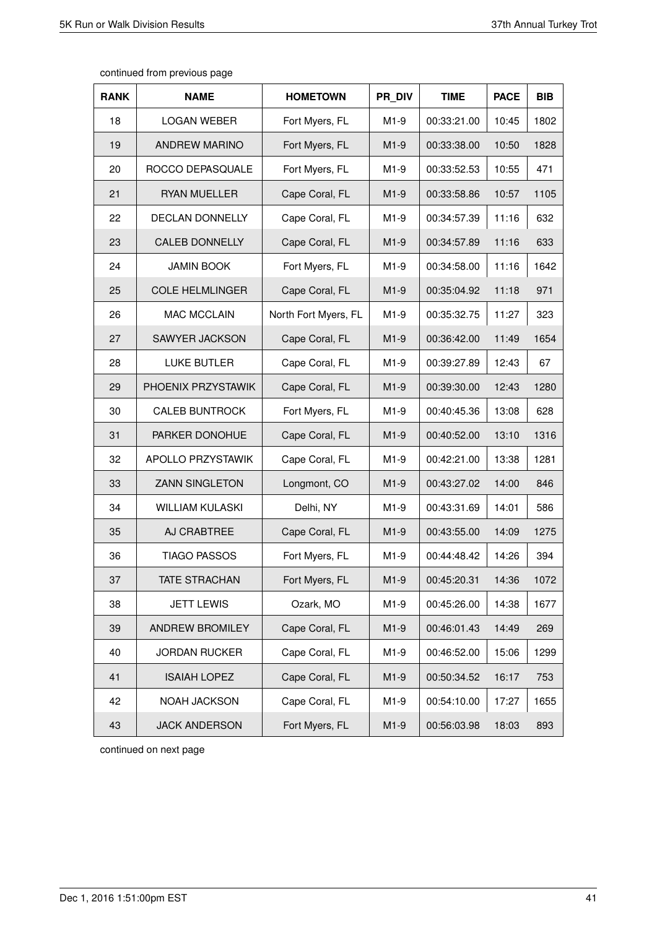| <b>RANK</b> | <b>NAME</b>            | <b>HOMETOWN</b>      | PR DIV | <b>TIME</b> | <b>PACE</b> | <b>BIB</b> |
|-------------|------------------------|----------------------|--------|-------------|-------------|------------|
| 18          | <b>LOGAN WEBER</b>     | Fort Myers, FL       | $M1-9$ | 00:33:21.00 | 10:45       | 1802       |
| 19          | <b>ANDREW MARINO</b>   | Fort Myers, FL       | $M1-9$ | 00:33:38.00 | 10:50       | 1828       |
| 20          | ROCCO DEPASQUALE       | Fort Myers, FL       | $M1-9$ | 00:33:52.53 | 10:55       | 471        |
| 21          | <b>RYAN MUELLER</b>    | Cape Coral, FL       | $M1-9$ | 00:33:58.86 | 10:57       | 1105       |
| 22          | DECLAN DONNELLY        | Cape Coral, FL       | $M1-9$ | 00:34:57.39 | 11:16       | 632        |
| 23          | <b>CALEB DONNELLY</b>  | Cape Coral, FL       | $M1-9$ | 00:34:57.89 | 11:16       | 633        |
| 24          | <b>JAMIN BOOK</b>      | Fort Myers, FL       | $M1-9$ | 00:34:58.00 | 11:16       | 1642       |
| 25          | <b>COLE HELMLINGER</b> | Cape Coral, FL       | $M1-9$ | 00:35:04.92 | 11:18       | 971        |
| 26          | <b>MAC MCCLAIN</b>     | North Fort Myers, FL | $M1-9$ | 00:35:32.75 | 11:27       | 323        |
| 27          | SAWYER JACKSON         | Cape Coral, FL       | $M1-9$ | 00:36:42.00 | 11:49       | 1654       |
| 28          | <b>LUKE BUTLER</b>     | Cape Coral, FL       | $M1-9$ | 00:39:27.89 | 12:43       | 67         |
| 29          | PHOENIX PRZYSTAWIK     | Cape Coral, FL       | $M1-9$ | 00:39:30.00 | 12:43       | 1280       |
| 30          | <b>CALEB BUNTROCK</b>  | Fort Myers, FL       | $M1-9$ | 00:40:45.36 | 13:08       | 628        |
| 31          | PARKER DONOHUE         | Cape Coral, FL       | $M1-9$ | 00:40:52.00 | 13:10       | 1316       |
| 32          | APOLLO PRZYSTAWIK      | Cape Coral, FL       | $M1-9$ | 00:42:21.00 | 13:38       | 1281       |
| 33          | <b>ZANN SINGLETON</b>  | Longmont, CO         | $M1-9$ | 00:43:27.02 | 14:00       | 846        |
| 34          | <b>WILLIAM KULASKI</b> | Delhi, NY            | $M1-9$ | 00:43:31.69 | 14:01       | 586        |
| 35          | AJ CRABTREE            | Cape Coral, FL       | $M1-9$ | 00:43:55.00 | 14:09       | 1275       |
| 36          | <b>TIAGO PASSOS</b>    | Fort Myers, FL       | $M1-9$ | 00:44:48.42 | 14:26       | 394        |
| 37          | <b>TATE STRACHAN</b>   | Fort Myers, FL       | $M1-9$ | 00:45:20.31 | 14:36       | 1072       |
| 38          | <b>JETT LEWIS</b>      | Ozark, MO            | $M1-9$ | 00:45:26.00 | 14:38       | 1677       |
| 39          | ANDREW BROMILEY        | Cape Coral, FL       | $M1-9$ | 00:46:01.43 | 14:49       | 269        |
| 40          | <b>JORDAN RUCKER</b>   | Cape Coral, FL       | $M1-9$ | 00:46:52.00 | 15:06       | 1299       |
| 41          | <b>ISAIAH LOPEZ</b>    | Cape Coral, FL       | $M1-9$ | 00:50:34.52 | 16:17       | 753        |
| 42          | NOAH JACKSON           | Cape Coral, FL       | M1-9   | 00:54:10.00 | 17:27       | 1655       |
| 43          | <b>JACK ANDERSON</b>   | Fort Myers, FL       | $M1-9$ | 00:56:03.98 | 18:03       | 893        |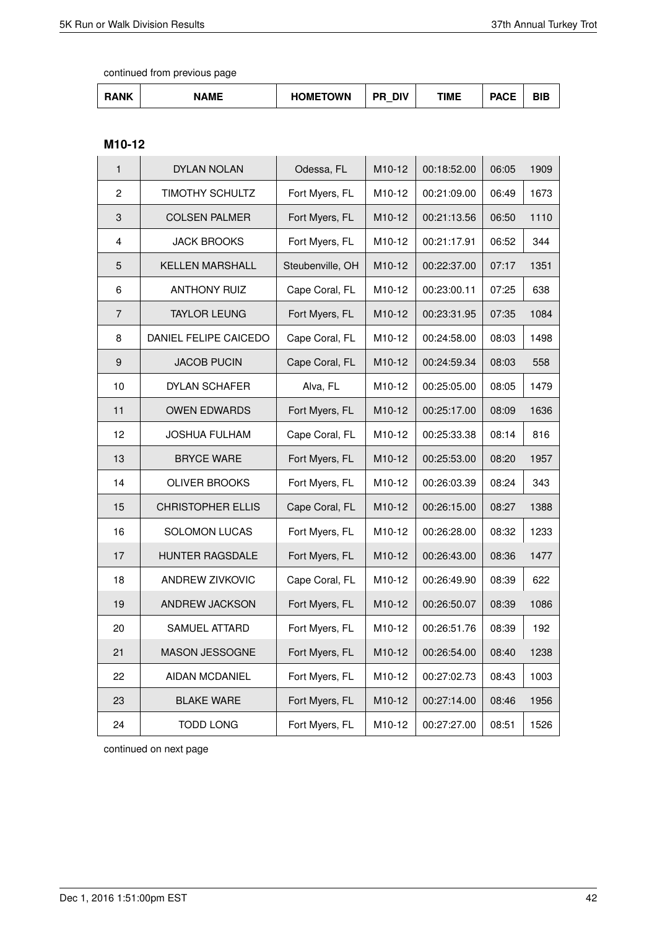| RANK | <b>NAME</b> | <b>HOMETOWN</b><br>. . | <b>DIV</b><br>PR | ΓΙΜΕ | <b>DACE</b><br><b>AVE</b> | ---<br>┚╹┗ |
|------|-------------|------------------------|------------------|------|---------------------------|------------|
|------|-------------|------------------------|------------------|------|---------------------------|------------|

# **M10-12**

| $\mathbf{1}$   | DYLAN NOLAN              | Odessa, FL       | M10-12 | 00:18:52.00 | 06:05 | 1909 |
|----------------|--------------------------|------------------|--------|-------------|-------|------|
| $\overline{c}$ | <b>TIMOTHY SCHULTZ</b>   | Fort Myers, FL   | M10-12 | 00:21:09.00 | 06:49 | 1673 |
| 3              | <b>COLSEN PALMER</b>     | Fort Myers, FL   | M10-12 | 00:21:13.56 | 06:50 | 1110 |
| 4              | <b>JACK BROOKS</b>       | Fort Myers, FL   | M10-12 | 00:21:17.91 | 06:52 | 344  |
| 5              | <b>KELLEN MARSHALL</b>   | Steubenville, OH | M10-12 | 00:22:37.00 | 07:17 | 1351 |
| 6              | <b>ANTHONY RUIZ</b>      | Cape Coral, FL   | M10-12 | 00:23:00.11 | 07:25 | 638  |
| $\overline{7}$ | <b>TAYLOR LEUNG</b>      | Fort Myers, FL   | M10-12 | 00:23:31.95 | 07:35 | 1084 |
| 8              | DANIEL FELIPE CAICEDO    | Cape Coral, FL   | M10-12 | 00:24:58.00 | 08:03 | 1498 |
| 9              | <b>JACOB PUCIN</b>       | Cape Coral, FL   | M10-12 | 00:24:59.34 | 08:03 | 558  |
| 10             | DYLAN SCHAFER            | Alva, FL         | M10-12 | 00:25:05.00 | 08:05 | 1479 |
| 11             | <b>OWEN EDWARDS</b>      | Fort Myers, FL   | M10-12 | 00:25:17.00 | 08:09 | 1636 |
| 12             | <b>JOSHUA FULHAM</b>     | Cape Coral, FL   | M10-12 | 00:25:33.38 | 08:14 | 816  |
| 13             | <b>BRYCE WARE</b>        | Fort Myers, FL   | M10-12 | 00:25:53.00 | 08:20 | 1957 |
| 14             | <b>OLIVER BROOKS</b>     | Fort Myers, FL   | M10-12 | 00:26:03.39 | 08:24 | 343  |
| 15             | <b>CHRISTOPHER ELLIS</b> | Cape Coral, FL   | M10-12 | 00:26:15.00 | 08:27 | 1388 |
| 16             | <b>SOLOMON LUCAS</b>     | Fort Myers, FL   | M10-12 | 00:26:28.00 | 08:32 | 1233 |
| 17             | HUNTER RAGSDALE          | Fort Myers, FL   | M10-12 | 00:26:43.00 | 08:36 | 1477 |
| 18             | ANDREW ZIVKOVIC          | Cape Coral, FL   | M10-12 | 00:26:49.90 | 08:39 | 622  |
| 19             | ANDREW JACKSON           | Fort Myers, FL   | M10-12 | 00:26:50.07 | 08:39 | 1086 |
| 20             | SAMUEL ATTARD            | Fort Myers, FL   | M10-12 | 00:26:51.76 | 08:39 | 192  |
| 21             | MASON JESSOGNE           | Fort Myers, FL   | M10-12 | 00:26:54.00 | 08:40 | 1238 |
| 22             | AIDAN MCDANIEL           | Fort Myers, FL   | M10-12 | 00:27:02.73 | 08:43 | 1003 |
| 23             | <b>BLAKE WARE</b>        | Fort Myers, FL   | M10-12 | 00:27:14.00 | 08:46 | 1956 |
| 24             | <b>TODD LONG</b>         | Fort Myers, FL   | M10-12 | 00:27:27.00 | 08:51 | 1526 |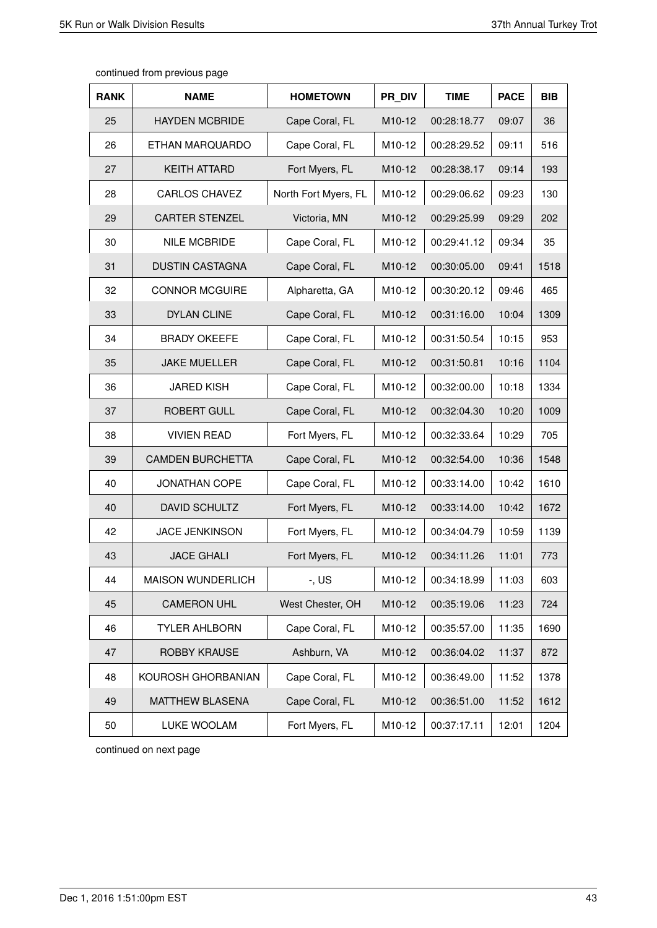| <b>RANK</b> | <b>NAME</b>              | <b>HOMETOWN</b>      | PR DIV | <b>TIME</b> | <b>PACE</b> | <b>BIB</b> |
|-------------|--------------------------|----------------------|--------|-------------|-------------|------------|
| 25          | <b>HAYDEN MCBRIDE</b>    | Cape Coral, FL       | M10-12 | 00:28:18.77 | 09:07       | 36         |
| 26          | ETHAN MARQUARDO          | Cape Coral, FL       | M10-12 | 00:28:29.52 | 09:11       | 516        |
| 27          | <b>KEITH ATTARD</b>      | Fort Myers, FL       | M10-12 | 00:28:38.17 | 09:14       | 193        |
| 28          | <b>CARLOS CHAVEZ</b>     | North Fort Myers, FL | M10-12 | 00:29:06.62 | 09:23       | 130        |
| 29          | <b>CARTER STENZEL</b>    | Victoria, MN         | M10-12 | 00:29:25.99 | 09:29       | 202        |
| 30          | <b>NILE MCBRIDE</b>      | Cape Coral, FL       | M10-12 | 00:29:41.12 | 09:34       | 35         |
| 31          | <b>DUSTIN CASTAGNA</b>   | Cape Coral, FL       | M10-12 | 00:30:05.00 | 09:41       | 1518       |
| 32          | <b>CONNOR MCGUIRE</b>    | Alpharetta, GA       | M10-12 | 00:30:20.12 | 09:46       | 465        |
| 33          | <b>DYLAN CLINE</b>       | Cape Coral, FL       | M10-12 | 00:31:16.00 | 10:04       | 1309       |
| 34          | <b>BRADY OKEEFE</b>      | Cape Coral, FL       | M10-12 | 00:31:50.54 | 10:15       | 953        |
| 35          | <b>JAKE MUELLER</b>      | Cape Coral, FL       | M10-12 | 00:31:50.81 | 10:16       | 1104       |
| 36          | <b>JARED KISH</b>        | Cape Coral, FL       | M10-12 | 00:32:00.00 | 10:18       | 1334       |
| 37          | <b>ROBERT GULL</b>       | Cape Coral, FL       | M10-12 | 00:32:04.30 | 10:20       | 1009       |
| 38          | <b>VIVIEN READ</b>       | Fort Myers, FL       | M10-12 | 00:32:33.64 | 10:29       | 705        |
| 39          | <b>CAMDEN BURCHETTA</b>  | Cape Coral, FL       | M10-12 | 00:32:54.00 | 10:36       | 1548       |
| 40          | <b>JONATHAN COPE</b>     | Cape Coral, FL       | M10-12 | 00:33:14.00 | 10:42       | 1610       |
| 40          | DAVID SCHULTZ            | Fort Myers, FL       | M10-12 | 00:33:14.00 | 10:42       | 1672       |
| 42          | <b>JACE JENKINSON</b>    | Fort Myers, FL       | M10-12 | 00:34:04.79 | 10:59       | 1139       |
| 43          | <b>JACE GHALI</b>        | Fort Myers, FL       | M10-12 | 00:34:11.26 | 11:01       | 773        |
| 44          | <b>MAISON WUNDERLICH</b> | -, US                | M10-12 | 00:34:18.99 | 11:03       | 603        |
| 45          | <b>CAMERON UHL</b>       | West Chester, OH     | M10-12 | 00:35:19.06 | 11:23       | 724        |
| 46          | <b>TYLER AHLBORN</b>     | Cape Coral, FL       | M10-12 | 00:35:57.00 | 11:35       | 1690       |
| 47          | ROBBY KRAUSE             | Ashburn, VA          | M10-12 | 00:36:04.02 | 11:37       | 872        |
| 48          | KOUROSH GHORBANIAN       | Cape Coral, FL       | M10-12 | 00:36:49.00 | 11:52       | 1378       |
| 49          | <b>MATTHEW BLASENA</b>   | Cape Coral, FL       | M10-12 | 00:36:51.00 | 11:52       | 1612       |
| 50          | LUKE WOOLAM              | Fort Myers, FL       | M10-12 | 00:37:17.11 | 12:01       | 1204       |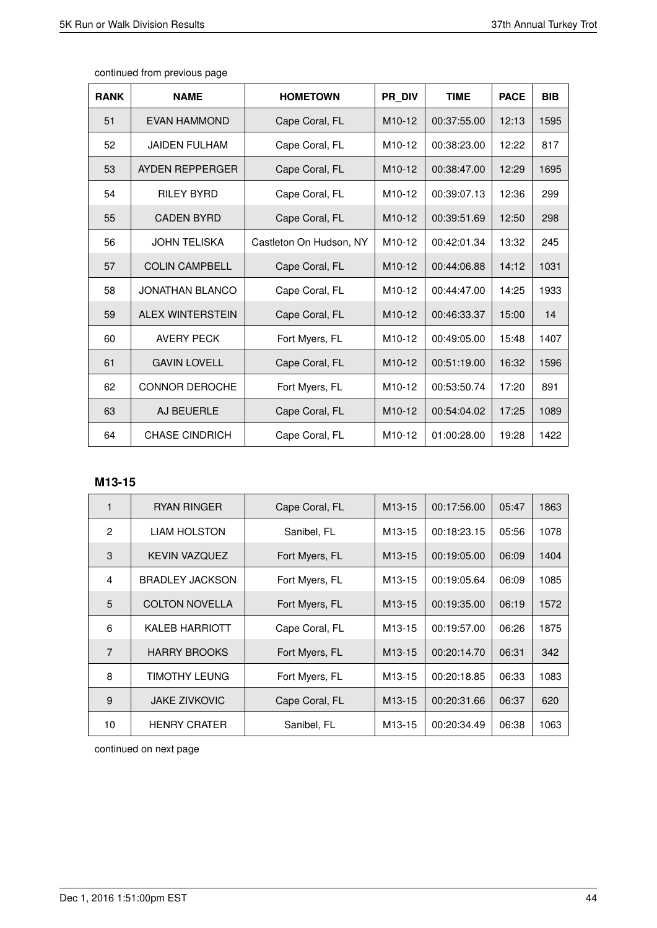|  | continued from previous page |
|--|------------------------------|
|--|------------------------------|

| <b>RANK</b> | <b>NAME</b>             | <b>HOMETOWN</b>         | PR DIV              | <b>TIME</b> | <b>PACE</b> | <b>BIB</b> |
|-------------|-------------------------|-------------------------|---------------------|-------------|-------------|------------|
| 51          | EVAN HAMMOND            | Cape Coral, FL          | M <sub>10</sub> -12 | 00:37:55.00 | 12:13       | 1595       |
| 52          | <b>JAIDEN FULHAM</b>    | Cape Coral, FL          | M <sub>10</sub> -12 | 00:38:23.00 | 12:22       | 817        |
| 53          | AYDEN REPPERGER         | Cape Coral, FL          | M <sub>10</sub> -12 | 00:38:47.00 | 12:29       | 1695       |
| 54          | <b>RILEY BYRD</b>       | Cape Coral, FL          | M <sub>10-12</sub>  | 00:39:07.13 | 12:36       | 299        |
| 55          | <b>CADEN BYRD</b>       | Cape Coral, FL          | M <sub>10</sub> -12 | 00:39:51.69 | 12:50       | 298        |
| 56          | <b>JOHN TELISKA</b>     | Castleton On Hudson, NY | M <sub>10-12</sub>  | 00:42:01.34 | 13:32       | 245        |
| 57          | <b>COLIN CAMPBELL</b>   | Cape Coral, FL          | M <sub>10</sub> -12 | 00:44:06.88 | 14:12       | 1031       |
| 58          | JONATHAN BLANCO         | Cape Coral, FL          | M <sub>10-12</sub>  | 00:44:47.00 | 14:25       | 1933       |
| 59          | <b>ALEX WINTERSTEIN</b> | Cape Coral, FL          | M <sub>10</sub> -12 | 00:46:33.37 | 15:00       | 14         |
| 60          | <b>AVERY PECK</b>       | Fort Myers, FL          | M <sub>10</sub> -12 | 00:49:05.00 | 15:48       | 1407       |
| 61          | <b>GAVIN LOVELL</b>     | Cape Coral, FL          | M <sub>10</sub> -12 | 00:51:19.00 | 16:32       | 1596       |
| 62          | <b>CONNOR DEROCHE</b>   | Fort Myers, FL          | M <sub>10-12</sub>  | 00:53:50.74 | 17:20       | 891        |
| 63          | AJ BEUERLE              | Cape Coral, FL          | M <sub>10</sub> -12 | 00:54:04.02 | 17:25       | 1089       |
| 64          | <b>CHASE CINDRICH</b>   | Cape Coral, FL          | M <sub>10</sub> -12 | 01:00:28.00 | 19:28       | 1422       |

# **M13-15**

| 1              | <b>RYAN RINGER</b>     | Cape Coral, FL | M <sub>13</sub> -15 | 00:17:56.00 | 05:47 | 1863 |
|----------------|------------------------|----------------|---------------------|-------------|-------|------|
| $\overline{2}$ | <b>LIAM HOLSTON</b>    | Sanibel, FL    | M <sub>13</sub> -15 | 00:18:23.15 | 05:56 | 1078 |
| 3              | <b>KEVIN VAZQUEZ</b>   | Fort Myers, FL | M <sub>13</sub> -15 | 00:19:05.00 | 06:09 | 1404 |
| 4              | <b>BRADLEY JACKSON</b> | Fort Myers, FL | M <sub>13</sub> -15 | 00:19:05.64 | 06:09 | 1085 |
| 5              | <b>COLTON NOVELLA</b>  | Fort Myers, FL | M <sub>13</sub> -15 | 00:19:35.00 | 06:19 | 1572 |
| 6              | <b>KALEB HARRIOTT</b>  | Cape Coral, FL | M <sub>13</sub> -15 | 00:19:57.00 | 06:26 | 1875 |
| $\overline{7}$ | <b>HARRY BROOKS</b>    | Fort Myers, FL | M <sub>13</sub> -15 | 00:20:14.70 | 06:31 | 342  |
| 8              | TIMOTHY LEUNG          | Fort Myers, FL | M <sub>13</sub> -15 | 00:20:18.85 | 06:33 | 1083 |
| 9              | <b>JAKE ZIVKOVIC</b>   | Cape Coral, FL | M <sub>13</sub> -15 | 00:20:31.66 | 06:37 | 620  |
| 10             | <b>HENRY CRATER</b>    | Sanibel, FL    | M <sub>13</sub> -15 | 00:20:34.49 | 06:38 | 1063 |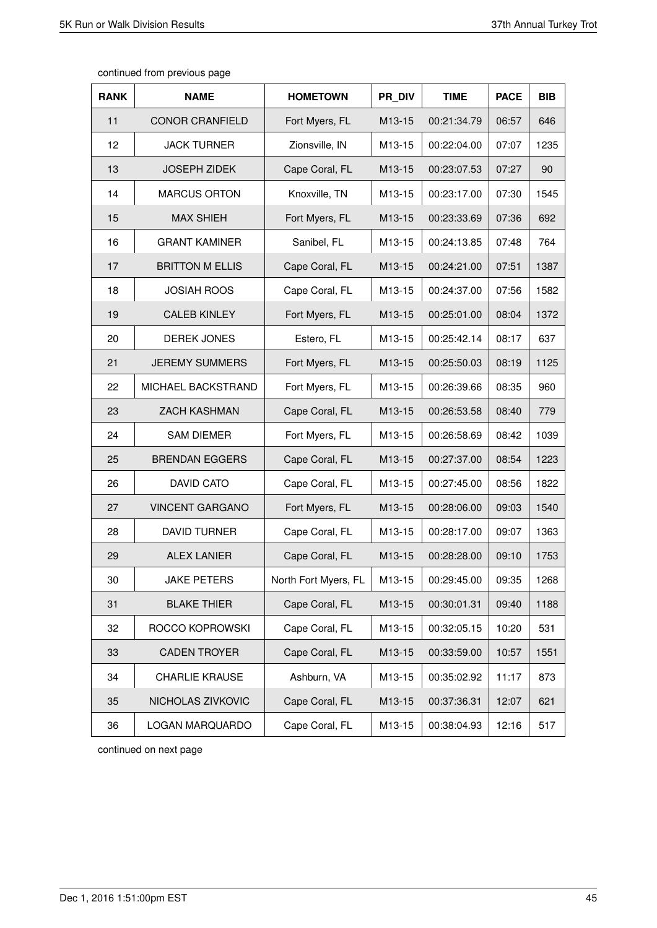| <b>RANK</b> | <b>NAME</b>            | <b>HOMETOWN</b>      | PR DIV              | <b>TIME</b> | <b>PACE</b> | <b>BIB</b> |
|-------------|------------------------|----------------------|---------------------|-------------|-------------|------------|
| 11          | <b>CONOR CRANFIELD</b> | Fort Myers, FL       | M <sub>13</sub> -15 | 00:21:34.79 | 06:57       | 646        |
| 12          | <b>JACK TURNER</b>     | Zionsville, IN       | M13-15              | 00:22:04.00 | 07:07       | 1235       |
| 13          | <b>JOSEPH ZIDEK</b>    | Cape Coral, FL       | M13-15              | 00:23:07.53 | 07:27       | 90         |
| 14          | <b>MARCUS ORTON</b>    | Knoxville, TN        | M13-15              | 00:23:17.00 | 07:30       | 1545       |
| 15          | <b>MAX SHIEH</b>       | Fort Myers, FL       | M13-15              | 00:23:33.69 | 07:36       | 692        |
| 16          | <b>GRANT KAMINER</b>   | Sanibel, FL          | M13-15              | 00:24:13.85 | 07:48       | 764        |
| 17          | <b>BRITTON M ELLIS</b> | Cape Coral, FL       | M13-15              | 00:24:21.00 | 07:51       | 1387       |
| 18          | <b>JOSIAH ROOS</b>     | Cape Coral, FL       | M13-15              | 00:24:37.00 | 07:56       | 1582       |
| 19          | <b>CALEB KINLEY</b>    | Fort Myers, FL       | M13-15              | 00:25:01.00 | 08:04       | 1372       |
| 20          | <b>DEREK JONES</b>     | Estero, FL           | M13-15              | 00:25:42.14 | 08:17       | 637        |
| 21          | <b>JEREMY SUMMERS</b>  | Fort Myers, FL       | M13-15              | 00:25:50.03 | 08:19       | 1125       |
| 22          | MICHAEL BACKSTRAND     | Fort Myers, FL       | M13-15              | 00:26:39.66 | 08:35       | 960        |
| 23          | <b>ZACH KASHMAN</b>    | Cape Coral, FL       | M13-15              | 00:26:53.58 | 08:40       | 779        |
| 24          | <b>SAM DIEMER</b>      | Fort Myers, FL       | M13-15              | 00:26:58.69 | 08:42       | 1039       |
| 25          | <b>BRENDAN EGGERS</b>  | Cape Coral, FL       | M13-15              | 00:27:37.00 | 08:54       | 1223       |
| 26          | <b>DAVID CATO</b>      | Cape Coral, FL       | M13-15              | 00:27:45.00 | 08:56       | 1822       |
| 27          | <b>VINCENT GARGANO</b> | Fort Myers, FL       | M13-15              | 00:28:06.00 | 09:03       | 1540       |
| 28          | <b>DAVID TURNER</b>    | Cape Coral, FL       | M13-15              | 00:28:17.00 | 09:07       | 1363       |
| 29          | <b>ALEX LANIER</b>     | Cape Coral, FL       | M13-15              | 00:28:28.00 | 09:10       | 1753       |
| 30          | <b>JAKE PETERS</b>     | North Fort Myers, FL | M13-15              | 00:29:45.00 | 09:35       | 1268       |
| 31          | <b>BLAKE THIER</b>     | Cape Coral, FL       | M13-15              | 00:30:01.31 | 09:40       | 1188       |
| 32          | ROCCO KOPROWSKI        | Cape Coral, FL       | M13-15              | 00:32:05.15 | 10:20       | 531        |
| 33          | <b>CADEN TROYER</b>    | Cape Coral, FL       | M13-15              | 00:33:59.00 | 10:57       | 1551       |
| 34          | <b>CHARLIE KRAUSE</b>  | Ashburn, VA          | M13-15              | 00:35:02.92 | 11:17       | 873        |
| 35          | NICHOLAS ZIVKOVIC      | Cape Coral, FL       | M13-15              | 00:37:36.31 | 12:07       | 621        |
| 36          | LOGAN MARQUARDO        | Cape Coral, FL       | M13-15              | 00:38:04.93 | 12:16       | 517        |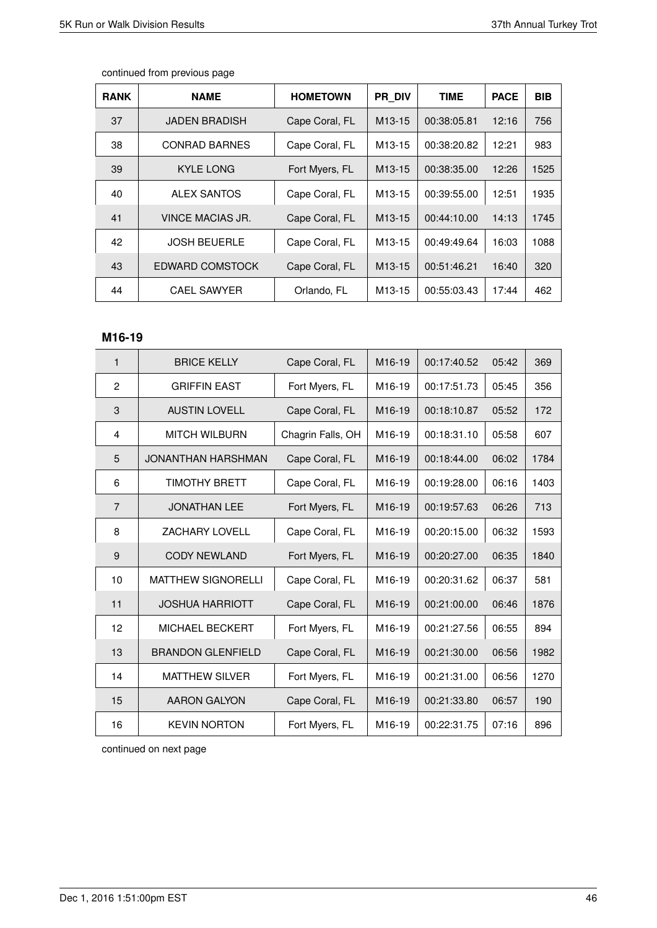| <b>RANK</b> | <b>NAME</b>          | <b>HOMETOWN</b> | <b>PR DIV</b>       | <b>TIME</b> | <b>PACE</b> | <b>BIB</b> |
|-------------|----------------------|-----------------|---------------------|-------------|-------------|------------|
| 37          | <b>JADEN BRADISH</b> | Cape Coral, FL  | M <sub>13</sub> -15 | 00:38:05.81 | 12:16       | 756        |
| 38          | <b>CONRAD BARNES</b> | Cape Coral, FL  | M <sub>13-15</sub>  | 00:38:20.82 | 12:21       | 983        |
| 39          | KYLE LONG            | Fort Myers, FL  | M <sub>13</sub> -15 | 00:38:35.00 | 12:26       | 1525       |
| 40          | ALEX SANTOS          | Cape Coral, FL  | M <sub>13</sub> -15 | 00:39:55.00 | 12:51       | 1935       |
| 41          | VINCE MACIAS JR.     | Cape Coral, FL  | M <sub>13</sub> -15 | 00:44:10.00 | 14:13       | 1745       |
| 42          | <b>JOSH BEUERLE</b>  | Cape Coral, FL  | M <sub>13</sub> -15 | 00:49:49.64 | 16:03       | 1088       |
| 43          | EDWARD COMSTOCK      | Cape Coral, FL  | M <sub>13</sub> -15 | 00:51:46.21 | 16:40       | 320        |
| 44          | <b>CAEL SAWYER</b>   | Orlando, FL     | M <sub>13</sub> -15 | 00:55:03.43 | 17:44       | 462        |

# **M16-19**

| 1              | <b>BRICE KELLY</b>        | Cape Coral, FL    | M <sub>16-19</sub>  | 00:17:40.52 | 05:42 | 369  |
|----------------|---------------------------|-------------------|---------------------|-------------|-------|------|
| 2              | <b>GRIFFIN EAST</b>       | Fort Myers, FL    | M16-19              | 00:17:51.73 | 05:45 | 356  |
| 3              | <b>AUSTIN LOVELL</b>      | Cape Coral, FL    | M <sub>16</sub> -19 | 00:18:10.87 | 05:52 | 172  |
| 4              | <b>MITCH WILBURN</b>      | Chagrin Falls, OH | M16-19              | 00:18:31.10 | 05:58 | 607  |
| 5              | JONANTHAN HARSHMAN        | Cape Coral, FL    | M <sub>16</sub> -19 | 00:18:44.00 | 06:02 | 1784 |
| 6              | <b>TIMOTHY BRETT</b>      | Cape Coral, FL    | M <sub>16-19</sub>  | 00:19:28.00 | 06:16 | 1403 |
| $\overline{7}$ | <b>JONATHAN LEE</b>       | Fort Myers, FL    | M <sub>16-19</sub>  | 00:19:57.63 | 06:26 | 713  |
| 8              | <b>ZACHARY LOVELL</b>     | Cape Coral, FL    | M <sub>16</sub> -19 | 00:20:15.00 | 06:32 | 1593 |
| 9              | <b>CODY NEWLAND</b>       | Fort Myers, FL    | M <sub>16-19</sub>  | 00:20:27.00 | 06:35 | 1840 |
| 10             | <b>MATTHEW SIGNORELLI</b> | Cape Coral, FL    | M <sub>16-19</sub>  | 00:20:31.62 | 06:37 | 581  |
| 11             | <b>JOSHUA HARRIOTT</b>    | Cape Coral, FL    | M16-19              | 00:21:00.00 | 06:46 | 1876 |
| 12             | <b>MICHAEL BECKERT</b>    | Fort Myers, FL    | M <sub>16-19</sub>  | 00:21:27.56 | 06:55 | 894  |
| 13             | <b>BRANDON GLENFIELD</b>  | Cape Coral, FL    | M <sub>16-19</sub>  | 00:21:30.00 | 06:56 | 1982 |
| 14             | <b>MATTHEW SILVER</b>     | Fort Myers, FL    | M <sub>16</sub> -19 | 00:21:31.00 | 06:56 | 1270 |
| 15             | <b>AARON GALYON</b>       | Cape Coral, FL    | M <sub>16</sub> -19 | 00:21:33.80 | 06:57 | 190  |
| 16             | <b>KEVIN NORTON</b>       | Fort Myers, FL    | M <sub>16-19</sub>  | 00:22:31.75 | 07:16 | 896  |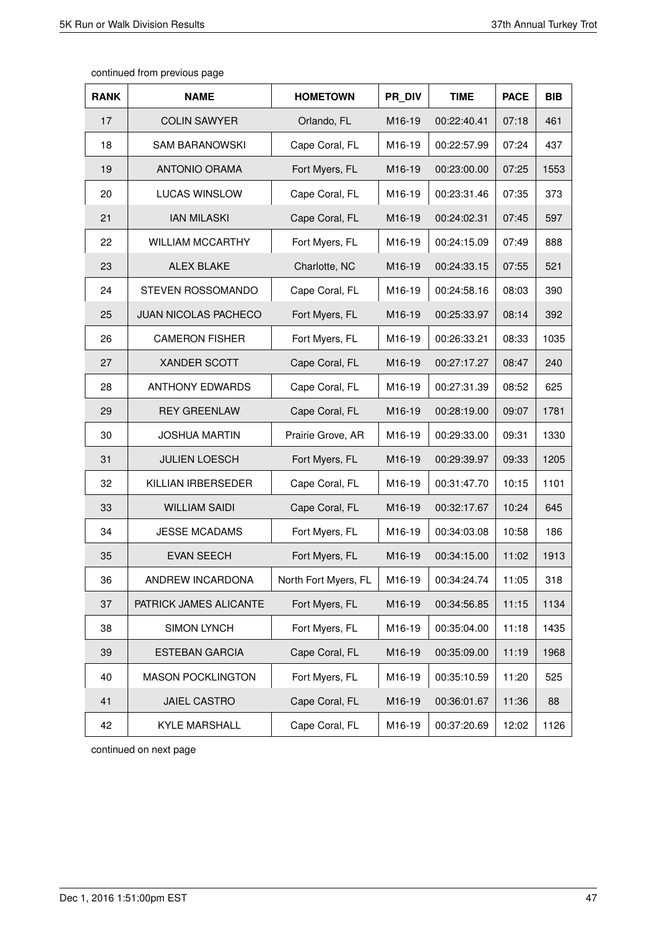| <b>RANK</b> | <b>NAME</b>                 | <b>HOMETOWN</b>      | PR DIV             | <b>TIME</b> | <b>PACE</b> | <b>BIB</b> |
|-------------|-----------------------------|----------------------|--------------------|-------------|-------------|------------|
| 17          | <b>COLIN SAWYER</b>         | Orlando, FL          | M <sub>16-19</sub> | 00:22:40.41 | 07:18       | 461        |
| 18          | <b>SAM BARANOWSKI</b>       | Cape Coral, FL       | M16-19             | 00:22:57.99 | 07:24       | 437        |
| 19          | <b>ANTONIO ORAMA</b>        | Fort Myers, FL       | M16-19             | 00:23:00.00 | 07:25       | 1553       |
| 20          | <b>LUCAS WINSLOW</b>        | Cape Coral, FL       | M16-19             | 00:23:31.46 | 07:35       | 373        |
| 21          | <b>IAN MILASKI</b>          | Cape Coral, FL       | M16-19             | 00:24:02.31 | 07:45       | 597        |
| 22          | <b>WILLIAM MCCARTHY</b>     | Fort Myers, FL       | M <sub>16-19</sub> | 00:24:15.09 | 07:49       | 888        |
| 23          | <b>ALEX BLAKE</b>           | Charlotte, NC        | M16-19             | 00:24:33.15 | 07:55       | 521        |
| 24          | STEVEN ROSSOMANDO           | Cape Coral, FL       | M16-19             | 00:24:58.16 | 08:03       | 390        |
| 25          | <b>JUAN NICOLAS PACHECO</b> | Fort Myers, FL       | M16-19             | 00:25:33.97 | 08:14       | 392        |
| 26          | <b>CAMERON FISHER</b>       | Fort Myers, FL       | M16-19             | 00:26:33.21 | 08:33       | 1035       |
| 27          | <b>XANDER SCOTT</b>         | Cape Coral, FL       | M <sub>16-19</sub> | 00:27:17.27 | 08:47       | 240        |
| 28          | <b>ANTHONY EDWARDS</b>      | Cape Coral, FL       | M16-19             | 00:27:31.39 | 08:52       | 625        |
| 29          | <b>REY GREENLAW</b>         | Cape Coral, FL       | M16-19             | 00:28:19.00 | 09:07       | 1781       |
| 30          | <b>JOSHUA MARTIN</b>        | Prairie Grove, AR    | M16-19             | 00:29:33.00 | 09:31       | 1330       |
| 31          | <b>JULIEN LOESCH</b>        | Fort Myers, FL       | M16-19             | 00:29:39.97 | 09:33       | 1205       |
| 32          | KILLIAN IRBERSEDER          | Cape Coral, FL       | M16-19             | 00:31:47.70 | 10:15       | 1101       |
| 33          | <b>WILLIAM SAIDI</b>        | Cape Coral, FL       | M16-19             | 00:32:17.67 | 10:24       | 645        |
| 34          | <b>JESSE MCADAMS</b>        | Fort Myers, FL       | M16-19             | 00:34:03.08 | 10:58       | 186        |
| 35          | <b>EVAN SEECH</b>           | Fort Myers, FL       | M16-19             | 00:34:15.00 | 11:02       | 1913       |
| 36          | ANDREW INCARDONA            | North Fort Myers, FL | M16-19             | 00:34:24.74 | 11:05       | 318        |
| 37          | PATRICK JAMES ALICANTE      | Fort Myers, FL       | M16-19             | 00:34:56.85 | 11:15       | 1134       |
| 38          | <b>SIMON LYNCH</b>          | Fort Myers, FL       | M16-19             | 00:35:04.00 | 11:18       | 1435       |
| 39          | <b>ESTEBAN GARCIA</b>       | Cape Coral, FL       | M16-19             | 00:35:09.00 | 11:19       | 1968       |
| 40          | <b>MASON POCKLINGTON</b>    | Fort Myers, FL       | M16-19             | 00:35:10.59 | 11:20       | 525        |
| 41          | JAIEL CASTRO                | Cape Coral, FL       | M16-19             | 00:36:01.67 | 11:36       | 88         |
| 42          | <b>KYLE MARSHALL</b>        | Cape Coral, FL       | M16-19             | 00:37:20.69 | 12:02       | 1126       |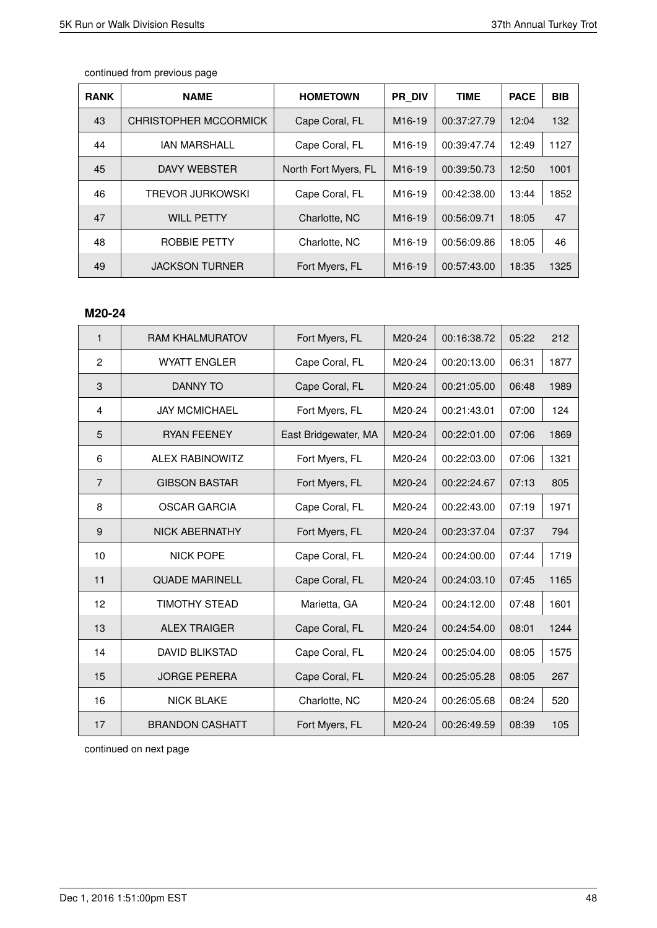| <b>RANK</b> | <b>NAME</b>           | <b>HOMETOWN</b>      | <b>PR DIV</b>       | <b>TIME</b> | <b>PACE</b> | <b>BIB</b> |
|-------------|-----------------------|----------------------|---------------------|-------------|-------------|------------|
| 43          | CHRISTOPHER MCCORMICK | Cape Coral, FL       | M <sub>16</sub> -19 | 00:37:27.79 | 12:04       | 132        |
| 44          | <b>IAN MARSHALL</b>   | Cape Coral, FL       | M <sub>16-19</sub>  | 00:39:47.74 | 12:49       | 1127       |
| 45          | DAVY WEBSTER          | North Fort Myers, FL | M <sub>16</sub> -19 | 00:39:50.73 | 12:50       | 1001       |
| 46          | TREVOR JURKOWSKI      | Cape Coral, FL       | M <sub>16-19</sub>  | 00:42:38.00 | 13:44       | 1852       |
| 47          | <b>WILL PETTY</b>     | Charlotte, NC        | M <sub>16-19</sub>  | 00:56:09.71 | 18:05       | 47         |
| 48          | ROBBIE PETTY          | Charlotte, NC        | M <sub>16-19</sub>  | 00:56:09.86 | 18:05       | 46         |
| 49          | <b>JACKSON TURNER</b> | Fort Myers, FL       | M <sub>16</sub> -19 | 00:57:43.00 | 18:35       | 1325       |

#### **M20-24**

| $\mathbf{1}$   | <b>RAM KHALMURATOV</b> | Fort Myers, FL       | M20-24 | 00:16:38.72 | 05:22 | 212  |
|----------------|------------------------|----------------------|--------|-------------|-------|------|
| $\overline{c}$ | <b>WYATT ENGLER</b>    | Cape Coral, FL       | M20-24 | 00:20:13.00 | 06:31 | 1877 |
| 3              | <b>DANNY TO</b>        | Cape Coral, FL       | M20-24 | 00:21:05.00 | 06:48 | 1989 |
| $\overline{4}$ | <b>JAY MCMICHAEL</b>   | Fort Myers, FL       | M20-24 | 00:21:43.01 | 07:00 | 124  |
| 5              | <b>RYAN FEENEY</b>     | East Bridgewater, MA | M20-24 | 00:22:01.00 | 07:06 | 1869 |
| 6              | <b>ALEX RABINOWITZ</b> | Fort Myers, FL       | M20-24 | 00:22:03.00 | 07:06 | 1321 |
| $\overline{7}$ | <b>GIBSON BASTAR</b>   | Fort Myers, FL       | M20-24 | 00:22:24.67 | 07:13 | 805  |
| 8              | <b>OSCAR GARCIA</b>    | Cape Coral, FL       | M20-24 | 00:22:43.00 | 07:19 | 1971 |
| 9              | <b>NICK ABERNATHY</b>  | Fort Myers, FL       | M20-24 | 00:23:37.04 | 07:37 | 794  |
| 10             | <b>NICK POPE</b>       | Cape Coral, FL       | M20-24 | 00:24:00.00 | 07:44 | 1719 |
| 11             | <b>QUADE MARINELL</b>  | Cape Coral, FL       | M20-24 | 00:24:03.10 | 07:45 | 1165 |
| 12             | TIMOTHY STEAD          | Marietta, GA         | M20-24 | 00:24:12.00 | 07:48 | 1601 |
| 13             | <b>ALEX TRAIGER</b>    | Cape Coral, FL       | M20-24 | 00:24:54.00 | 08:01 | 1244 |
| 14             | <b>DAVID BLIKSTAD</b>  | Cape Coral, FL       | M20-24 | 00:25:04.00 | 08:05 | 1575 |
| 15             | <b>JORGE PERERA</b>    | Cape Coral, FL       | M20-24 | 00:25:05.28 | 08:05 | 267  |
| 16             | <b>NICK BLAKE</b>      | Charlotte, NC        | M20-24 | 00:26:05.68 | 08:24 | 520  |
| 17             | <b>BRANDON CASHATT</b> | Fort Myers, FL       | M20-24 | 00:26:49.59 | 08:39 | 105  |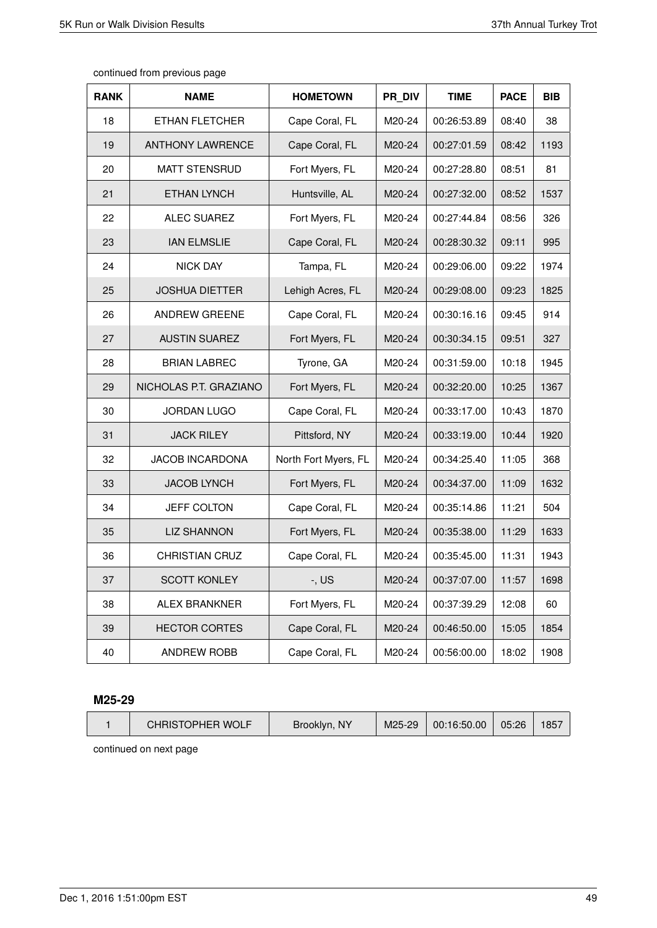| continued from previous page |  |  |  |
|------------------------------|--|--|--|
|------------------------------|--|--|--|

| <b>RANK</b> | <b>NAME</b>             | <b>HOMETOWN</b>      | PR DIV | <b>TIME</b> | <b>PACE</b> | <b>BIB</b> |
|-------------|-------------------------|----------------------|--------|-------------|-------------|------------|
| 18          | ETHAN FLETCHER          | Cape Coral, FL       | M20-24 | 00:26:53.89 | 08:40       | 38         |
| 19          | <b>ANTHONY LAWRENCE</b> | Cape Coral, FL       | M20-24 | 00:27:01.59 | 08:42       | 1193       |
| 20          | <b>MATT STENSRUD</b>    | Fort Myers, FL       | M20-24 | 00:27:28.80 | 08:51       | 81         |
| 21          | <b>ETHAN LYNCH</b>      | Huntsville, AL       | M20-24 | 00:27:32.00 | 08:52       | 1537       |
| 22          | <b>ALEC SUAREZ</b>      | Fort Myers, FL       | M20-24 | 00:27:44.84 | 08:56       | 326        |
| 23          | <b>IAN ELMSLIE</b>      | Cape Coral, FL       | M20-24 | 00:28:30.32 | 09:11       | 995        |
| 24          | <b>NICK DAY</b>         | Tampa, FL            | M20-24 | 00:29:06.00 | 09:22       | 1974       |
| 25          | <b>JOSHUA DIETTER</b>   | Lehigh Acres, FL     | M20-24 | 00:29:08.00 | 09:23       | 1825       |
| 26          | <b>ANDREW GREENE</b>    | Cape Coral, FL       | M20-24 | 00:30:16.16 | 09:45       | 914        |
| 27          | <b>AUSTIN SUAREZ</b>    | Fort Myers, FL       | M20-24 | 00:30:34.15 | 09:51       | 327        |
| 28          | <b>BRIAN LABREC</b>     | Tyrone, GA           | M20-24 | 00:31:59.00 | 10:18       | 1945       |
| 29          | NICHOLAS P.T. GRAZIANO  | Fort Myers, FL       | M20-24 | 00:32:20.00 | 10:25       | 1367       |
| 30          | <b>JORDAN LUGO</b>      | Cape Coral, FL       | M20-24 | 00:33:17.00 | 10:43       | 1870       |
| 31          | <b>JACK RILEY</b>       | Pittsford, NY        | M20-24 | 00:33:19.00 | 10:44       | 1920       |
| 32          | <b>JACOB INCARDONA</b>  | North Fort Myers, FL | M20-24 | 00:34:25.40 | 11:05       | 368        |
| 33          | <b>JACOB LYNCH</b>      | Fort Myers, FL       | M20-24 | 00:34:37.00 | 11:09       | 1632       |
| 34          | <b>JEFF COLTON</b>      | Cape Coral, FL       | M20-24 | 00:35:14.86 | 11:21       | 504        |
| 35          | <b>LIZ SHANNON</b>      | Fort Myers, FL       | M20-24 | 00:35:38.00 | 11:29       | 1633       |
| 36          | <b>CHRISTIAN CRUZ</b>   | Cape Coral, FL       | M20-24 | 00:35:45.00 | 11:31       | 1943       |
| 37          | <b>SCOTT KONLEY</b>     | $-$ , US             | M20-24 | 00:37:07.00 | 11:57       | 1698       |
| 38          | <b>ALEX BRANKNER</b>    | Fort Myers, FL       | M20-24 | 00:37:39.29 | 12:08       | 60         |
| 39          | <b>HECTOR CORTES</b>    | Cape Coral, FL       | M20-24 | 00:46:50.00 | 15:05       | 1854       |
| 40          | <b>ANDREW ROBB</b>      | Cape Coral, FL       | M20-24 | 00:56:00.00 | 18:02       | 1908       |

### **M25-29**

| CHRISTOPHER WOLF | Brooklyn, NY | M25-29 | 00:16:50.00 | 05:26 | 1857 |
|------------------|--------------|--------|-------------|-------|------|
|                  |              |        |             |       |      |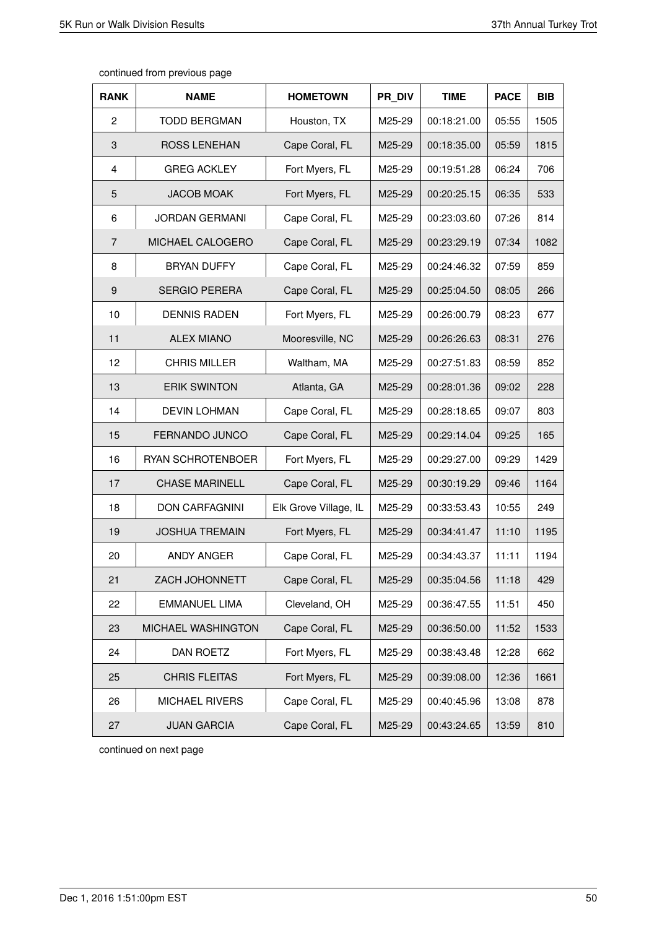| <b>RANK</b>    | <b>NAME</b>           | <b>HOMETOWN</b>       | PR DIV | <b>TIME</b> | <b>PACE</b> | <b>BIB</b> |
|----------------|-----------------------|-----------------------|--------|-------------|-------------|------------|
| 2              | <b>TODD BERGMAN</b>   | Houston, TX           | M25-29 | 00:18:21.00 | 05:55       | 1505       |
| 3              | <b>ROSS LENEHAN</b>   | Cape Coral, FL        | M25-29 | 00:18:35.00 | 05:59       | 1815       |
| 4              | <b>GREG ACKLEY</b>    | Fort Myers, FL        | M25-29 | 00:19:51.28 | 06:24       | 706        |
| 5              | <b>JACOB MOAK</b>     | Fort Myers, FL        | M25-29 | 00:20:25.15 | 06:35       | 533        |
| 6              | <b>JORDAN GERMANI</b> | Cape Coral, FL        | M25-29 | 00:23:03.60 | 07:26       | 814        |
| $\overline{7}$ | MICHAEL CALOGERO      | Cape Coral, FL        | M25-29 | 00:23:29.19 | 07:34       | 1082       |
| 8              | <b>BRYAN DUFFY</b>    | Cape Coral, FL        | M25-29 | 00:24:46.32 | 07:59       | 859        |
| 9              | <b>SERGIO PERERA</b>  | Cape Coral, FL        | M25-29 | 00:25:04.50 | 08:05       | 266        |
| 10             | <b>DENNIS RADEN</b>   | Fort Myers, FL        | M25-29 | 00:26:00.79 | 08:23       | 677        |
| 11             | <b>ALEX MIANO</b>     | Mooresville, NC       | M25-29 | 00:26:26.63 | 08:31       | 276        |
| 12             | <b>CHRIS MILLER</b>   | Waltham, MA           | M25-29 | 00:27:51.83 | 08:59       | 852        |
| 13             | <b>ERIK SWINTON</b>   | Atlanta, GA           | M25-29 | 00:28:01.36 | 09:02       | 228        |
| 14             | <b>DEVIN LOHMAN</b>   | Cape Coral, FL        | M25-29 | 00:28:18.65 | 09:07       | 803        |
| 15             | FERNANDO JUNCO        | Cape Coral, FL        | M25-29 | 00:29:14.04 | 09:25       | 165        |
| 16             | RYAN SCHROTENBOER     | Fort Myers, FL        | M25-29 | 00:29:27.00 | 09:29       | 1429       |
| 17             | <b>CHASE MARINELL</b> | Cape Coral, FL        | M25-29 | 00:30:19.29 | 09:46       | 1164       |
| 18             | <b>DON CARFAGNINI</b> | Elk Grove Village, IL | M25-29 | 00:33:53.43 | 10:55       | 249        |
| 19             | <b>JOSHUA TREMAIN</b> | Fort Myers, FL        | M25-29 | 00:34:41.47 | 11:10       | 1195       |
| 20             | ANDY ANGER            | Cape Coral, FL        | M25-29 | 00:34:43.37 | 11:11       | 1194       |
| 21             | ZACH JOHONNETT        | Cape Coral, FL        | M25-29 | 00:35:04.56 | 11:18       | 429        |
| 22             | EMMANUEL LIMA         | Cleveland, OH         | M25-29 | 00:36:47.55 | 11:51       | 450        |
| 23             | MICHAEL WASHINGTON    | Cape Coral, FL        | M25-29 | 00:36:50.00 | 11:52       | 1533       |
| 24             | DAN ROETZ             | Fort Myers, FL        | M25-29 | 00:38:43.48 | 12:28       | 662        |
| 25             | <b>CHRIS FLEITAS</b>  | Fort Myers, FL        | M25-29 | 00:39:08.00 | 12:36       | 1661       |
| 26             | MICHAEL RIVERS        | Cape Coral, FL        | M25-29 | 00:40:45.96 | 13:08       | 878        |
| 27             | <b>JUAN GARCIA</b>    | Cape Coral, FL        | M25-29 | 00:43:24.65 | 13:59       | 810        |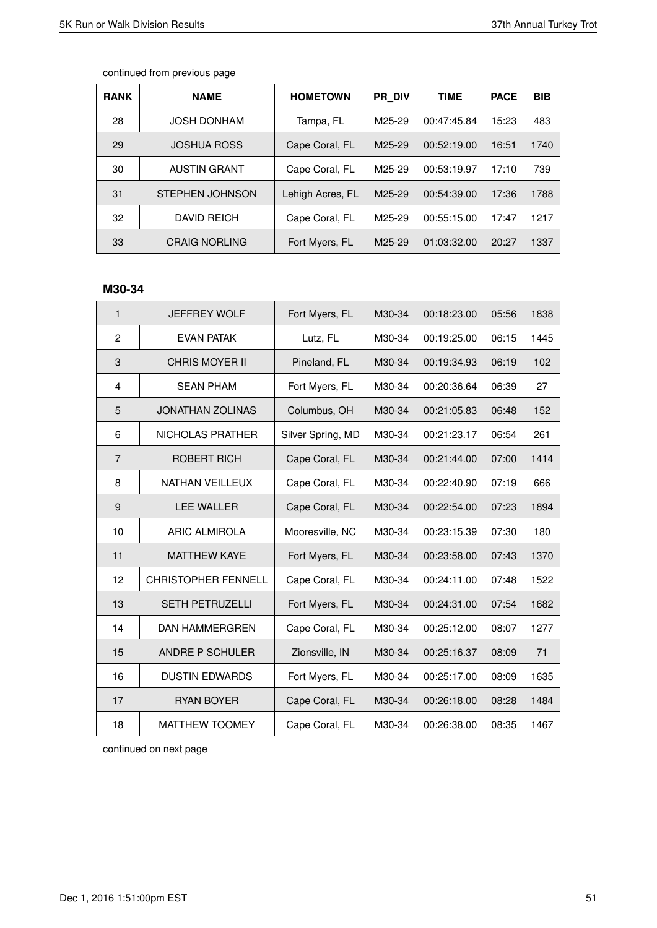| <b>RANK</b> | <b>NAME</b>          | <b>HOMETOWN</b>  | PR DIV              | <b>TIME</b> | <b>PACE</b> | <b>BIB</b> |
|-------------|----------------------|------------------|---------------------|-------------|-------------|------------|
| 28          | <b>JOSH DONHAM</b>   | Tampa, FL        | M25-29              | 00:47:45.84 | 15:23       | 483        |
| 29          | <b>JOSHUA ROSS</b>   | Cape Coral, FL   | M <sub>25</sub> -29 | 00:52:19.00 | 16:51       | 1740       |
| 30          | <b>AUSTIN GRANT</b>  | Cape Coral, FL   | M25-29              | 00:53:19.97 | 17:10       | 739        |
| 31          | STEPHEN JOHNSON      | Lehigh Acres, FL | M <sub>25</sub> -29 | 00:54:39.00 | 17:36       | 1788       |
| 32          | <b>DAVID REICH</b>   | Cape Coral, FL   | M25-29              | 00:55:15.00 | 17:47       | 1217       |
| 33          | <b>CRAIG NORLING</b> | Fort Myers, FL   | M <sub>25</sub> -29 | 01:03:32.00 | 20:27       | 1337       |

# **M30-34**

| $\mathbf{1}$   | <b>JEFFREY WOLF</b>        | Fort Myers, FL    | M30-34 | 00:18:23.00 | 05:56 | 1838 |
|----------------|----------------------------|-------------------|--------|-------------|-------|------|
| 2              | <b>EVAN PATAK</b>          | Lutz, FL          | M30-34 | 00:19:25.00 | 06:15 | 1445 |
| $\sqrt{3}$     | <b>CHRIS MOYER II</b>      | Pineland, FL      | M30-34 | 00:19:34.93 | 06:19 | 102  |
| 4              | <b>SEAN PHAM</b>           | Fort Myers, FL    | M30-34 | 00:20:36.64 | 06:39 | 27   |
| 5              | <b>JONATHAN ZOLINAS</b>    | Columbus, OH      | M30-34 | 00:21:05.83 | 06:48 | 152  |
| 6              | NICHOLAS PRATHER           | Silver Spring, MD | M30-34 | 00:21:23.17 | 06:54 | 261  |
| $\overline{7}$ | ROBERT RICH                | Cape Coral, FL    | M30-34 | 00:21:44.00 | 07:00 | 1414 |
| 8              | <b>NATHAN VEILLEUX</b>     | Cape Coral, FL    | M30-34 | 00:22:40.90 | 07:19 | 666  |
| 9              | <b>LEE WALLER</b>          | Cape Coral, FL    | M30-34 | 00:22:54.00 | 07:23 | 1894 |
| 10             | <b>ARIC ALMIROLA</b>       | Mooresville, NC   | M30-34 | 00:23:15.39 | 07:30 | 180  |
| 11             | <b>MATTHEW KAYE</b>        | Fort Myers, FL    | M30-34 | 00:23:58.00 | 07:43 | 1370 |
| 12             | <b>CHRISTOPHER FENNELL</b> | Cape Coral, FL    | M30-34 | 00:24:11.00 | 07:48 | 1522 |
| 13             | <b>SETH PETRUZELLI</b>     | Fort Myers, FL    | M30-34 | 00:24:31.00 | 07:54 | 1682 |
| 14             | <b>DAN HAMMERGREN</b>      | Cape Coral, FL    | M30-34 | 00:25:12.00 | 08:07 | 1277 |
| 15             | ANDRE P SCHULER            | Zionsville, IN    | M30-34 | 00:25:16.37 | 08:09 | 71   |
| 16             | <b>DUSTIN EDWARDS</b>      | Fort Myers, FL    | M30-34 | 00:25:17.00 | 08:09 | 1635 |
| 17             | <b>RYAN BOYER</b>          | Cape Coral, FL    | M30-34 | 00:26:18.00 | 08:28 | 1484 |
| 18             | <b>MATTHEW TOOMEY</b>      | Cape Coral, FL    | M30-34 | 00:26:38.00 | 08:35 | 1467 |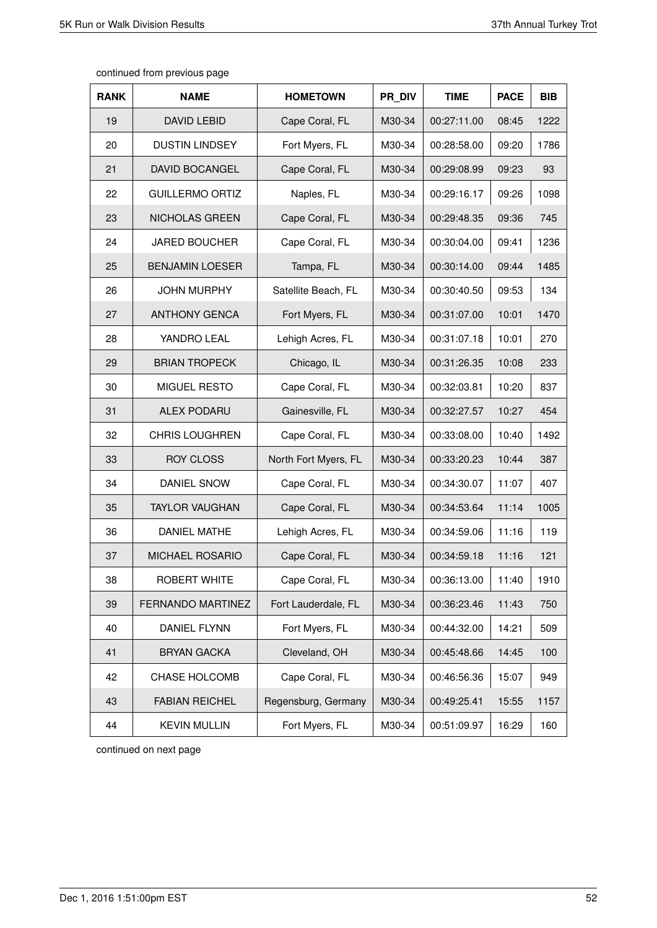| <b>RANK</b> | <b>NAME</b>              | <b>HOMETOWN</b>      | PR DIV | <b>TIME</b> | <b>PACE</b> | <b>BIB</b> |
|-------------|--------------------------|----------------------|--------|-------------|-------------|------------|
| 19          | <b>DAVID LEBID</b>       | Cape Coral, FL       | M30-34 | 00:27:11.00 | 08:45       | 1222       |
| 20          | <b>DUSTIN LINDSEY</b>    | Fort Myers, FL       | M30-34 | 00:28:58.00 | 09:20       | 1786       |
| 21          | DAVID BOCANGEL           | Cape Coral, FL       | M30-34 | 00:29:08.99 | 09:23       | 93         |
| 22          | <b>GUILLERMO ORTIZ</b>   | Naples, FL           | M30-34 | 00:29:16.17 | 09:26       | 1098       |
| 23          | NICHOLAS GREEN           | Cape Coral, FL       | M30-34 | 00:29:48.35 | 09:36       | 745        |
| 24          | <b>JARED BOUCHER</b>     | Cape Coral, FL       | M30-34 | 00:30:04.00 | 09:41       | 1236       |
| 25          | <b>BENJAMIN LOESER</b>   | Tampa, FL            | M30-34 | 00:30:14.00 | 09:44       | 1485       |
| 26          | <b>JOHN MURPHY</b>       | Satellite Beach, FL  | M30-34 | 00:30:40.50 | 09:53       | 134        |
| 27          | <b>ANTHONY GENCA</b>     | Fort Myers, FL       | M30-34 | 00:31:07.00 | 10:01       | 1470       |
| 28          | YANDRO LEAL              | Lehigh Acres, FL     | M30-34 | 00:31:07.18 | 10:01       | 270        |
| 29          | <b>BRIAN TROPECK</b>     | Chicago, IL          | M30-34 | 00:31:26.35 | 10:08       | 233        |
| 30          | <b>MIGUEL RESTO</b>      | Cape Coral, FL       | M30-34 | 00:32:03.81 | 10:20       | 837        |
| 31          | <b>ALEX PODARU</b>       | Gainesville, FL      | M30-34 | 00:32:27.57 | 10:27       | 454        |
| 32          | <b>CHRIS LOUGHREN</b>    | Cape Coral, FL       | M30-34 | 00:33:08.00 | 10:40       | 1492       |
| 33          | <b>ROY CLOSS</b>         | North Fort Myers, FL | M30-34 | 00:33:20.23 | 10:44       | 387        |
| 34          | DANIEL SNOW              | Cape Coral, FL       | M30-34 | 00:34:30.07 | 11:07       | 407        |
| 35          | <b>TAYLOR VAUGHAN</b>    | Cape Coral, FL       | M30-34 | 00:34:53.64 | 11:14       | 1005       |
| 36          | <b>DANIEL MATHE</b>      | Lehigh Acres, FL     | M30-34 | 00:34:59.06 | 11:16       | 119        |
| 37          | <b>MICHAEL ROSARIO</b>   | Cape Coral, FL       | M30-34 | 00:34:59.18 | 11:16       | 121        |
| 38          | ROBERT WHITE             | Cape Coral, FL       | M30-34 | 00:36:13.00 | 11:40       | 1910       |
| 39          | <b>FERNANDO MARTINEZ</b> | Fort Lauderdale, FL  | M30-34 | 00:36:23.46 | 11:43       | 750        |
| 40          | DANIEL FLYNN             | Fort Myers, FL       | M30-34 | 00:44:32.00 | 14:21       | 509        |
| 41          | <b>BRYAN GACKA</b>       | Cleveland, OH        | M30-34 | 00:45:48.66 | 14:45       | 100        |
| 42          | CHASE HOLCOMB            | Cape Coral, FL       | M30-34 | 00:46:56.36 | 15:07       | 949        |
| 43          | <b>FABIAN REICHEL</b>    | Regensburg, Germany  | M30-34 | 00:49:25.41 | 15:55       | 1157       |
| 44          | <b>KEVIN MULLIN</b>      | Fort Myers, FL       | M30-34 | 00:51:09.97 | 16:29       | 160        |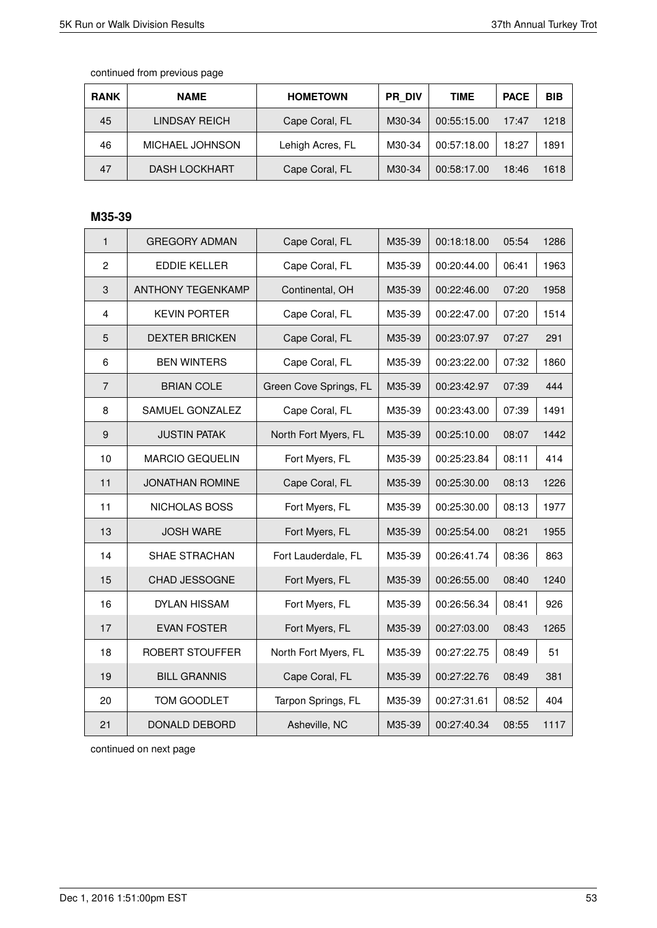| <b>RANK</b> | <b>NAME</b>          | <b>HOMETOWN</b>  | <b>PR DIV</b> | TIME        | <b>PACE</b> | <b>BIB</b> |
|-------------|----------------------|------------------|---------------|-------------|-------------|------------|
| 45          | LINDSAY REICH        | Cape Coral, FL   | M30-34        | 00:55:15.00 | 17:47       | 1218       |
| 46          | MICHAEL JOHNSON      | Lehigh Acres, FL | M30-34        | 00:57:18.00 | 18:27       | 1891       |
| 47          | <b>DASH LOCKHART</b> | Cape Coral, FL   | M30-34        | 00:58:17.00 | 18:46       | 1618       |

# **M35-39**

| $\mathbf{1}$     | <b>GREGORY ADMAN</b>     | Cape Coral, FL         | M35-39 | 00:18:18.00 | 05:54 | 1286 |
|------------------|--------------------------|------------------------|--------|-------------|-------|------|
| $\overline{2}$   | <b>EDDIE KELLER</b>      | Cape Coral, FL         | M35-39 | 00:20:44.00 | 06:41 | 1963 |
| 3                | <b>ANTHONY TEGENKAMP</b> | Continental, OH        | M35-39 | 00:22:46.00 | 07:20 | 1958 |
| $\overline{4}$   | <b>KEVIN PORTER</b>      | Cape Coral, FL         | M35-39 | 00:22:47.00 | 07:20 | 1514 |
| 5                | <b>DEXTER BRICKEN</b>    | Cape Coral, FL         | M35-39 | 00:23:07.97 | 07:27 | 291  |
| 6                | <b>BEN WINTERS</b>       | Cape Coral, FL         | M35-39 | 00:23:22.00 | 07:32 | 1860 |
| $\overline{7}$   | <b>BRIAN COLE</b>        | Green Cove Springs, FL | M35-39 | 00:23:42.97 | 07:39 | 444  |
| 8                | SAMUEL GONZALEZ          | Cape Coral, FL         | M35-39 | 00:23:43.00 | 07:39 | 1491 |
| $\boldsymbol{9}$ | <b>JUSTIN PATAK</b>      | North Fort Myers, FL   | M35-39 | 00:25:10.00 | 08:07 | 1442 |
| 10               | <b>MARCIO GEQUELIN</b>   | Fort Myers, FL         | M35-39 | 00:25:23.84 | 08:11 | 414  |
| 11               | <b>JONATHAN ROMINE</b>   | Cape Coral, FL         | M35-39 | 00:25:30.00 | 08:13 | 1226 |
| 11               | NICHOLAS BOSS            | Fort Myers, FL         | M35-39 | 00:25:30.00 | 08:13 | 1977 |
| 13               | <b>JOSH WARE</b>         | Fort Myers, FL         | M35-39 | 00:25:54.00 | 08:21 | 1955 |
| 14               | <b>SHAE STRACHAN</b>     | Fort Lauderdale, FL    | M35-39 | 00:26:41.74 | 08:36 | 863  |
| 15               | CHAD JESSOGNE            | Fort Myers, FL         | M35-39 | 00:26:55.00 | 08:40 | 1240 |
| 16               | <b>DYLAN HISSAM</b>      | Fort Myers, FL         | M35-39 | 00:26:56.34 | 08:41 | 926  |
| 17               | <b>EVAN FOSTER</b>       | Fort Myers, FL         | M35-39 | 00:27:03.00 | 08:43 | 1265 |
| 18               | ROBERT STOUFFER          | North Fort Myers, FL   | M35-39 | 00:27:22.75 | 08:49 | 51   |
| 19               | <b>BILL GRANNIS</b>      | Cape Coral, FL         | M35-39 | 00:27:22.76 | 08:49 | 381  |
| 20               | TOM GOODLET              | Tarpon Springs, FL     | M35-39 | 00:27:31.61 | 08:52 | 404  |
| 21               | <b>DONALD DEBORD</b>     | Asheville, NC          | M35-39 | 00:27:40.34 | 08:55 | 1117 |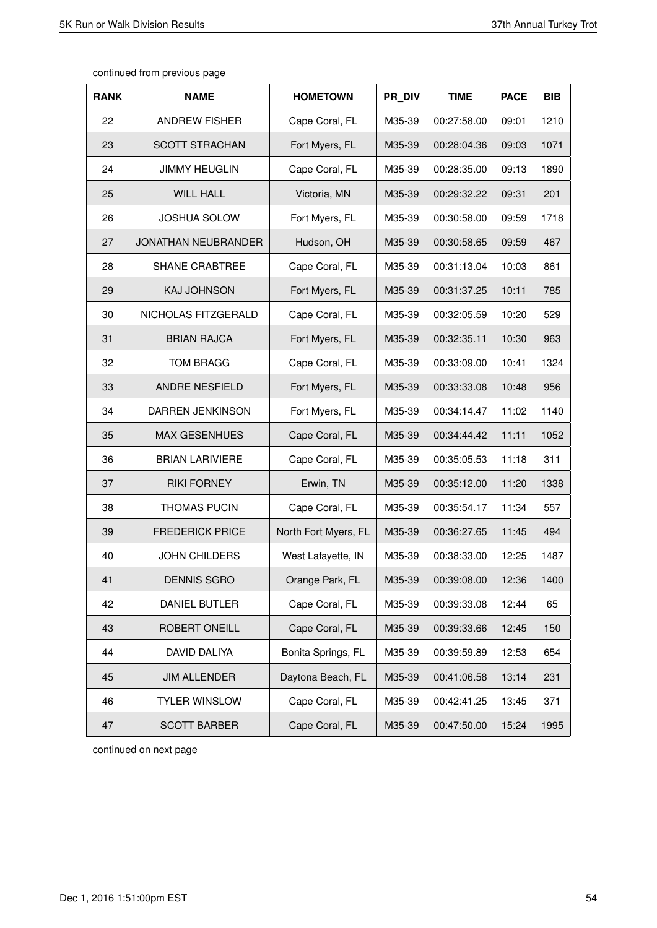| <b>RANK</b> | <b>NAME</b>                | <b>HOMETOWN</b>      | PR_DIV | <b>TIME</b> | <b>PACE</b> | <b>BIB</b> |
|-------------|----------------------------|----------------------|--------|-------------|-------------|------------|
| 22          | <b>ANDREW FISHER</b>       | Cape Coral, FL       | M35-39 | 00:27:58.00 | 09:01       | 1210       |
| 23          | <b>SCOTT STRACHAN</b>      | Fort Myers, FL       | M35-39 | 00:28:04.36 | 09:03       | 1071       |
| 24          | <b>JIMMY HEUGLIN</b>       | Cape Coral, FL       | M35-39 | 00:28:35.00 | 09:13       | 1890       |
| 25          | <b>WILL HALL</b>           | Victoria, MN         | M35-39 | 00:29:32.22 | 09:31       | 201        |
| 26          | <b>JOSHUA SOLOW</b>        | Fort Myers, FL       | M35-39 | 00:30:58.00 | 09:59       | 1718       |
| 27          | <b>JONATHAN NEUBRANDER</b> | Hudson, OH           | M35-39 | 00:30:58.65 | 09:59       | 467        |
| 28          | <b>SHANE CRABTREE</b>      | Cape Coral, FL       | M35-39 | 00:31:13.04 | 10:03       | 861        |
| 29          | <b>KAJ JOHNSON</b>         | Fort Myers, FL       | M35-39 | 00:31:37.25 | 10:11       | 785        |
| 30          | NICHOLAS FITZGERALD        | Cape Coral, FL       | M35-39 | 00:32:05.59 | 10:20       | 529        |
| 31          | <b>BRIAN RAJCA</b>         | Fort Myers, FL       | M35-39 | 00:32:35.11 | 10:30       | 963        |
| 32          | <b>TOM BRAGG</b>           | Cape Coral, FL       | M35-39 | 00:33:09.00 | 10:41       | 1324       |
| 33          | <b>ANDRE NESFIELD</b>      | Fort Myers, FL       | M35-39 | 00:33:33.08 | 10:48       | 956        |
| 34          | DARREN JENKINSON           | Fort Myers, FL       | M35-39 | 00:34:14.47 | 11:02       | 1140       |
| 35          | <b>MAX GESENHUES</b>       | Cape Coral, FL       | M35-39 | 00:34:44.42 | 11:11       | 1052       |
| 36          | <b>BRIAN LARIVIERE</b>     | Cape Coral, FL       | M35-39 | 00:35:05.53 | 11:18       | 311        |
| 37          | <b>RIKI FORNEY</b>         | Erwin, TN            | M35-39 | 00:35:12.00 | 11:20       | 1338       |
| 38          | <b>THOMAS PUCIN</b>        | Cape Coral, FL       | M35-39 | 00:35:54.17 | 11:34       | 557        |
| 39          | <b>FREDERICK PRICE</b>     | North Fort Myers, FL | M35-39 | 00:36:27.65 | 11:45       | 494        |
| 40          | JOHN CHILDERS              | West Lafayette, IN   | M35-39 | 00:38:33.00 | 12:25       | 1487       |
| 41          | <b>DENNIS SGRO</b>         | Orange Park, FL      | M35-39 | 00:39:08.00 | 12:36       | 1400       |
| 42          | DANIEL BUTLER              | Cape Coral, FL       | M35-39 | 00:39:33.08 | 12:44       | 65         |
| 43          | ROBERT ONEILL              | Cape Coral, FL       | M35-39 | 00:39:33.66 | 12:45       | 150        |
| 44          | DAVID DALIYA               | Bonita Springs, FL   | M35-39 | 00:39:59.89 | 12:53       | 654        |
| 45          | <b>JIM ALLENDER</b>        | Daytona Beach, FL    | M35-39 | 00:41:06.58 | 13:14       | 231        |
| 46          | <b>TYLER WINSLOW</b>       | Cape Coral, FL       | M35-39 | 00:42:41.25 | 13:45       | 371        |
| 47          | <b>SCOTT BARBER</b>        | Cape Coral, FL       | M35-39 | 00:47:50.00 | 15:24       | 1995       |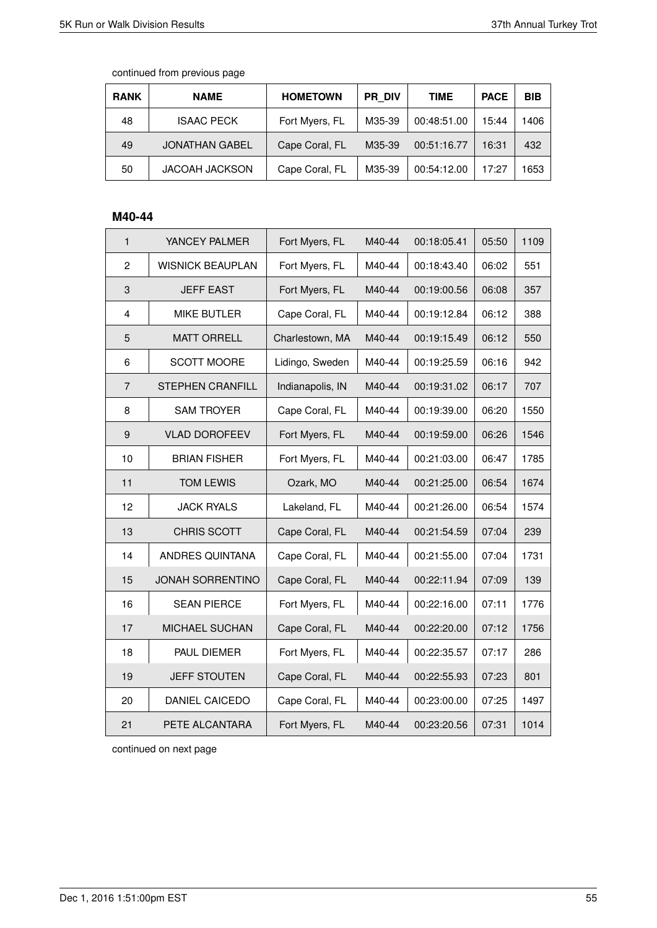| <b>RANK</b> | <b>NAME</b>           | <b>HOMETOWN</b> | PR DIV | TIME        | <b>PACE</b> | <b>BIB</b> |
|-------------|-----------------------|-----------------|--------|-------------|-------------|------------|
| 48          | <b>ISAAC PECK</b>     | Fort Myers, FL  | M35-39 | 00:48:51.00 | 15:44       | 1406       |
| 49          | <b>JONATHAN GABEL</b> | Cape Coral, FL  | M35-39 | 00:51:16.77 | 16:31       | 432        |
| 50          | <b>JACOAH JACKSON</b> | Cape Coral, FL  | M35-39 | 00:54:12.00 | 17:27       | 1653       |

# **M40-44**

| $\mathbf{1}$     | YANCEY PALMER           | Fort Myers, FL   | M40-44 | 00:18:05.41 | 05:50 | 1109 |
|------------------|-------------------------|------------------|--------|-------------|-------|------|
| $\overline{c}$   | <b>WISNICK BEAUPLAN</b> | Fort Myers, FL   | M40-44 | 00:18:43.40 | 06:02 | 551  |
| 3                | <b>JEFF EAST</b>        | Fort Myers, FL   | M40-44 | 00:19:00.56 | 06:08 | 357  |
| 4                | <b>MIKE BUTLER</b>      | Cape Coral, FL   | M40-44 | 00:19:12.84 | 06:12 | 388  |
| 5                | <b>MATT ORRELL</b>      | Charlestown, MA  | M40-44 | 00:19:15.49 | 06:12 | 550  |
| 6                | <b>SCOTT MOORE</b>      | Lidingo, Sweden  | M40-44 | 00:19:25.59 | 06:16 | 942  |
| $\overline{7}$   | <b>STEPHEN CRANFILL</b> | Indianapolis, IN | M40-44 | 00:19:31.02 | 06:17 | 707  |
| 8                | <b>SAM TROYER</b>       | Cape Coral, FL   | M40-44 | 00:19:39.00 | 06:20 | 1550 |
| $\boldsymbol{9}$ | <b>VLAD DOROFEEV</b>    | Fort Myers, FL   | M40-44 | 00:19:59.00 | 06:26 | 1546 |
| 10               | <b>BRIAN FISHER</b>     | Fort Myers, FL   | M40-44 | 00:21:03.00 | 06:47 | 1785 |
| 11               | <b>TOM LEWIS</b>        | Ozark, MO        | M40-44 | 00:21:25.00 | 06:54 | 1674 |
| 12               | <b>JACK RYALS</b>       | Lakeland, FL     | M40-44 | 00:21:26.00 | 06:54 | 1574 |
| 13               | <b>CHRIS SCOTT</b>      | Cape Coral, FL   | M40-44 | 00:21:54.59 | 07:04 | 239  |
| 14               | ANDRES QUINTANA         | Cape Coral, FL   | M40-44 | 00:21:55.00 | 07:04 | 1731 |
| 15               | <b>JONAH SORRENTINO</b> | Cape Coral, FL   | M40-44 | 00:22:11.94 | 07:09 | 139  |
| 16               | <b>SEAN PIERCE</b>      | Fort Myers, FL   | M40-44 | 00:22:16.00 | 07:11 | 1776 |
| 17               | MICHAEL SUCHAN          | Cape Coral, FL   | M40-44 | 00:22:20.00 | 07:12 | 1756 |
| 18               | PAUL DIEMER             | Fort Myers, FL   | M40-44 | 00:22:35.57 | 07:17 | 286  |
| 19               | <b>JEFF STOUTEN</b>     | Cape Coral, FL   | M40-44 | 00:22:55.93 | 07:23 | 801  |
| 20               | DANIEL CAICEDO          | Cape Coral, FL   | M40-44 | 00:23:00.00 | 07:25 | 1497 |
| 21               | PETE ALCANTARA          | Fort Myers, FL   | M40-44 | 00:23:20.56 | 07:31 | 1014 |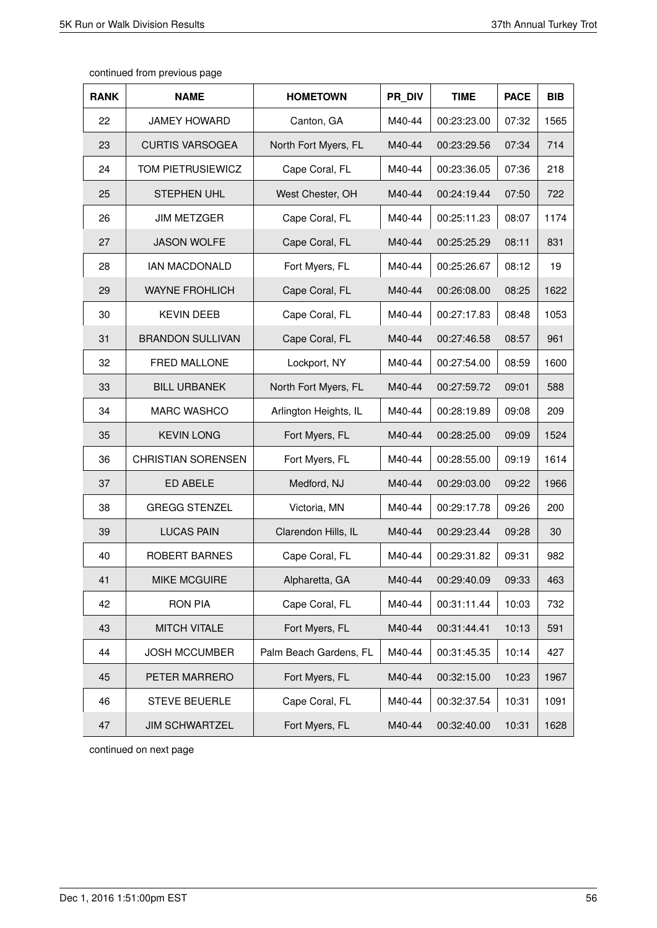| <b>RANK</b> | <b>NAME</b>               | <b>HOMETOWN</b>        | PR DIV | <b>TIME</b> | <b>PACE</b> | <b>BIB</b> |
|-------------|---------------------------|------------------------|--------|-------------|-------------|------------|
| 22          | <b>JAMEY HOWARD</b>       | Canton, GA             | M40-44 | 00:23:23.00 | 07:32       | 1565       |
| 23          | <b>CURTIS VARSOGEA</b>    | North Fort Myers, FL   | M40-44 | 00:23:29.56 | 07:34       | 714        |
| 24          | TOM PIETRUSIEWICZ         | Cape Coral, FL         | M40-44 | 00:23:36.05 | 07:36       | 218        |
| 25          | <b>STEPHEN UHL</b>        | West Chester, OH       | M40-44 | 00:24:19.44 | 07:50       | 722        |
| 26          | <b>JIM METZGER</b>        | Cape Coral, FL         | M40-44 | 00:25:11.23 | 08:07       | 1174       |
| 27          | <b>JASON WOLFE</b>        | Cape Coral, FL         | M40-44 | 00:25:25.29 | 08:11       | 831        |
| 28          | <b>IAN MACDONALD</b>      | Fort Myers, FL         | M40-44 | 00:25:26.67 | 08:12       | 19         |
| 29          | <b>WAYNE FROHLICH</b>     | Cape Coral, FL         | M40-44 | 00:26:08.00 | 08:25       | 1622       |
| 30          | <b>KEVIN DEEB</b>         | Cape Coral, FL         | M40-44 | 00:27:17.83 | 08:48       | 1053       |
| 31          | <b>BRANDON SULLIVAN</b>   | Cape Coral, FL         | M40-44 | 00:27:46.58 | 08:57       | 961        |
| 32          | <b>FRED MALLONE</b>       | Lockport, NY           | M40-44 | 00:27:54.00 | 08:59       | 1600       |
| 33          | <b>BILL URBANEK</b>       | North Fort Myers, FL   | M40-44 | 00:27:59.72 | 09:01       | 588        |
| 34          | <b>MARC WASHCO</b>        | Arlington Heights, IL  | M40-44 | 00:28:19.89 | 09:08       | 209        |
| 35          | <b>KEVIN LONG</b>         | Fort Myers, FL         | M40-44 | 00:28:25.00 | 09:09       | 1524       |
| 36          | <b>CHRISTIAN SORENSEN</b> | Fort Myers, FL         | M40-44 | 00:28:55.00 | 09:19       | 1614       |
| 37          | ED ABELE                  | Medford, NJ            | M40-44 | 00:29:03.00 | 09:22       | 1966       |
| 38          | <b>GREGG STENZEL</b>      | Victoria, MN           | M40-44 | 00:29:17.78 | 09:26       | 200        |
| 39          | <b>LUCAS PAIN</b>         | Clarendon Hills, IL    | M40-44 | 00:29:23.44 | 09:28       | 30         |
| 40          | ROBERT BARNES             | Cape Coral, FL         | M40-44 | 00:29:31.82 | 09:31       | 982        |
| 41          | <b>MIKE MCGUIRE</b>       | Alpharetta, GA         | M40-44 | 00:29:40.09 | 09:33       | 463        |
| 42          | <b>RON PIA</b>            | Cape Coral, FL         | M40-44 | 00:31:11.44 | 10:03       | 732        |
| 43          | <b>MITCH VITALE</b>       | Fort Myers, FL         | M40-44 | 00:31:44.41 | 10:13       | 591        |
| 44          | <b>JOSH MCCUMBER</b>      | Palm Beach Gardens, FL | M40-44 | 00:31:45.35 | 10:14       | 427        |
| 45          | PETER MARRERO             | Fort Myers, FL         | M40-44 | 00:32:15.00 | 10:23       | 1967       |
| 46          | <b>STEVE BEUERLE</b>      | Cape Coral, FL         | M40-44 | 00:32:37.54 | 10:31       | 1091       |
| 47          | <b>JIM SCHWARTZEL</b>     | Fort Myers, FL         | M40-44 | 00:32:40.00 | 10:31       | 1628       |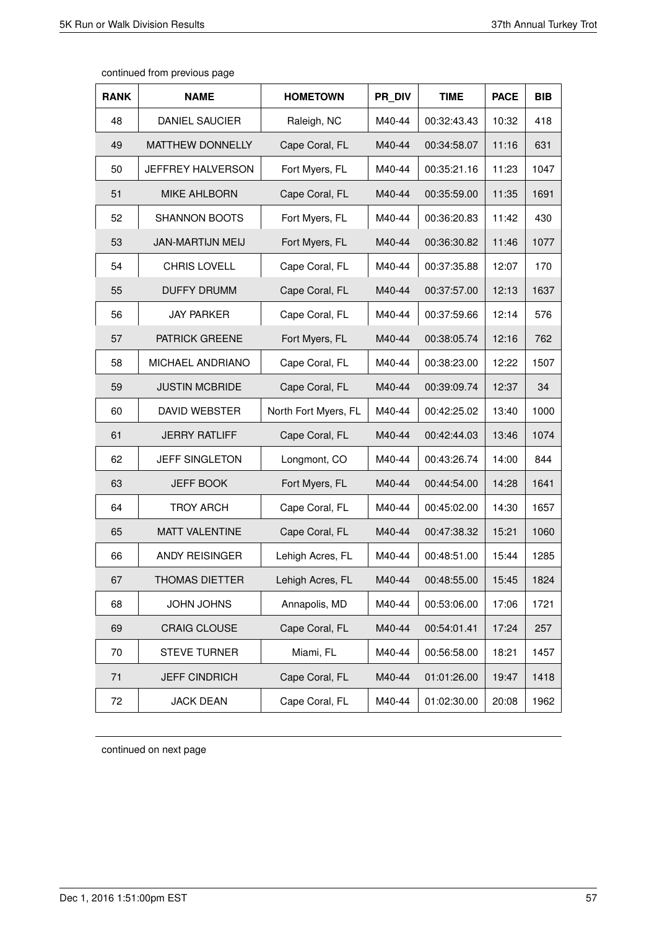| continued from previous page |  |  |
|------------------------------|--|--|
|------------------------------|--|--|

| <b>RANK</b> | <b>NAME</b>             | <b>HOMETOWN</b>      | PR DIV | <b>TIME</b> | <b>PACE</b> | <b>BIB</b> |
|-------------|-------------------------|----------------------|--------|-------------|-------------|------------|
| 48          | <b>DANIEL SAUCIER</b>   | Raleigh, NC          | M40-44 | 00:32:43.43 | 10:32       | 418        |
| 49          | <b>MATTHEW DONNELLY</b> | Cape Coral, FL       | M40-44 | 00:34:58.07 | 11:16       | 631        |
| 50          | JEFFREY HALVERSON       | Fort Myers, FL       | M40-44 | 00:35:21.16 | 11:23       | 1047       |
| 51          | <b>MIKE AHLBORN</b>     | Cape Coral, FL       | M40-44 | 00:35:59.00 | 11:35       | 1691       |
| 52          | <b>SHANNON BOOTS</b>    | Fort Myers, FL       | M40-44 | 00:36:20.83 | 11:42       | 430        |
| 53          | <b>JAN-MARTIJN MEIJ</b> | Fort Myers, FL       | M40-44 | 00:36:30.82 | 11:46       | 1077       |
| 54          | <b>CHRIS LOVELL</b>     | Cape Coral, FL       | M40-44 | 00:37:35.88 | 12:07       | 170        |
| 55          | <b>DUFFY DRUMM</b>      | Cape Coral, FL       | M40-44 | 00:37:57.00 | 12:13       | 1637       |
| 56          | <b>JAY PARKER</b>       | Cape Coral, FL       | M40-44 | 00:37:59.66 | 12:14       | 576        |
| 57          | <b>PATRICK GREENE</b>   | Fort Myers, FL       | M40-44 | 00:38:05.74 | 12:16       | 762        |
| 58          | MICHAEL ANDRIANO        | Cape Coral, FL       | M40-44 | 00:38:23.00 | 12:22       | 1507       |
| 59          | <b>JUSTIN MCBRIDE</b>   | Cape Coral, FL       | M40-44 | 00:39:09.74 | 12:37       | 34         |
| 60          | DAVID WEBSTER           | North Fort Myers, FL | M40-44 | 00:42:25.02 | 13:40       | 1000       |
| 61          | <b>JERRY RATLIFF</b>    | Cape Coral, FL       | M40-44 | 00:42:44.03 | 13:46       | 1074       |
| 62          | <b>JEFF SINGLETON</b>   | Longmont, CO         | M40-44 | 00:43:26.74 | 14:00       | 844        |
| 63          | <b>JEFF BOOK</b>        | Fort Myers, FL       | M40-44 | 00:44:54.00 | 14:28       | 1641       |
| 64          | <b>TROY ARCH</b>        | Cape Coral, FL       | M40-44 | 00:45:02.00 | 14:30       | 1657       |
| 65          | <b>MATT VALENTINE</b>   | Cape Coral, FL       | M40-44 | 00:47:38.32 | 15:21       | 1060       |
| 66          | <b>ANDY REISINGER</b>   | Lehigh Acres, FL     | M40-44 | 00:48:51.00 | 15:44       | 1285       |
| 67          | THOMAS DIETTER          | Lehigh Acres, FL     | M40-44 | 00:48:55.00 | 15:45       | 1824       |
| 68          | JOHN JOHNS              | Annapolis, MD        | M40-44 | 00:53:06.00 | 17:06       | 1721       |
| 69          | <b>CRAIG CLOUSE</b>     | Cape Coral, FL       | M40-44 | 00:54:01.41 | 17:24       | 257        |
| 70          | <b>STEVE TURNER</b>     | Miami, FL            | M40-44 | 00:56:58.00 | 18:21       | 1457       |
| 71          | <b>JEFF CINDRICH</b>    | Cape Coral, FL       | M40-44 | 01:01:26.00 | 19:47       | 1418       |
| 72          | <b>JACK DEAN</b>        | Cape Coral, FL       | M40-44 | 01:02:30.00 | 20:08       | 1962       |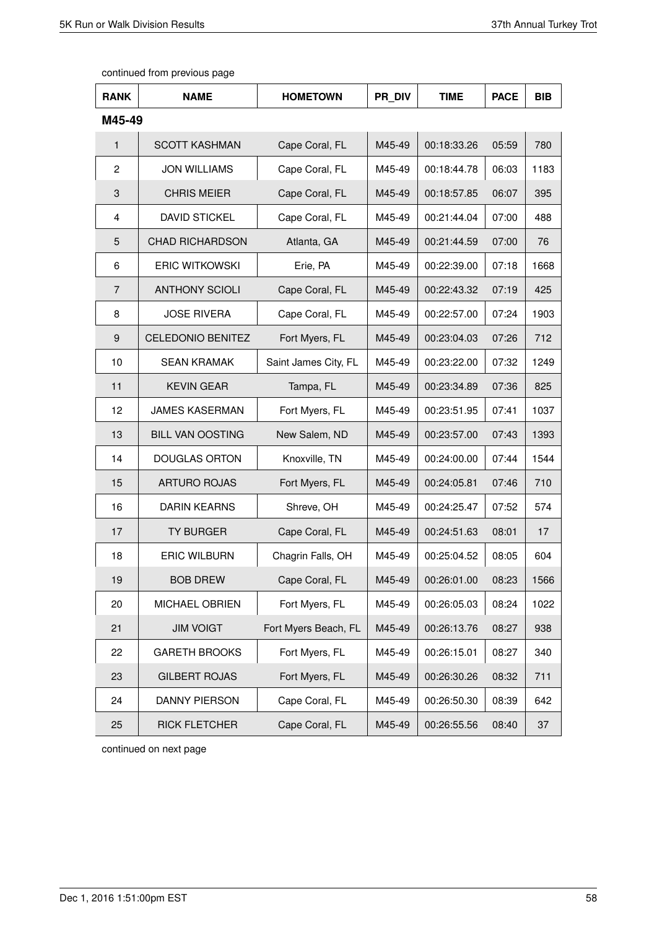| <b>RANK</b> | <b>NAME</b>              | <b>HOMETOWN</b>      | PR DIV | <b>TIME</b> | <b>PACE</b> | <b>BIB</b> |
|-------------|--------------------------|----------------------|--------|-------------|-------------|------------|
| M45-49      |                          |                      |        |             |             |            |
| 1           | <b>SCOTT KASHMAN</b>     | Cape Coral, FL       | M45-49 | 00:18:33.26 | 05:59       | 780        |
| 2           | <b>JON WILLIAMS</b>      | Cape Coral, FL       | M45-49 | 00:18:44.78 | 06:03       | 1183       |
| 3           | <b>CHRIS MEIER</b>       | Cape Coral, FL       | M45-49 | 00:18:57.85 | 06:07       | 395        |
| 4           | <b>DAVID STICKEL</b>     | Cape Coral, FL       | M45-49 | 00:21:44.04 | 07:00       | 488        |
| 5           | <b>CHAD RICHARDSON</b>   | Atlanta, GA          | M45-49 | 00:21:44.59 | 07:00       | 76         |
| 6           | <b>ERIC WITKOWSKI</b>    | Erie, PA             | M45-49 | 00:22:39.00 | 07:18       | 1668       |
| 7           | <b>ANTHONY SCIOLI</b>    | Cape Coral, FL       | M45-49 | 00:22:43.32 | 07:19       | 425        |
| 8           | <b>JOSE RIVERA</b>       | Cape Coral, FL       | M45-49 | 00:22:57.00 | 07:24       | 1903       |
| 9           | <b>CELEDONIO BENITEZ</b> | Fort Myers, FL       | M45-49 | 00:23:04.03 | 07:26       | 712        |
| 10          | <b>SEAN KRAMAK</b>       | Saint James City, FL | M45-49 | 00:23:22.00 | 07:32       | 1249       |
| 11          | <b>KEVIN GEAR</b>        | Tampa, FL            | M45-49 | 00:23:34.89 | 07:36       | 825        |
| 12          | <b>JAMES KASERMAN</b>    | Fort Myers, FL       | M45-49 | 00:23:51.95 | 07:41       | 1037       |
| 13          | <b>BILL VAN OOSTING</b>  | New Salem, ND        | M45-49 | 00:23:57.00 | 07:43       | 1393       |
| 14          | <b>DOUGLAS ORTON</b>     | Knoxville, TN        | M45-49 | 00:24:00.00 | 07:44       | 1544       |
| 15          | <b>ARTURO ROJAS</b>      | Fort Myers, FL       | M45-49 | 00:24:05.81 | 07:46       | 710        |
| 16          | <b>DARIN KEARNS</b>      | Shreve, OH           | M45-49 | 00:24:25.47 | 07:52       | 574        |
| 17          | <b>TY BURGER</b>         | Cape Coral, FL       | M45-49 | 00:24:51.63 | 08:01       | 17         |
| 18          | <b>ERIC WILBURN</b>      | Chagrin Falls, OH    | M45-49 | 00:25:04.52 | 08:05       | 604        |
| 19          | <b>BOB DREW</b>          | Cape Coral, FL       | M45-49 | 00:26:01.00 | 08:23       | 1566       |
| 20          | MICHAEL OBRIEN           | Fort Myers, FL       | M45-49 | 00:26:05.03 | 08:24       | 1022       |
| 21          | <b>JIM VOIGT</b>         | Fort Myers Beach, FL | M45-49 | 00:26:13.76 | 08:27       | 938        |
| 22          | <b>GARETH BROOKS</b>     | Fort Myers, FL       | M45-49 | 00:26:15.01 | 08:27       | 340        |
| 23          | <b>GILBERT ROJAS</b>     | Fort Myers, FL       | M45-49 | 00:26:30.26 | 08:32       | 711        |
| 24          | DANNY PIERSON            | Cape Coral, FL       | M45-49 | 00:26:50.30 | 08:39       | 642        |
| 25          | <b>RICK FLETCHER</b>     | Cape Coral, FL       | M45-49 | 00:26:55.56 | 08:40       | 37         |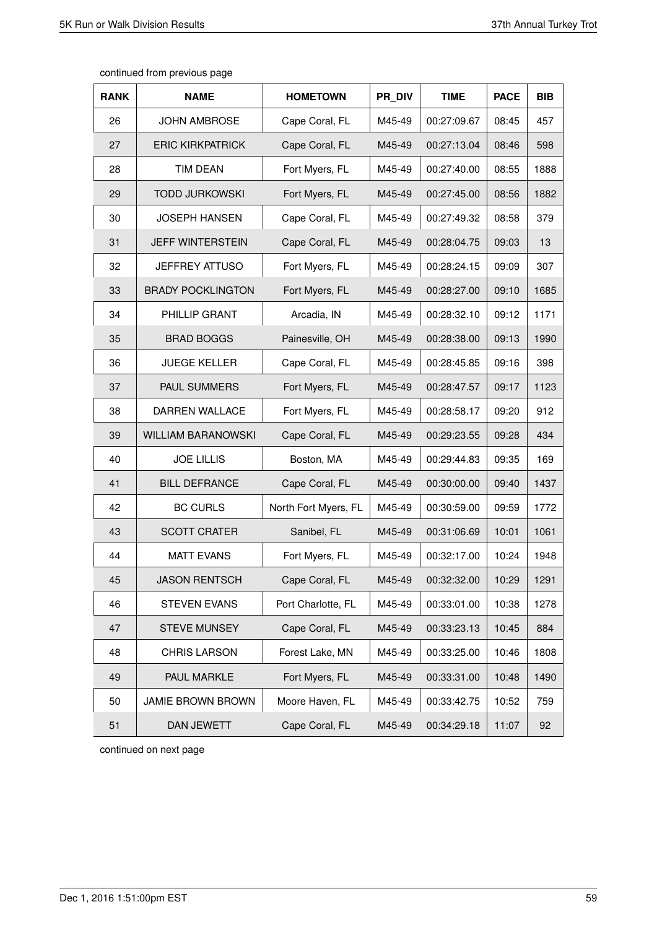| <b>RANK</b> | <b>NAME</b>               | <b>HOMETOWN</b>      | PR DIV | <b>TIME</b> | <b>PACE</b> | <b>BIB</b> |
|-------------|---------------------------|----------------------|--------|-------------|-------------|------------|
| 26          | <b>JOHN AMBROSE</b>       | Cape Coral, FL       | M45-49 | 00:27:09.67 | 08:45       | 457        |
| 27          | <b>ERIC KIRKPATRICK</b>   | Cape Coral, FL       | M45-49 | 00:27:13.04 | 08:46       | 598        |
| 28          | <b>TIM DEAN</b>           | Fort Myers, FL       | M45-49 | 00:27:40.00 | 08:55       | 1888       |
| 29          | <b>TODD JURKOWSKI</b>     | Fort Myers, FL       | M45-49 | 00:27:45.00 | 08:56       | 1882       |
| 30          | <b>JOSEPH HANSEN</b>      | Cape Coral, FL       | M45-49 | 00:27:49.32 | 08:58       | 379        |
| 31          | <b>JEFF WINTERSTEIN</b>   | Cape Coral, FL       | M45-49 | 00:28:04.75 | 09:03       | 13         |
| 32          | <b>JEFFREY ATTUSO</b>     | Fort Myers, FL       | M45-49 | 00:28:24.15 | 09:09       | 307        |
| 33          | <b>BRADY POCKLINGTON</b>  | Fort Myers, FL       | M45-49 | 00:28:27.00 | 09:10       | 1685       |
| 34          | PHILLIP GRANT             | Arcadia, IN          | M45-49 | 00:28:32.10 | 09:12       | 1171       |
| 35          | <b>BRAD BOGGS</b>         | Painesville, OH      | M45-49 | 00:28:38.00 | 09:13       | 1990       |
| 36          | <b>JUEGE KELLER</b>       | Cape Coral, FL       | M45-49 | 00:28:45.85 | 09:16       | 398        |
| 37          | PAUL SUMMERS              | Fort Myers, FL       | M45-49 | 00:28:47.57 | 09:17       | 1123       |
| 38          | DARREN WALLACE            | Fort Myers, FL       | M45-49 | 00:28:58.17 | 09:20       | 912        |
| 39          | <b>WILLIAM BARANOWSKI</b> | Cape Coral, FL       | M45-49 | 00:29:23.55 | 09:28       | 434        |
| 40          | <b>JOE LILLIS</b>         | Boston, MA           | M45-49 | 00:29:44.83 | 09:35       | 169        |
| 41          | <b>BILL DEFRANCE</b>      | Cape Coral, FL       | M45-49 | 00:30:00.00 | 09:40       | 1437       |
| 42          | <b>BC CURLS</b>           | North Fort Myers, FL | M45-49 | 00:30:59.00 | 09:59       | 1772       |
| 43          | <b>SCOTT CRATER</b>       | Sanibel, FL          | M45-49 | 00:31:06.69 | 10:01       | 1061       |
| 44          | <b>MATT EVANS</b>         | Fort Myers, FL       | M45-49 | 00:32:17.00 | 10:24       | 1948       |
| 45          | <b>JASON RENTSCH</b>      | Cape Coral, FL       | M45-49 | 00:32:32.00 | 10:29       | 1291       |
| 46          | <b>STEVEN EVANS</b>       | Port Charlotte, FL   | M45-49 | 00:33:01.00 | 10:38       | 1278       |
| 47          | <b>STEVE MUNSEY</b>       | Cape Coral, FL       | M45-49 | 00:33:23.13 | 10:45       | 884        |
| 48          | <b>CHRIS LARSON</b>       | Forest Lake, MN      | M45-49 | 00:33:25.00 | 10:46       | 1808       |
| 49          | PAUL MARKLE               | Fort Myers, FL       | M45-49 | 00:33:31.00 | 10:48       | 1490       |
| 50          | JAMIE BROWN BROWN         | Moore Haven, FL      | M45-49 | 00:33:42.75 | 10:52       | 759        |
| 51          | DAN JEWETT                | Cape Coral, FL       | M45-49 | 00:34:29.18 | 11:07       | 92         |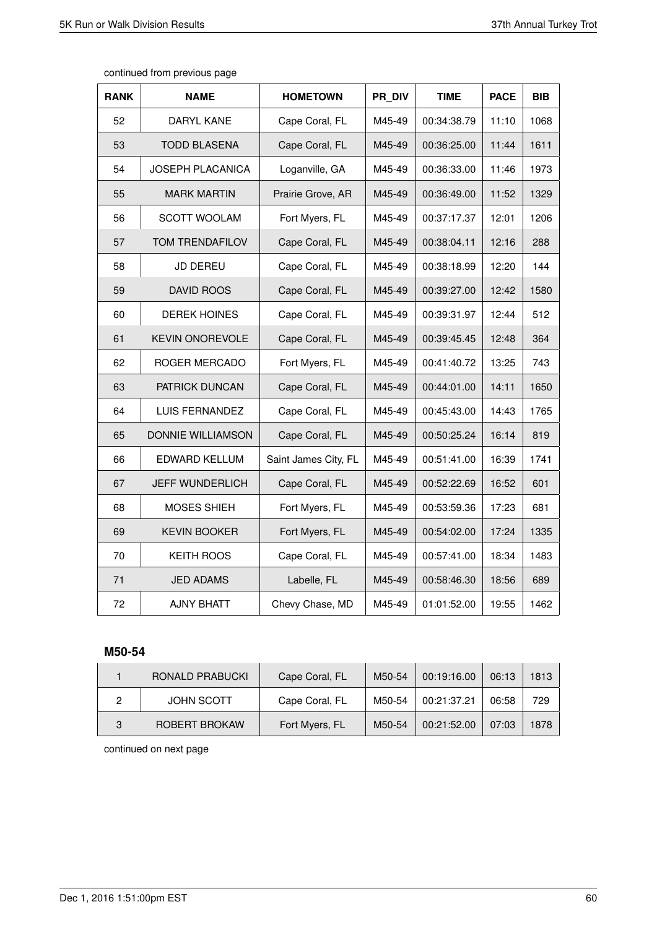Т

Τ

Τ

| <b>RANK</b> | <b>NAME</b>            | <b>HOMETOWN</b>      | PR DIV | TIME        | <b>PACE</b> | BIB  |
|-------------|------------------------|----------------------|--------|-------------|-------------|------|
| 52          | <b>DARYL KANE</b>      | Cape Coral, FL       | M45-49 | 00:34:38.79 | 11:10       | 1068 |
| 53          | <b>TODD BLASENA</b>    | Cape Coral, FL       | M45-49 | 00:36:25.00 | 11:44       | 1611 |
| 54          | JOSEPH PLACANICA       | Loganville, GA       | M45-49 | 00:36:33.00 | 11:46       | 1973 |
| 55          | <b>MARK MARTIN</b>     | Prairie Grove, AR    | M45-49 | 00:36:49.00 | 11:52       | 1329 |
| 56          | SCOTT WOOLAM           | Fort Myers, FL       | M45-49 | 00:37:17.37 | 12:01       | 1206 |
| 57          | TOM TRENDAFILOV        | Cape Coral, FL       | M45-49 | 00:38:04.11 | 12:16       | 288  |
| 58          | JD DEREU               | Cape Coral, FL       | M45-49 | 00:38:18.99 | 12:20       | 144  |
| 59          | DAVID ROOS             | Cape Coral, FL       | M45-49 | 00:39:27.00 | 12:42       | 1580 |
| 60          | <b>DEREK HOINES</b>    | Cape Coral, FL       | M45-49 | 00:39:31.97 | 12:44       | 512  |
| 61          | <b>KEVIN ONOREVOLE</b> | Cape Coral, FL       | M45-49 | 00:39:45.45 | 12:48       | 364  |
| 62          | ROGER MERCADO          | Fort Myers, FL       | M45-49 | 00:41:40.72 | 13:25       | 743  |
| 63          | PATRICK DUNCAN         | Cape Coral, FL       | M45-49 | 00:44:01.00 | 14:11       | 1650 |
| 64          | LUIS FERNANDEZ         | Cape Coral, FL       | M45-49 | 00:45:43.00 | 14:43       | 1765 |
| 65          | DONNIE WILLIAMSON      | Cape Coral, FL       | M45-49 | 00:50:25.24 | 16:14       | 819  |
| 66          | EDWARD KELLUM          | Saint James City, FL | M45-49 | 00:51:41.00 | 16:39       | 1741 |
| 67          | <b>JEFF WUNDERLICH</b> | Cape Coral, FL       | M45-49 | 00:52:22.69 | 16:52       | 601  |
| 68          | MOSES SHIEH            | Fort Myers, FL       | M45-49 | 00:53:59.36 | 17:23       | 681  |
| 69          | <b>KEVIN BOOKER</b>    | Fort Myers, FL       | M45-49 | 00:54:02.00 | 17:24       | 1335 |
| 70          | <b>KEITH ROOS</b>      | Cape Coral, FL       | M45-49 | 00:57:41.00 | 18:34       | 1483 |
| 71          | <b>JED ADAMS</b>       | Labelle, FL          | M45-49 | 00:58:46.30 | 18:56       | 689  |
| 72          | <b>AJNY BHATT</b>      | Chevy Chase, MD      | M45-49 | 01:01:52.00 | 19:55       | 1462 |

Т

continued from previous page

### **M50-54**

|   | RONALD PRABUCKI   | Cape Coral, FL | M50-54 | 00:19:16.00 | 06:13 | 1813 |
|---|-------------------|----------------|--------|-------------|-------|------|
|   | <b>JOHN SCOTT</b> | Cape Coral, FL | M50-54 | 00:21:37.21 | 06:58 | 729  |
| 3 | ROBERT BROKAW     | Fort Myers, FL | M50-54 | 00:21:52.00 | 07:03 | 1878 |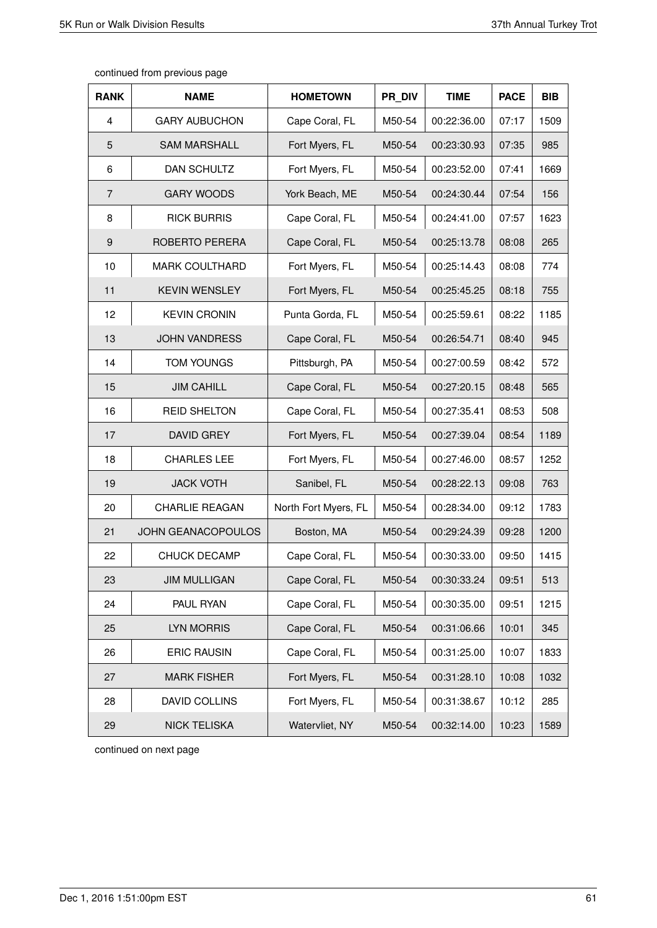| <b>RANK</b>    | <b>NAME</b>               | <b>HOMETOWN</b>      | PR DIV | <b>TIME</b> | <b>PACE</b> | <b>BIB</b> |
|----------------|---------------------------|----------------------|--------|-------------|-------------|------------|
| 4              | <b>GARY AUBUCHON</b>      | Cape Coral, FL       | M50-54 | 00:22:36.00 | 07:17       | 1509       |
| 5              | <b>SAM MARSHALL</b>       | Fort Myers, FL       | M50-54 | 00:23:30.93 | 07:35       | 985        |
| 6              | DAN SCHULTZ               | Fort Myers, FL       | M50-54 | 00:23:52.00 | 07:41       | 1669       |
| $\overline{7}$ | <b>GARY WOODS</b>         | York Beach, ME       | M50-54 | 00:24:30.44 | 07:54       | 156        |
| 8              | <b>RICK BURRIS</b>        | Cape Coral, FL       | M50-54 | 00:24:41.00 | 07:57       | 1623       |
| 9              | ROBERTO PERERA            | Cape Coral, FL       | M50-54 | 00:25:13.78 | 08:08       | 265        |
| 10             | <b>MARK COULTHARD</b>     | Fort Myers, FL       | M50-54 | 00:25:14.43 | 08:08       | 774        |
| 11             | <b>KEVIN WENSLEY</b>      | Fort Myers, FL       | M50-54 | 00:25:45.25 | 08:18       | 755        |
| 12             | <b>KEVIN CRONIN</b>       | Punta Gorda, FL      | M50-54 | 00:25:59.61 | 08:22       | 1185       |
| 13             | <b>JOHN VANDRESS</b>      | Cape Coral, FL       | M50-54 | 00:26:54.71 | 08:40       | 945        |
| 14             | <b>TOM YOUNGS</b>         | Pittsburgh, PA       | M50-54 | 00:27:00.59 | 08:42       | 572        |
| 15             | <b>JIM CAHILL</b>         | Cape Coral, FL       | M50-54 | 00:27:20.15 | 08:48       | 565        |
| 16             | <b>REID SHELTON</b>       | Cape Coral, FL       | M50-54 | 00:27:35.41 | 08:53       | 508        |
| 17             | <b>DAVID GREY</b>         | Fort Myers, FL       | M50-54 | 00:27:39.04 | 08:54       | 1189       |
| 18             | <b>CHARLES LEE</b>        | Fort Myers, FL       | M50-54 | 00:27:46.00 | 08:57       | 1252       |
| 19             | <b>JACK VOTH</b>          | Sanibel, FL          | M50-54 | 00:28:22.13 | 09:08       | 763        |
| 20             | <b>CHARLIE REAGAN</b>     | North Fort Myers, FL | M50-54 | 00:28:34.00 | 09:12       | 1783       |
| 21             | <b>JOHN GEANACOPOULOS</b> | Boston, MA           | M50-54 | 00:29:24.39 | 09:28       | 1200       |
| 22             | <b>CHUCK DECAMP</b>       | Cape Coral, FL       | M50-54 | 00:30:33.00 | 09:50       | 1415       |
| 23             | <b>JIM MULLIGAN</b>       | Cape Coral, FL       | M50-54 | 00:30:33.24 | 09:51       | 513        |
| 24             | PAUL RYAN                 | Cape Coral, FL       | M50-54 | 00:30:35.00 | 09:51       | 1215       |
| 25             | LYN MORRIS                | Cape Coral, FL       | M50-54 | 00:31:06.66 | 10:01       | 345        |
| 26             | <b>ERIC RAUSIN</b>        | Cape Coral, FL       | M50-54 | 00:31:25.00 | 10:07       | 1833       |
| 27             | <b>MARK FISHER</b>        | Fort Myers, FL       | M50-54 | 00:31:28.10 | 10:08       | 1032       |
| 28             | DAVID COLLINS             | Fort Myers, FL       | M50-54 | 00:31:38.67 | 10:12       | 285        |
| 29             | <b>NICK TELISKA</b>       | Watervliet, NY       | M50-54 | 00:32:14.00 | 10:23       | 1589       |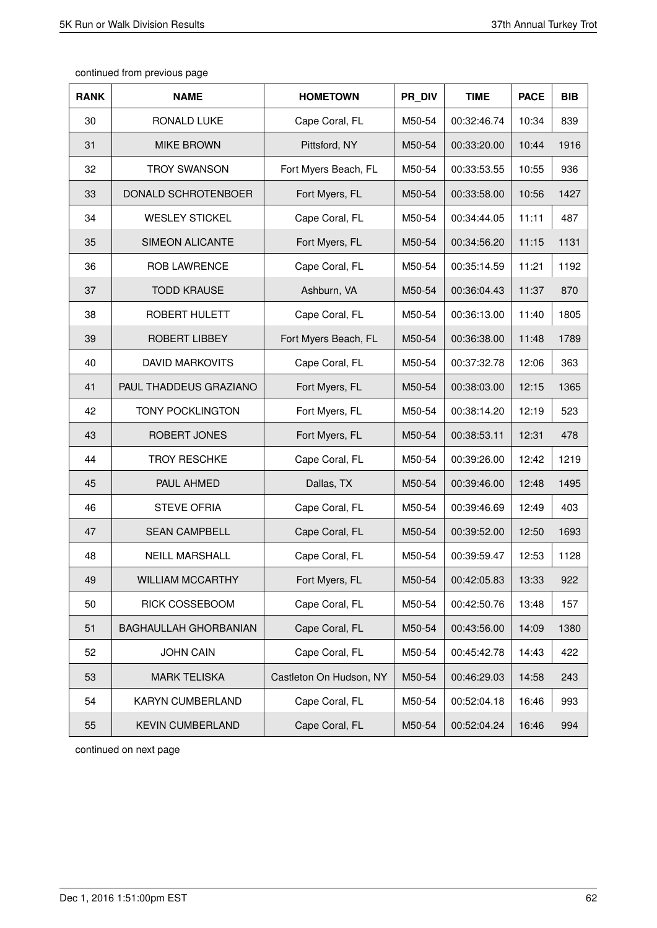| <b>RANK</b> | <b>NAME</b>             | <b>HOMETOWN</b>         | PR DIV | <b>TIME</b> | <b>PACE</b> | <b>BIB</b> |
|-------------|-------------------------|-------------------------|--------|-------------|-------------|------------|
| 30          | <b>RONALD LUKE</b>      | Cape Coral, FL          | M50-54 | 00:32:46.74 | 10:34       | 839        |
| 31          | <b>MIKE BROWN</b>       | Pittsford, NY           | M50-54 | 00:33:20.00 | 10:44       | 1916       |
| 32          | <b>TROY SWANSON</b>     | Fort Myers Beach, FL    | M50-54 | 00:33:53.55 | 10:55       | 936        |
| 33          | DONALD SCHROTENBOER     | Fort Myers, FL          | M50-54 | 00:33:58.00 | 10:56       | 1427       |
| 34          | <b>WESLEY STICKEL</b>   | Cape Coral, FL          | M50-54 | 00:34:44.05 | 11:11       | 487        |
| 35          | <b>SIMEON ALICANTE</b>  | Fort Myers, FL          | M50-54 | 00:34:56.20 | 11:15       | 1131       |
| 36          | <b>ROB LAWRENCE</b>     | Cape Coral, FL          | M50-54 | 00:35:14.59 | 11:21       | 1192       |
| 37          | <b>TODD KRAUSE</b>      | Ashburn, VA             | M50-54 | 00:36:04.43 | 11:37       | 870        |
| 38          | <b>ROBERT HULETT</b>    | Cape Coral, FL          | M50-54 | 00:36:13.00 | 11:40       | 1805       |
| 39          | <b>ROBERT LIBBEY</b>    | Fort Myers Beach, FL    | M50-54 | 00:36:38.00 | 11:48       | 1789       |
| 40          | <b>DAVID MARKOVITS</b>  | Cape Coral, FL          | M50-54 | 00:37:32.78 | 12:06       | 363        |
| 41          | PAUL THADDEUS GRAZIANO  | Fort Myers, FL          | M50-54 | 00:38:03.00 | 12:15       | 1365       |
| 42          | <b>TONY POCKLINGTON</b> | Fort Myers, FL          | M50-54 | 00:38:14.20 | 12:19       | 523        |
| 43          | ROBERT JONES            | Fort Myers, FL          | M50-54 | 00:38:53.11 | 12:31       | 478        |
| 44          | <b>TROY RESCHKE</b>     | Cape Coral, FL          | M50-54 | 00:39:26.00 | 12:42       | 1219       |
| 45          | PAUL AHMED              | Dallas, TX              | M50-54 | 00:39:46.00 | 12:48       | 1495       |
| 46          | <b>STEVE OFRIA</b>      | Cape Coral, FL          | M50-54 | 00:39:46.69 | 12:49       | 403        |
| 47          | <b>SEAN CAMPBELL</b>    | Cape Coral, FL          | M50-54 | 00:39:52.00 | 12:50       | 1693       |
| 48          | <b>NEILL MARSHALL</b>   | Cape Coral, FL          | M50-54 | 00:39:59.47 | 12:53       | 1128       |
| 49          | <b>WILLIAM MCCARTHY</b> | Fort Myers, FL          | M50-54 | 00:42:05.83 | 13:33       | 922        |
| 50          | RICK COSSEBOOM          | Cape Coral, FL          | M50-54 | 00:42:50.76 | 13:48       | 157        |
| 51          | BAGHAULLAH GHORBANIAN   | Cape Coral, FL          | M50-54 | 00:43:56.00 | 14:09       | 1380       |
| 52          | <b>JOHN CAIN</b>        | Cape Coral, FL          | M50-54 | 00:45:42.78 | 14:43       | 422        |
| 53          | <b>MARK TELISKA</b>     | Castleton On Hudson, NY | M50-54 | 00:46:29.03 | 14:58       | 243        |
| 54          | KARYN CUMBERLAND        | Cape Coral, FL          | M50-54 | 00:52:04.18 | 16:46       | 993        |
| 55          | <b>KEVIN CUMBERLAND</b> | Cape Coral, FL          | M50-54 | 00:52:04.24 | 16:46       | 994        |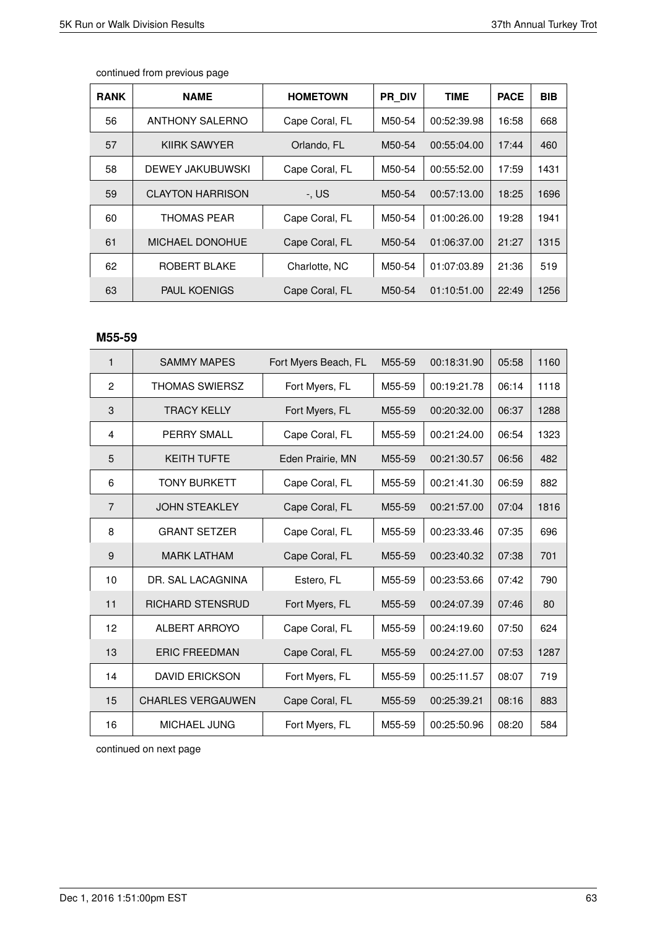| <b>RANK</b> | <b>NAME</b>             | <b>HOMETOWN</b> | <b>PR DIV</b> | <b>TIME</b> | <b>PACE</b> | BIB  |
|-------------|-------------------------|-----------------|---------------|-------------|-------------|------|
| 56          | <b>ANTHONY SALERNO</b>  | Cape Coral, FL  | M50-54        | 00:52:39.98 | 16:58       | 668  |
| 57          | KIIRK SAWYER            | Orlando, FL     | M50-54        | 00:55:04.00 | 17:44       | 460  |
| 58          | DEWEY JAKUBUWSKI        | Cape Coral, FL  | M50-54        | 00:55:52.00 | 17:59       | 1431 |
| 59          | <b>CLAYTON HARRISON</b> | -. US           | M50-54        | 00:57:13.00 | 18:25       | 1696 |
| 60          | THOMAS PEAR             | Cape Coral, FL  | M50-54        | 01:00:26.00 | 19:28       | 1941 |
| 61          | <b>MICHAEL DONOHUE</b>  | Cape Coral, FL  | M50-54        | 01:06:37.00 | 21:27       | 1315 |
| 62          | ROBERT BLAKE            | Charlotte, NC   | M50-54        | 01:07:03.89 | 21:36       | 519  |
| 63          | <b>PAUL KOENIGS</b>     | Cape Coral, FL  | M50-54        | 01:10:51.00 | 22:49       | 1256 |

## **M55-59**

| 1              | <b>SAMMY MAPES</b>       | Fort Myers Beach, FL | M55-59 | 00:18:31.90 | 05:58 | 1160 |
|----------------|--------------------------|----------------------|--------|-------------|-------|------|
| $\mathbf{2}$   | <b>THOMAS SWIERSZ</b>    | Fort Myers, FL       | M55-59 | 00:19:21.78 | 06:14 | 1118 |
| 3              | <b>TRACY KELLY</b>       | Fort Myers, FL       | M55-59 | 00:20:32.00 | 06:37 | 1288 |
| 4              | <b>PERRY SMALL</b>       | Cape Coral, FL       | M55-59 | 00:21:24.00 | 06:54 | 1323 |
| 5              | <b>KEITH TUFTE</b>       | Eden Prairie, MN     | M55-59 | 00:21:30.57 | 06:56 | 482  |
| 6              | <b>TONY BURKETT</b>      | Cape Coral, FL       | M55-59 | 00:21:41.30 | 06:59 | 882  |
| $\overline{7}$ | <b>JOHN STEAKLEY</b>     | Cape Coral, FL       | M55-59 | 00:21:57.00 | 07:04 | 1816 |
| 8              | <b>GRANT SETZER</b>      | Cape Coral, FL       | M55-59 | 00:23:33.46 | 07:35 | 696  |
| 9              | <b>MARK LATHAM</b>       | Cape Coral, FL       | M55-59 | 00:23:40.32 | 07:38 | 701  |
| 10             | DR. SAL LACAGNINA        | Estero, FL           | M55-59 | 00:23:53.66 | 07:42 | 790  |
| 11             | <b>RICHARD STENSRUD</b>  | Fort Myers, FL       | M55-59 | 00:24:07.39 | 07:46 | 80   |
| 12             | ALBERT ARROYO            | Cape Coral, FL       | M55-59 | 00:24:19.60 | 07:50 | 624  |
| 13             | <b>ERIC FREEDMAN</b>     | Cape Coral, FL       | M55-59 | 00:24:27.00 | 07:53 | 1287 |
| 14             | <b>DAVID ERICKSON</b>    | Fort Myers, FL       | M55-59 | 00:25:11.57 | 08:07 | 719  |
| 15             | <b>CHARLES VERGAUWEN</b> | Cape Coral, FL       | M55-59 | 00:25:39.21 | 08:16 | 883  |
| 16             | MICHAEL JUNG             | Fort Myers, FL       | M55-59 | 00:25:50.96 | 08:20 | 584  |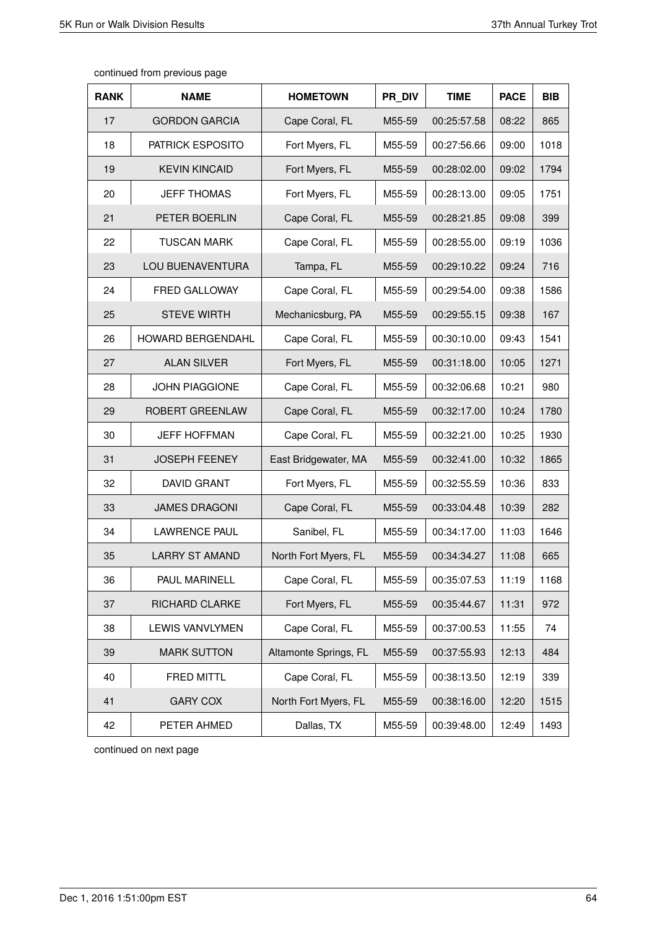| <b>RANK</b> | <b>NAME</b>              | <b>HOMETOWN</b>       | PR DIV | <b>TIME</b> | <b>PACE</b> | <b>BIB</b> |
|-------------|--------------------------|-----------------------|--------|-------------|-------------|------------|
| 17          | <b>GORDON GARCIA</b>     | Cape Coral, FL        | M55-59 | 00:25:57.58 | 08:22       | 865        |
| 18          | PATRICK ESPOSITO         | Fort Myers, FL        | M55-59 | 00:27:56.66 | 09:00       | 1018       |
| 19          | <b>KEVIN KINCAID</b>     | Fort Myers, FL        | M55-59 | 00:28:02.00 | 09:02       | 1794       |
| 20          | <b>JEFF THOMAS</b>       | Fort Myers, FL        | M55-59 | 00:28:13.00 | 09:05       | 1751       |
| 21          | PETER BOERLIN            | Cape Coral, FL        | M55-59 | 00:28:21.85 | 09:08       | 399        |
| 22          | <b>TUSCAN MARK</b>       | Cape Coral, FL        | M55-59 | 00:28:55.00 | 09:19       | 1036       |
| 23          | LOU BUENAVENTURA         | Tampa, FL             | M55-59 | 00:29:10.22 | 09:24       | 716        |
| 24          | FRED GALLOWAY            | Cape Coral, FL        | M55-59 | 00:29:54.00 | 09:38       | 1586       |
| 25          | <b>STEVE WIRTH</b>       | Mechanicsburg, PA     | M55-59 | 00:29:55.15 | 09:38       | 167        |
| 26          | <b>HOWARD BERGENDAHL</b> | Cape Coral, FL        | M55-59 | 00:30:10.00 | 09:43       | 1541       |
| 27          | <b>ALAN SILVER</b>       | Fort Myers, FL        | M55-59 | 00:31:18.00 | 10:05       | 1271       |
| 28          | <b>JOHN PIAGGIONE</b>    | Cape Coral, FL        | M55-59 | 00:32:06.68 | 10:21       | 980        |
| 29          | ROBERT GREENLAW          | Cape Coral, FL        | M55-59 | 00:32:17.00 | 10:24       | 1780       |
| 30          | <b>JEFF HOFFMAN</b>      | Cape Coral, FL        | M55-59 | 00:32:21.00 | 10:25       | 1930       |
| 31          | <b>JOSEPH FEENEY</b>     | East Bridgewater, MA  | M55-59 | 00:32:41.00 | 10:32       | 1865       |
| 32          | <b>DAVID GRANT</b>       | Fort Myers, FL        | M55-59 | 00:32:55.59 | 10:36       | 833        |
| 33          | <b>JAMES DRAGONI</b>     | Cape Coral, FL        | M55-59 | 00:33:04.48 | 10:39       | 282        |
| 34          | <b>LAWRENCE PAUL</b>     | Sanibel, FL           | M55-59 | 00:34:17.00 | 11:03       | 1646       |
| 35          | <b>LARRY ST AMAND</b>    | North Fort Myers, FL  | M55-59 | 00:34:34.27 | 11:08       | 665        |
| 36          | PAUL MARINELL            | Cape Coral, FL        | M55-59 | 00:35:07.53 | 11:19       | 1168       |
| 37          | RICHARD CLARKE           | Fort Myers, FL        | M55-59 | 00:35:44.67 | 11:31       | 972        |
| 38          | LEWIS VANVLYMEN          | Cape Coral, FL        | M55-59 | 00:37:00.53 | 11:55       | 74         |
| 39          | <b>MARK SUTTON</b>       | Altamonte Springs, FL | M55-59 | 00:37:55.93 | 12:13       | 484        |
| 40          | FRED MITTL               | Cape Coral, FL        | M55-59 | 00:38:13.50 | 12:19       | 339        |
| 41          | <b>GARY COX</b>          | North Fort Myers, FL  | M55-59 | 00:38:16.00 | 12:20       | 1515       |
| 42          | PETER AHMED              | Dallas, TX            | M55-59 | 00:39:48.00 | 12:49       | 1493       |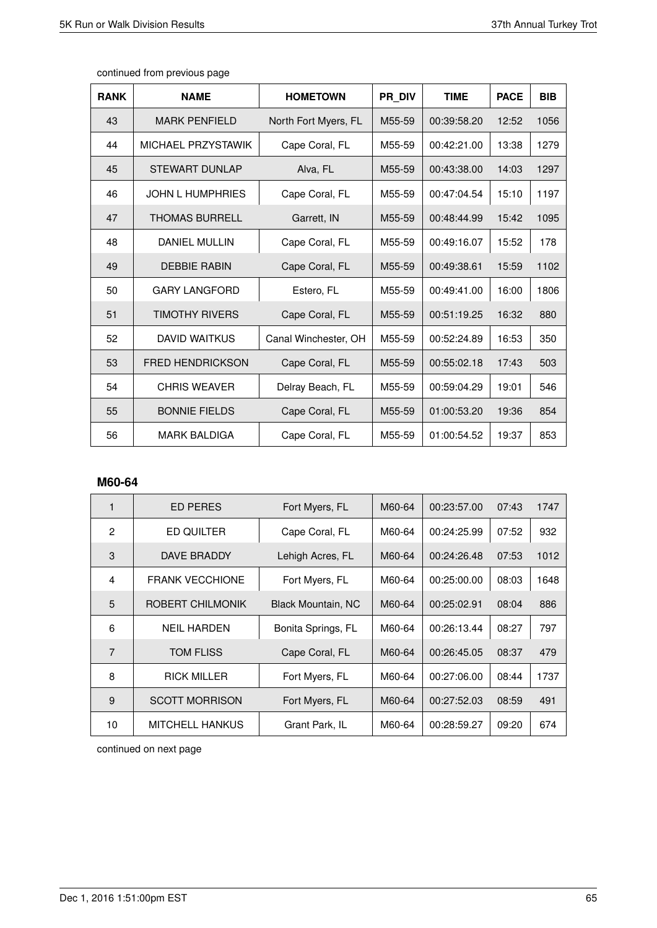$\overline{1}$ 

 $\overline{\phantom{a}}$ 

| <b>RANK</b> | <b>NAME</b>             | <b>HOMETOWN</b>      | PR DIV | <b>TIME</b> | <b>PACE</b> | <b>BIB</b> |
|-------------|-------------------------|----------------------|--------|-------------|-------------|------------|
| 43          | <b>MARK PENFIELD</b>    | North Fort Myers, FL | M55-59 | 00:39:58.20 | 12:52       | 1056       |
| 44          | MICHAEL PRZYSTAWIK      | Cape Coral, FL       | M55-59 | 00:42:21.00 | 13:38       | 1279       |
| 45          | <b>STEWART DUNLAP</b>   | Alva, FL             | M55-59 | 00:43:38.00 | 14:03       | 1297       |
| 46          | <b>JOHN L HUMPHRIES</b> | Cape Coral, FL       | M55-59 | 00:47:04.54 | 15:10       | 1197       |
| 47          | <b>THOMAS BURRELL</b>   | Garrett, IN          | M55-59 | 00:48:44.99 | 15:42       | 1095       |
| 48          | <b>DANIEL MULLIN</b>    | Cape Coral, FL       | M55-59 | 00:49:16.07 | 15:52       | 178        |
| 49          | <b>DEBBIE RABIN</b>     | Cape Coral, FL       | M55-59 | 00:49:38.61 | 15:59       | 1102       |
| 50          | <b>GARY LANGFORD</b>    | Estero, FL           | M55-59 | 00:49:41.00 | 16:00       | 1806       |
| 51          | <b>TIMOTHY RIVERS</b>   | Cape Coral, FL       | M55-59 | 00:51:19.25 | 16:32       | 880        |
| 52          | <b>DAVID WAITKUS</b>    | Canal Winchester, OH | M55-59 | 00:52:24.89 | 16:53       | 350        |
| 53          | <b>FRED HENDRICKSON</b> | Cape Coral, FL       | M55-59 | 00:55:02.18 | 17:43       | 503        |
| 54          | <b>CHRIS WEAVER</b>     | Delray Beach, FL     | M55-59 | 00:59:04.29 | 19:01       | 546        |
| 55          | <b>BONNIE FIELDS</b>    | Cape Coral, FL       | M55-59 | 01:00:53.20 | 19:36       | 854        |
| 56          | <b>MARK BALDIGA</b>     | Cape Coral, FL       | M55-59 | 01:00:54.52 | 19:37       | 853        |

continued from previous page

# **M60-64**

| 1              | ED PERES               | Fort Myers, FL            | M60-64 | 00:23:57.00 | 07:43 | 1747 |
|----------------|------------------------|---------------------------|--------|-------------|-------|------|
| $\overline{2}$ | ED QUILTER             | Cape Coral, FL            | M60-64 | 00:24:25.99 | 07:52 | 932  |
| 3              | DAVE BRADDY            | Lehigh Acres, FL          | M60-64 | 00:24:26.48 | 07:53 | 1012 |
| 4              | <b>FRANK VECCHIONE</b> | Fort Myers, FL            | M60-64 | 00:25:00.00 | 08:03 | 1648 |
| 5              | ROBERT CHILMONIK       | <b>Black Mountain, NC</b> | M60-64 | 00:25:02.91 | 08:04 | 886  |
| 6              | <b>NEIL HARDEN</b>     | Bonita Springs, FL        | M60-64 | 00:26:13.44 | 08:27 | 797  |
| $\overline{7}$ | TOM FLISS              | Cape Coral, FL            | M60-64 | 00:26:45.05 | 08:37 | 479  |
| 8              | <b>RICK MILLER</b>     | Fort Myers, FL            | M60-64 | 00:27:06.00 | 08:44 | 1737 |
| 9              | <b>SCOTT MORRISON</b>  | Fort Myers, FL            | M60-64 | 00:27:52.03 | 08:59 | 491  |
| 10             | MITCHELL HANKUS        | Grant Park, IL            | M60-64 | 00:28:59.27 | 09:20 | 674  |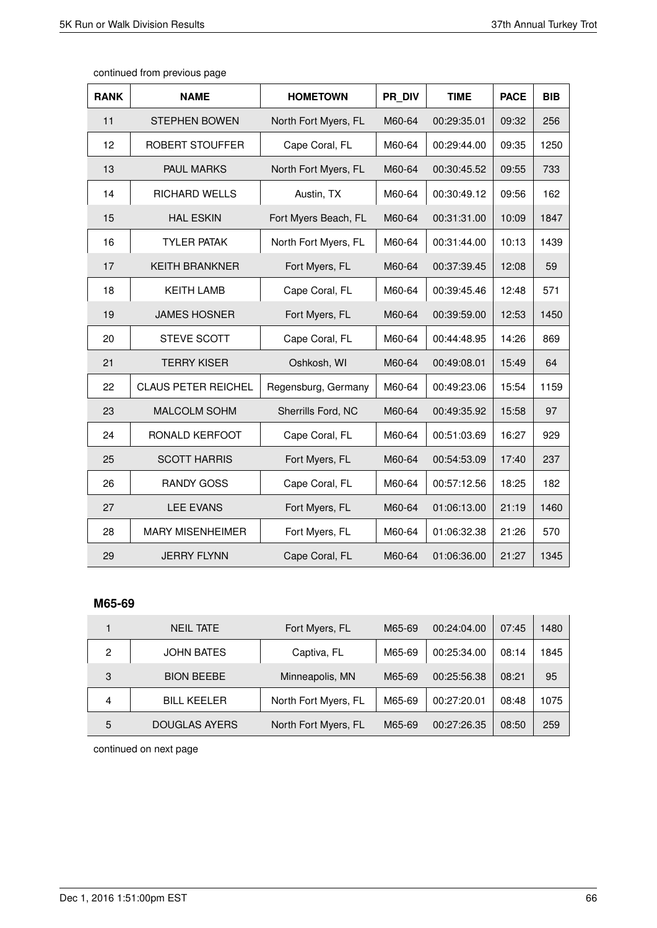| <b>RANK</b> | <b>NAME</b>                | <b>HOMETOWN</b>      | PR DIV | <b>TIME</b> | <b>PACE</b> | <b>BIB</b> |
|-------------|----------------------------|----------------------|--------|-------------|-------------|------------|
| 11          | <b>STEPHEN BOWEN</b>       | North Fort Myers, FL | M60-64 | 00:29:35.01 | 09:32       | 256        |
| 12          | ROBERT STOUFFER            | Cape Coral, FL       | M60-64 | 00:29:44.00 | 09:35       | 1250       |
| 13          | <b>PAUL MARKS</b>          | North Fort Myers, FL | M60-64 | 00:30:45.52 | 09:55       | 733        |
| 14          | RICHARD WELLS              | Austin, TX           | M60-64 | 00:30:49.12 | 09:56       | 162        |
| 15          | <b>HAL ESKIN</b>           | Fort Myers Beach, FL | M60-64 | 00:31:31.00 | 10:09       | 1847       |
| 16          | <b>TYLER PATAK</b>         | North Fort Myers, FL | M60-64 | 00:31:44.00 | 10:13       | 1439       |
| 17          | <b>KEITH BRANKNER</b>      | Fort Myers, FL       | M60-64 | 00:37:39.45 | 12:08       | 59         |
| 18          | <b>KEITH LAMB</b>          | Cape Coral, FL       | M60-64 | 00:39:45.46 | 12:48       | 571        |
| 19          | <b>JAMES HOSNER</b>        | Fort Myers, FL       | M60-64 | 00:39:59.00 | 12:53       | 1450       |
| 20          | <b>STEVE SCOTT</b>         | Cape Coral, FL       | M60-64 | 00:44:48.95 | 14:26       | 869        |
| 21          | <b>TERRY KISER</b>         | Oshkosh, WI          | M60-64 | 00:49:08.01 | 15:49       | 64         |
| 22          | <b>CLAUS PETER REICHEL</b> | Regensburg, Germany  | M60-64 | 00:49:23.06 | 15:54       | 1159       |
| 23          | MALCOLM SOHM               | Sherrills Ford, NC   | M60-64 | 00:49:35.92 | 15:58       | 97         |
| 24          | RONALD KERFOOT             | Cape Coral, FL       | M60-64 | 00:51:03.69 | 16:27       | 929        |
| 25          | <b>SCOTT HARRIS</b>        | Fort Myers, FL       | M60-64 | 00:54:53.09 | 17:40       | 237        |
| 26          | <b>RANDY GOSS</b>          | Cape Coral, FL       | M60-64 | 00:57:12.56 | 18:25       | 182        |
| 27          | <b>LEE EVANS</b>           | Fort Myers, FL       | M60-64 | 01:06:13.00 | 21:19       | 1460       |
| 28          | <b>MARY MISENHEIMER</b>    | Fort Myers, FL       | M60-64 | 01:06:32.38 | 21:26       | 570        |
| 29          | <b>JERRY FLYNN</b>         | Cape Coral, FL       | M60-64 | 01:06:36.00 | 21:27       | 1345       |

continued from previous page

# **M65-69**

|   | <b>NEIL TATE</b>     | Fort Myers, FL       | M65-69 | 00:24:04.00 | 07:45 | 1480 |
|---|----------------------|----------------------|--------|-------------|-------|------|
| 2 | <b>JOHN BATES</b>    | Captiva, FL          | M65-69 | 00:25:34.00 | 08:14 | 1845 |
| 3 | <b>BION BEEBE</b>    | Minneapolis, MN      | M65-69 | 00:25:56.38 | 08:21 | 95   |
| 4 | <b>BILL KEELER</b>   | North Fort Myers, FL | M65-69 | 00:27:20.01 | 08:48 | 1075 |
| 5 | <b>DOUGLAS AYERS</b> | North Fort Myers, FL | M65-69 | 00:27:26.35 | 08:50 | 259  |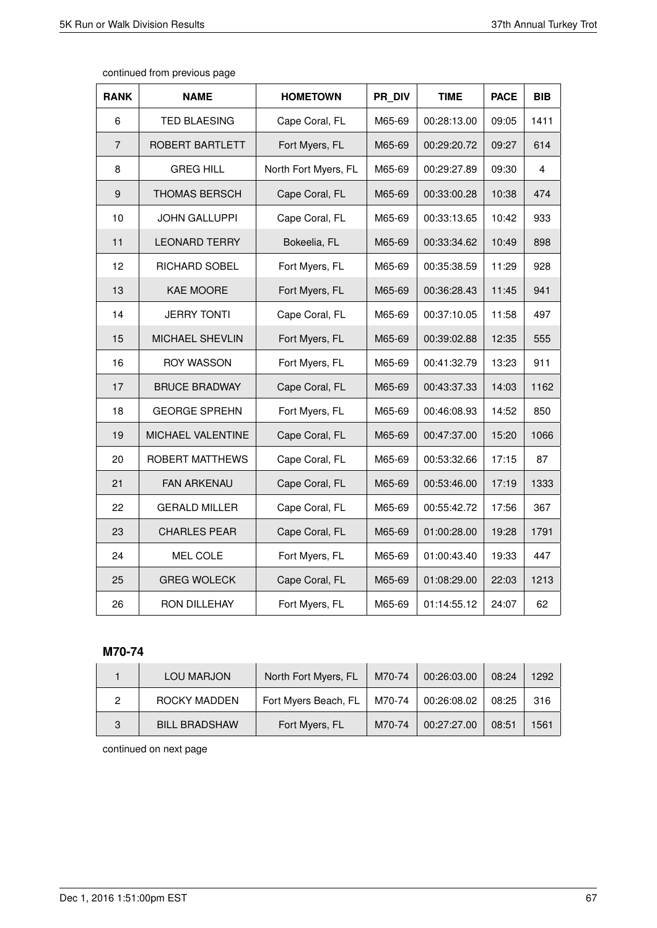$\mathsf{r}$ 

| <b>RANK</b>    | <b>NAME</b>          | <b>HOMETOWN</b>      | PR DIV | <b>TIME</b> | <b>PACE</b> | <b>BIB</b> |
|----------------|----------------------|----------------------|--------|-------------|-------------|------------|
| 6              | <b>TED BLAESING</b>  | Cape Coral, FL       | M65-69 | 00:28:13.00 | 09:05       | 1411       |
| $\overline{7}$ | ROBERT BARTLETT      | Fort Myers, FL       | M65-69 | 00:29:20.72 | 09:27       | 614        |
| 8              | <b>GREG HILL</b>     | North Fort Myers, FL | M65-69 | 00:29:27.89 | 09:30       | 4          |
| 9              | THOMAS BERSCH        | Cape Coral, FL       | M65-69 | 00:33:00.28 | 10:38       | 474        |
| 10             | <b>JOHN GALLUPPI</b> | Cape Coral, FL       | M65-69 | 00:33:13.65 | 10:42       | 933        |
| 11             | <b>LEONARD TERRY</b> | Bokeelia, FL         | M65-69 | 00:33:34.62 | 10:49       | 898        |
| 12             | RICHARD SOBEL        | Fort Myers, FL       | M65-69 | 00:35:38.59 | 11:29       | 928        |
| 13             | <b>KAE MOORE</b>     | Fort Myers, FL       | M65-69 | 00:36:28.43 | 11:45       | 941        |
| 14             | <b>JERRY TONTI</b>   | Cape Coral, FL       | M65-69 | 00:37:10.05 | 11:58       | 497        |
| 15             | MICHAEL SHEVLIN      | Fort Myers, FL       | M65-69 | 00:39:02.88 | 12:35       | 555        |
| 16             | <b>ROY WASSON</b>    | Fort Myers, FL       | M65-69 | 00:41:32.79 | 13:23       | 911        |
| 17             | <b>BRUCE BRADWAY</b> | Cape Coral, FL       | M65-69 | 00:43:37.33 | 14:03       | 1162       |
| 18             | <b>GEORGE SPREHN</b> | Fort Myers, FL       | M65-69 | 00:46:08.93 | 14:52       | 850        |
| 19             | MICHAEL VALENTINE    | Cape Coral, FL       | M65-69 | 00:47:37.00 | 15:20       | 1066       |
| 20             | ROBERT MATTHEWS      | Cape Coral, FL       | M65-69 | 00:53:32.66 | 17:15       | 87         |
| 21             | <b>FAN ARKENAU</b>   | Cape Coral, FL       | M65-69 | 00:53:46.00 | 17:19       | 1333       |
| 22             | <b>GERALD MILLER</b> | Cape Coral, FL       | M65-69 | 00:55:42.72 | 17:56       | 367        |
| 23             | <b>CHARLES PEAR</b>  | Cape Coral, FL       | M65-69 | 01:00:28.00 | 19:28       | 1791       |
| 24             | MEL COLE             | Fort Myers, FL       | M65-69 | 01:00:43.40 | 19:33       | 447        |
| 25             | <b>GREG WOLECK</b>   | Cape Coral, FL       | M65-69 | 01:08:29.00 | 22:03       | 1213       |
| 26             | RON DILLEHAY         | Fort Myers, FL       | M65-69 | 01:14:55.12 | 24:07       | 62         |

continued from previous page

# **M70-74**

|   | LOU MARJON           | North Fort Myers, FL | M70-74 | 00:26:03.00 | 08:24 | 1292 |
|---|----------------------|----------------------|--------|-------------|-------|------|
|   | ROCKY MADDEN         | Fort Myers Beach, FL | M70-74 | 00:26:08.02 | 08:25 | 316  |
| 3 | <b>BILL BRADSHAW</b> | Fort Myers, FL       | M70-74 | 00:27:27.00 | 08:51 | 1561 |